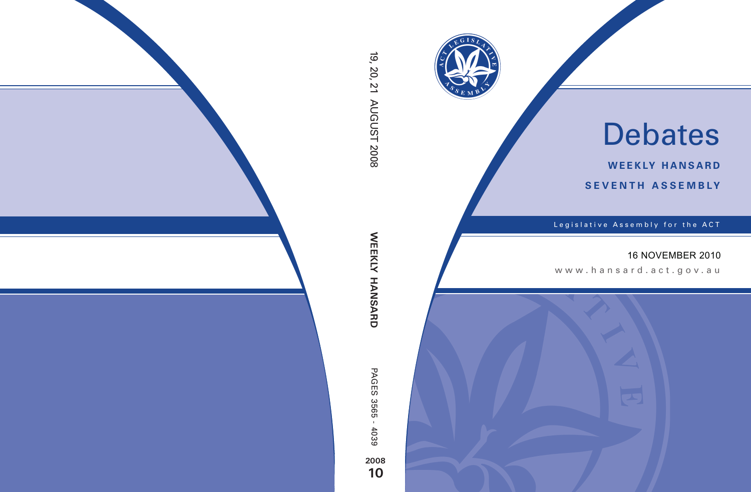

# Debates

**weekly hansard seventh asseMBly**

Legislative Assembly for the ACT

# 16 NOVEMBER 2010

www.hansard.act.gov.au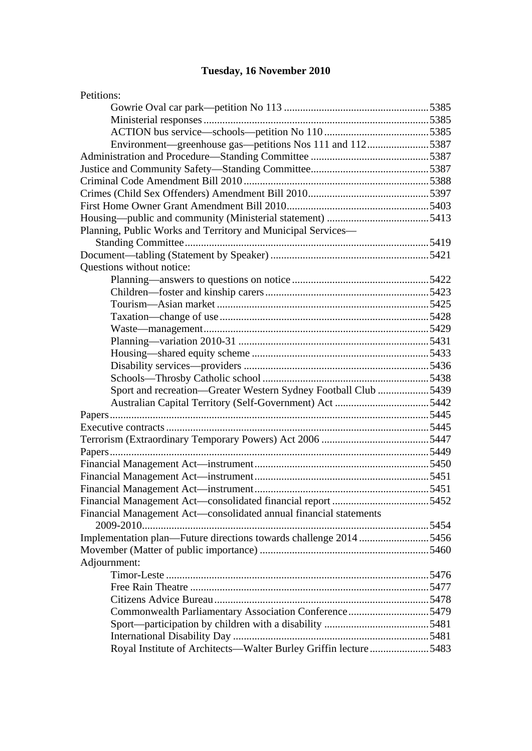# **Tuesday, 16 November 2010**

| Petitions:                                                        |       |
|-------------------------------------------------------------------|-------|
|                                                                   |       |
|                                                                   |       |
|                                                                   |       |
| Environment—greenhouse gas—petitions Nos 111 and 1125387          |       |
|                                                                   |       |
|                                                                   |       |
|                                                                   |       |
|                                                                   |       |
|                                                                   |       |
|                                                                   |       |
| Planning, Public Works and Territory and Municipal Services—      |       |
|                                                                   |       |
|                                                                   |       |
| Questions without notice:                                         |       |
|                                                                   |       |
|                                                                   |       |
|                                                                   |       |
|                                                                   |       |
|                                                                   |       |
|                                                                   |       |
|                                                                   |       |
|                                                                   |       |
|                                                                   |       |
| Sport and recreation-Greater Western Sydney Football Club 5439    |       |
|                                                                   |       |
|                                                                   |       |
|                                                                   |       |
|                                                                   |       |
|                                                                   |       |
|                                                                   |       |
|                                                                   |       |
|                                                                   | .5451 |
|                                                                   |       |
| Financial Management Act—consolidated annual financial statements |       |
|                                                                   |       |
| Implementation plan—Future directions towards challenge 2014 5456 |       |
|                                                                   |       |
| Adjournment:                                                      |       |
|                                                                   |       |
|                                                                   |       |
|                                                                   |       |
| Commonwealth Parliamentary Association Conference5479             |       |
|                                                                   |       |
|                                                                   |       |
| Royal Institute of Architects—Walter Burley Griffin lecture 5483  |       |
|                                                                   |       |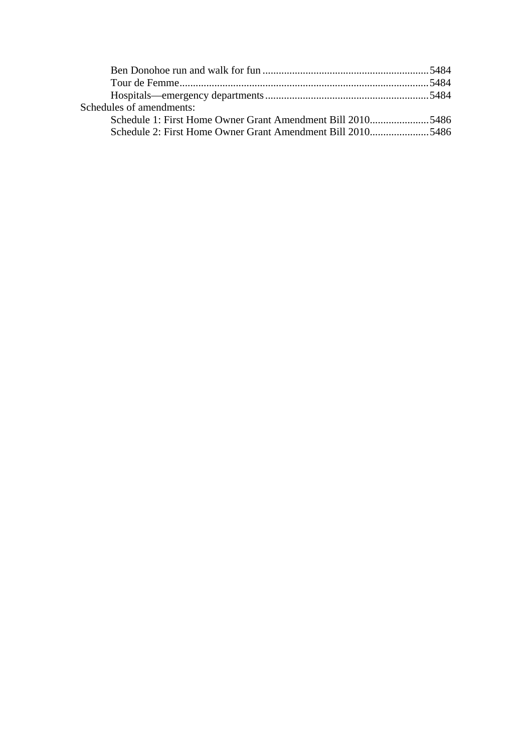| Schedules of amendments:                                   |  |
|------------------------------------------------------------|--|
| Schedule 1: First Home Owner Grant Amendment Bill 20105486 |  |
| Schedule 2: First Home Owner Grant Amendment Bill 20105486 |  |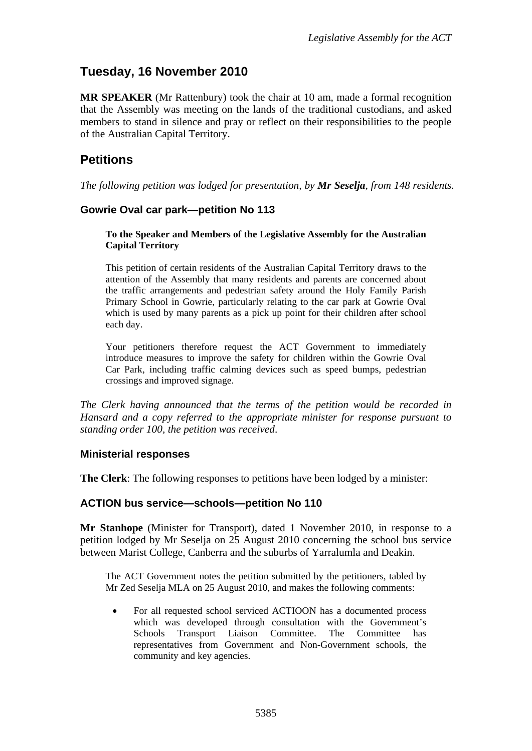# **Tuesday, 16 November 2010**

**MR SPEAKER** (Mr Rattenbury) took the chair at 10 am, made a formal recognition that the Assembly was meeting on the lands of the traditional custodians, and asked members to stand in silence and pray or reflect on their responsibilities to the people of the Australian Capital Territory.

# **Petitions**

*The following petition was lodged for presentation, by Mr Seselja, from 148 residents.* 

## <span id="page-3-0"></span>**Gowrie Oval car park—petition No 113**

#### **To the Speaker and Members of the Legislative Assembly for the Australian Capital Territory**

This petition of certain residents of the Australian Capital Territory draws to the attention of the Assembly that many residents and parents are concerned about the traffic arrangements and pedestrian safety around the Holy Family Parish Primary School in Gowrie, particularly relating to the car park at Gowrie Oval which is used by many parents as a pick up point for their children after school each day.

Your petitioners therefore request the ACT Government to immediately introduce measures to improve the safety for children within the Gowrie Oval Car Park, including traffic calming devices such as speed bumps, pedestrian crossings and improved signage.

*The Clerk having announced that the terms of the petition would be recorded in Hansard and a copy referred to the appropriate minister for response pursuant to standing order 100, the petition was received*.

## <span id="page-3-1"></span>**Ministerial responses**

**The Clerk**: The following responses to petitions have been lodged by a minister:

#### <span id="page-3-2"></span>**ACTION bus service—schools—petition No 110**

**Mr Stanhope** (Minister for Transport), dated 1 November 2010, in response to a petition lodged by Mr Seselja on 25 August 2010 concerning the school bus service between Marist College, Canberra and the suburbs of Yarralumla and Deakin.

The ACT Government notes the petition submitted by the petitioners, tabled by Mr Zed Seselja MLA on 25 August 2010, and makes the following comments:

 For all requested school serviced ACTIOON has a documented process which was developed through consultation with the Government's Schools Transport Liaison Committee. The Committee has representatives from Government and Non-Government schools, the community and key agencies.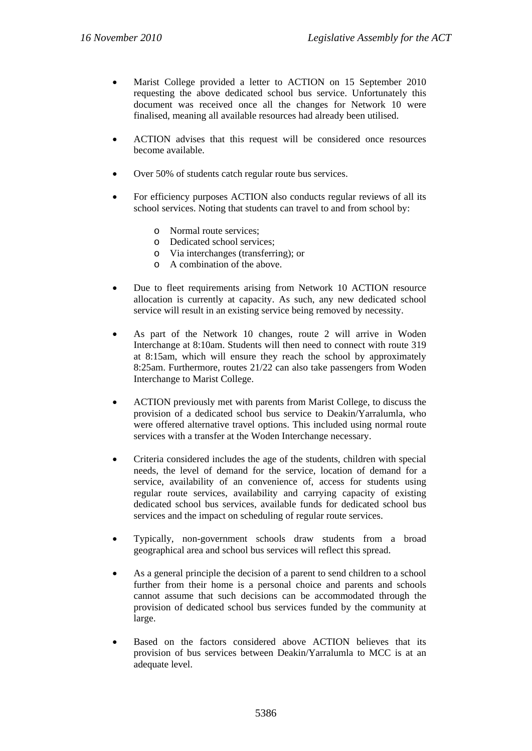- Marist College provided a letter to ACTION on 15 September 2010 requesting the above dedicated school bus service. Unfortunately this document was received once all the changes for Network 10 were finalised, meaning all available resources had already been utilised.
- ACTION advises that this request will be considered once resources become available.
- Over 50% of students catch regular route bus services.
- For efficiency purposes ACTION also conducts regular reviews of all its school services. Noting that students can travel to and from school by:
	- o Normal route services;
	- o Dedicated school services;
	- o Via interchanges (transferring); or
	- o A combination of the above.
- Due to fleet requirements arising from Network 10 ACTION resource allocation is currently at capacity. As such, any new dedicated school service will result in an existing service being removed by necessity.
- As part of the Network 10 changes, route 2 will arrive in Woden Interchange at 8:10am. Students will then need to connect with route 319 at 8:15am, which will ensure they reach the school by approximately 8:25am. Furthermore, routes 21/22 can also take passengers from Woden Interchange to Marist College.
- ACTION previously met with parents from Marist College, to discuss the provision of a dedicated school bus service to Deakin/Yarralumla, who were offered alternative travel options. This included using normal route services with a transfer at the Woden Interchange necessary.
- Criteria considered includes the age of the students, children with special needs, the level of demand for the service, location of demand for a service, availability of an convenience of, access for students using regular route services, availability and carrying capacity of existing dedicated school bus services, available funds for dedicated school bus services and the impact on scheduling of regular route services.
- Typically, non-government schools draw students from a broad geographical area and school bus services will reflect this spread.
- As a general principle the decision of a parent to send children to a school further from their home is a personal choice and parents and schools cannot assume that such decisions can be accommodated through the provision of dedicated school bus services funded by the community at large.
- Based on the factors considered above ACTION believes that its provision of bus services between Deakin/Yarralumla to MCC is at an adequate level.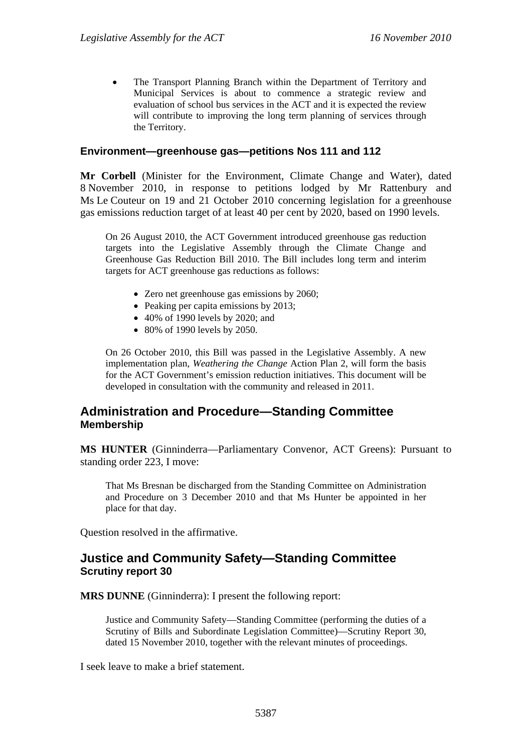The Transport Planning Branch within the Department of Territory and Municipal Services is about to commence a strategic review and evaluation of school bus services in the ACT and it is expected the review will contribute to improving the long term planning of services through the Territory.

#### <span id="page-5-0"></span>**Environment—greenhouse gas—petitions Nos 111 and 112**

**Mr Corbell** (Minister for the Environment, Climate Change and Water), dated 8 November 2010, in response to petitions lodged by Mr Rattenbury and Ms Le Couteur on 19 and 21 October 2010 concerning legislation for a greenhouse gas emissions reduction target of at least 40 per cent by 2020, based on 1990 levels.

On 26 August 2010, the ACT Government introduced greenhouse gas reduction targets into the Legislative Assembly through the Climate Change and Greenhouse Gas Reduction Bill 2010. The Bill includes long term and interim targets for ACT greenhouse gas reductions as follows:

- Zero net greenhouse gas emissions by 2060;
- Peaking per capita emissions by 2013:
- 40% of 1990 levels by 2020; and
- 80% of 1990 levels by 2050.

On 26 October 2010, this Bill was passed in the Legislative Assembly. A new implementation plan, *Weathering the Change* Action Plan 2, will form the basis for the ACT Government's emission reduction initiatives. This document will be developed in consultation with the community and released in 2011.

## <span id="page-5-1"></span>**Administration and Procedure—Standing Committee Membership**

**MS HUNTER** (Ginninderra—Parliamentary Convenor, ACT Greens): Pursuant to standing order 223, I move:

That Ms Bresnan be discharged from the Standing Committee on Administration and Procedure on 3 December 2010 and that Ms Hunter be appointed in her place for that day.

Question resolved in the affirmative.

## <span id="page-5-2"></span>**Justice and Community Safety—Standing Committee Scrutiny report 30**

**MRS DUNNE** (Ginninderra): I present the following report:

Justice and Community Safety—Standing Committee (performing the duties of a Scrutiny of Bills and Subordinate Legislation Committee)—Scrutiny Report 30*,*  dated 15 November 2010, together with the relevant minutes of proceedings.

I seek leave to make a brief statement.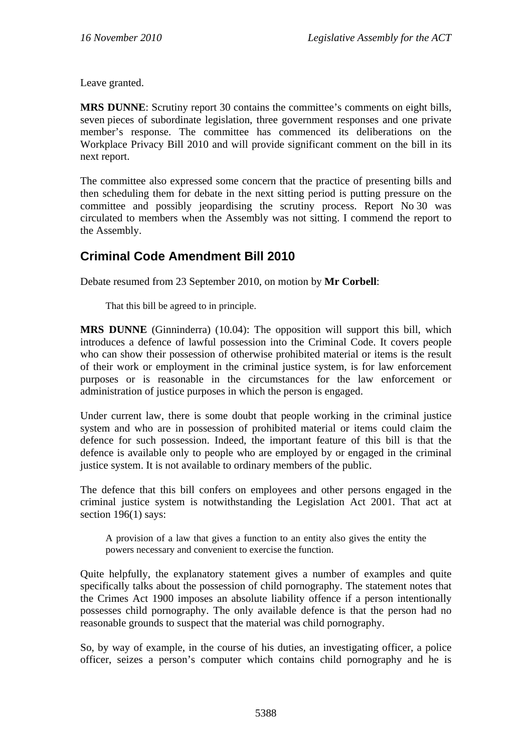Leave granted.

**MRS DUNNE**: Scrutiny report 30 contains the committee's comments on eight bills, seven pieces of subordinate legislation, three government responses and one private member's response. The committee has commenced its deliberations on the Workplace Privacy Bill 2010 and will provide significant comment on the bill in its next report.

The committee also expressed some concern that the practice of presenting bills and then scheduling them for debate in the next sitting period is putting pressure on the committee and possibly jeopardising the scrutiny process. Report No 30 was circulated to members when the Assembly was not sitting. I commend the report to the Assembly.

# <span id="page-6-0"></span>**Criminal Code Amendment Bill 2010**

Debate resumed from 23 September 2010, on motion by **Mr Corbell**:

That this bill be agreed to in principle.

**MRS DUNNE** (Ginninderra) (10.04): The opposition will support this bill, which introduces a defence of lawful possession into the Criminal Code. It covers people who can show their possession of otherwise prohibited material or items is the result of their work or employment in the criminal justice system, is for law enforcement purposes or is reasonable in the circumstances for the law enforcement or administration of justice purposes in which the person is engaged.

Under current law, there is some doubt that people working in the criminal justice system and who are in possession of prohibited material or items could claim the defence for such possession. Indeed, the important feature of this bill is that the defence is available only to people who are employed by or engaged in the criminal justice system. It is not available to ordinary members of the public.

The defence that this bill confers on employees and other persons engaged in the criminal justice system is notwithstanding the Legislation Act 2001. That act at section 196(1) says:

A provision of a law that gives a function to an entity also gives the entity the powers necessary and convenient to exercise the function.

Quite helpfully, the explanatory statement gives a number of examples and quite specifically talks about the possession of child pornography. The statement notes that the Crimes Act 1900 imposes an absolute liability offence if a person intentionally possesses child pornography. The only available defence is that the person had no reasonable grounds to suspect that the material was child pornography.

So, by way of example, in the course of his duties, an investigating officer, a police officer, seizes a person's computer which contains child pornography and he is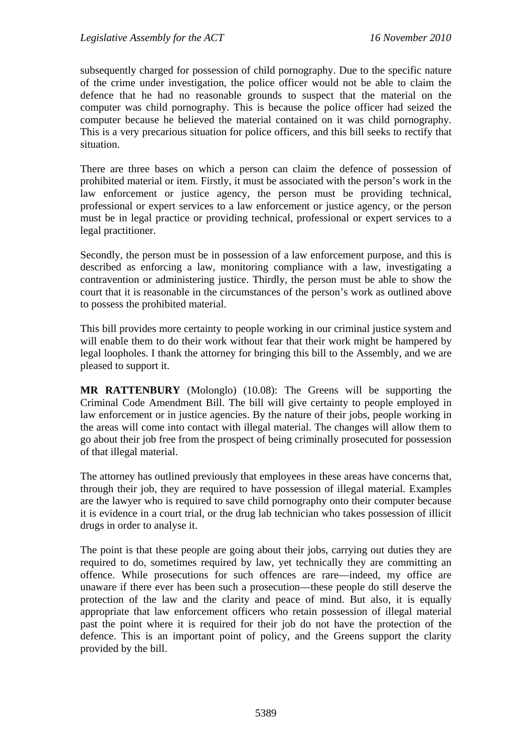subsequently charged for possession of child pornography. Due to the specific nature of the crime under investigation, the police officer would not be able to claim the defence that he had no reasonable grounds to suspect that the material on the computer was child pornography. This is because the police officer had seized the computer because he believed the material contained on it was child pornography. This is a very precarious situation for police officers, and this bill seeks to rectify that situation.

There are three bases on which a person can claim the defence of possession of prohibited material or item. Firstly, it must be associated with the person's work in the law enforcement or justice agency, the person must be providing technical, professional or expert services to a law enforcement or justice agency, or the person must be in legal practice or providing technical, professional or expert services to a legal practitioner.

Secondly, the person must be in possession of a law enforcement purpose, and this is described as enforcing a law, monitoring compliance with a law, investigating a contravention or administering justice. Thirdly, the person must be able to show the court that it is reasonable in the circumstances of the person's work as outlined above to possess the prohibited material.

This bill provides more certainty to people working in our criminal justice system and will enable them to do their work without fear that their work might be hampered by legal loopholes. I thank the attorney for bringing this bill to the Assembly, and we are pleased to support it.

**MR RATTENBURY** (Molonglo) (10.08): The Greens will be supporting the Criminal Code Amendment Bill. The bill will give certainty to people employed in law enforcement or in justice agencies. By the nature of their jobs, people working in the areas will come into contact with illegal material. The changes will allow them to go about their job free from the prospect of being criminally prosecuted for possession of that illegal material.

The attorney has outlined previously that employees in these areas have concerns that, through their job, they are required to have possession of illegal material. Examples are the lawyer who is required to save child pornography onto their computer because it is evidence in a court trial, or the drug lab technician who takes possession of illicit drugs in order to analyse it.

The point is that these people are going about their jobs, carrying out duties they are required to do, sometimes required by law, yet technically they are committing an offence. While prosecutions for such offences are rare—indeed, my office are unaware if there ever has been such a prosecution—these people do still deserve the protection of the law and the clarity and peace of mind. But also, it is equally appropriate that law enforcement officers who retain possession of illegal material past the point where it is required for their job do not have the protection of the defence. This is an important point of policy, and the Greens support the clarity provided by the bill.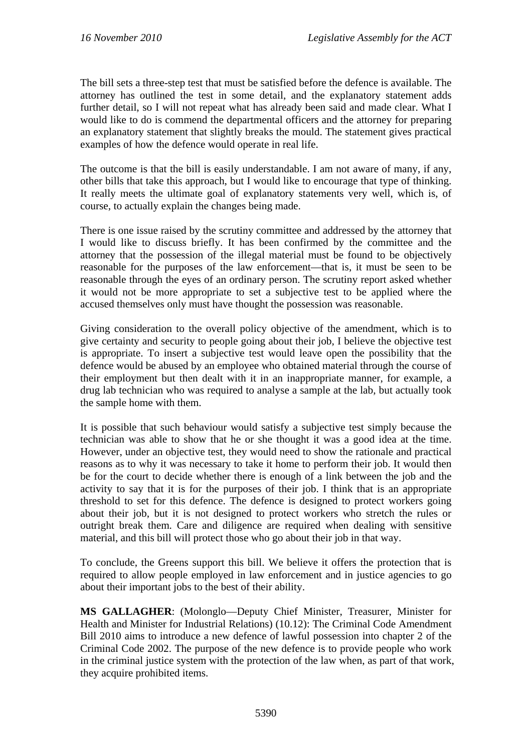The bill sets a three-step test that must be satisfied before the defence is available. The attorney has outlined the test in some detail, and the explanatory statement adds further detail, so I will not repeat what has already been said and made clear. What I would like to do is commend the departmental officers and the attorney for preparing an explanatory statement that slightly breaks the mould. The statement gives practical examples of how the defence would operate in real life.

The outcome is that the bill is easily understandable. I am not aware of many, if any, other bills that take this approach, but I would like to encourage that type of thinking. It really meets the ultimate goal of explanatory statements very well, which is, of course, to actually explain the changes being made.

There is one issue raised by the scrutiny committee and addressed by the attorney that I would like to discuss briefly. It has been confirmed by the committee and the attorney that the possession of the illegal material must be found to be objectively reasonable for the purposes of the law enforcement—that is, it must be seen to be reasonable through the eyes of an ordinary person. The scrutiny report asked whether it would not be more appropriate to set a subjective test to be applied where the accused themselves only must have thought the possession was reasonable.

Giving consideration to the overall policy objective of the amendment, which is to give certainty and security to people going about their job, I believe the objective test is appropriate. To insert a subjective test would leave open the possibility that the defence would be abused by an employee who obtained material through the course of their employment but then dealt with it in an inappropriate manner, for example, a drug lab technician who was required to analyse a sample at the lab, but actually took the sample home with them.

It is possible that such behaviour would satisfy a subjective test simply because the technician was able to show that he or she thought it was a good idea at the time. However, under an objective test, they would need to show the rationale and practical reasons as to why it was necessary to take it home to perform their job. It would then be for the court to decide whether there is enough of a link between the job and the activity to say that it is for the purposes of their job. I think that is an appropriate threshold to set for this defence. The defence is designed to protect workers going about their job, but it is not designed to protect workers who stretch the rules or outright break them. Care and diligence are required when dealing with sensitive material, and this bill will protect those who go about their job in that way.

To conclude, the Greens support this bill. We believe it offers the protection that is required to allow people employed in law enforcement and in justice agencies to go about their important jobs to the best of their ability.

**MS GALLAGHER**: (Molonglo—Deputy Chief Minister, Treasurer, Minister for Health and Minister for Industrial Relations) (10.12): The Criminal Code Amendment Bill 2010 aims to introduce a new defence of lawful possession into chapter 2 of the Criminal Code 2002. The purpose of the new defence is to provide people who work in the criminal justice system with the protection of the law when, as part of that work, they acquire prohibited items.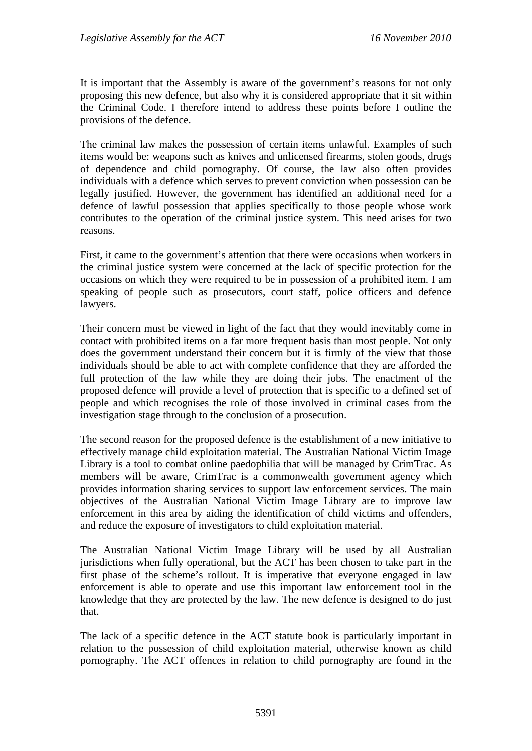It is important that the Assembly is aware of the government's reasons for not only proposing this new defence, but also why it is considered appropriate that it sit within the Criminal Code. I therefore intend to address these points before I outline the provisions of the defence.

The criminal law makes the possession of certain items unlawful. Examples of such items would be: weapons such as knives and unlicensed firearms, stolen goods, drugs of dependence and child pornography. Of course, the law also often provides individuals with a defence which serves to prevent conviction when possession can be legally justified. However, the government has identified an additional need for a defence of lawful possession that applies specifically to those people whose work contributes to the operation of the criminal justice system. This need arises for two reasons.

First, it came to the government's attention that there were occasions when workers in the criminal justice system were concerned at the lack of specific protection for the occasions on which they were required to be in possession of a prohibited item. I am speaking of people such as prosecutors, court staff, police officers and defence lawyers.

Their concern must be viewed in light of the fact that they would inevitably come in contact with prohibited items on a far more frequent basis than most people. Not only does the government understand their concern but it is firmly of the view that those individuals should be able to act with complete confidence that they are afforded the full protection of the law while they are doing their jobs. The enactment of the proposed defence will provide a level of protection that is specific to a defined set of people and which recognises the role of those involved in criminal cases from the investigation stage through to the conclusion of a prosecution.

The second reason for the proposed defence is the establishment of a new initiative to effectively manage child exploitation material. The Australian National Victim Image Library is a tool to combat online paedophilia that will be managed by CrimTrac. As members will be aware, CrimTrac is a commonwealth government agency which provides information sharing services to support law enforcement services. The main objectives of the Australian National Victim Image Library are to improve law enforcement in this area by aiding the identification of child victims and offenders, and reduce the exposure of investigators to child exploitation material.

The Australian National Victim Image Library will be used by all Australian jurisdictions when fully operational, but the ACT has been chosen to take part in the first phase of the scheme's rollout. It is imperative that everyone engaged in law enforcement is able to operate and use this important law enforcement tool in the knowledge that they are protected by the law. The new defence is designed to do just that.

The lack of a specific defence in the ACT statute book is particularly important in relation to the possession of child exploitation material, otherwise known as child pornography. The ACT offences in relation to child pornography are found in the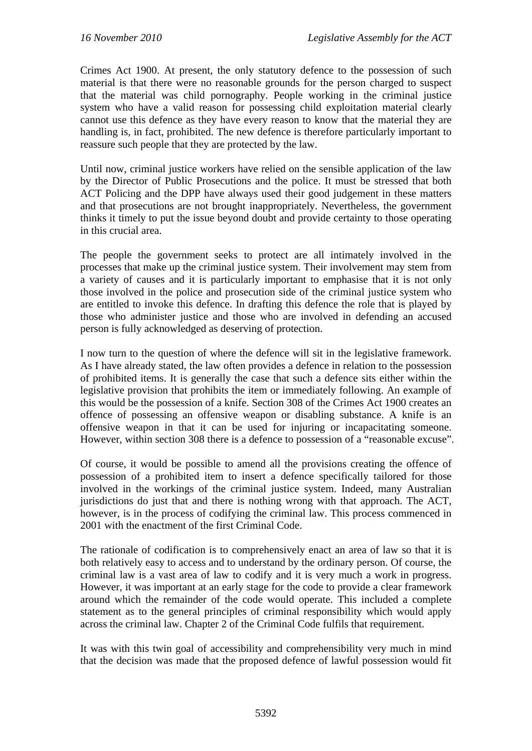Crimes Act 1900. At present, the only statutory defence to the possession of such material is that there were no reasonable grounds for the person charged to suspect that the material was child pornography. People working in the criminal justice system who have a valid reason for possessing child exploitation material clearly cannot use this defence as they have every reason to know that the material they are handling is, in fact, prohibited. The new defence is therefore particularly important to reassure such people that they are protected by the law.

Until now, criminal justice workers have relied on the sensible application of the law by the Director of Public Prosecutions and the police. It must be stressed that both ACT Policing and the DPP have always used their good judgement in these matters and that prosecutions are not brought inappropriately. Nevertheless, the government thinks it timely to put the issue beyond doubt and provide certainty to those operating in this crucial area.

The people the government seeks to protect are all intimately involved in the processes that make up the criminal justice system. Their involvement may stem from a variety of causes and it is particularly important to emphasise that it is not only those involved in the police and prosecution side of the criminal justice system who are entitled to invoke this defence. In drafting this defence the role that is played by those who administer justice and those who are involved in defending an accused person is fully acknowledged as deserving of protection.

I now turn to the question of where the defence will sit in the legislative framework. As I have already stated, the law often provides a defence in relation to the possession of prohibited items. It is generally the case that such a defence sits either within the legislative provision that prohibits the item or immediately following. An example of this would be the possession of a knife. Section 308 of the Crimes Act 1900 creates an offence of possessing an offensive weapon or disabling substance. A knife is an offensive weapon in that it can be used for injuring or incapacitating someone. However, within section 308 there is a defence to possession of a "reasonable excuse".

Of course, it would be possible to amend all the provisions creating the offence of possession of a prohibited item to insert a defence specifically tailored for those involved in the workings of the criminal justice system. Indeed, many Australian jurisdictions do just that and there is nothing wrong with that approach. The ACT, however, is in the process of codifying the criminal law. This process commenced in 2001 with the enactment of the first Criminal Code.

The rationale of codification is to comprehensively enact an area of law so that it is both relatively easy to access and to understand by the ordinary person. Of course, the criminal law is a vast area of law to codify and it is very much a work in progress. However, it was important at an early stage for the code to provide a clear framework around which the remainder of the code would operate. This included a complete statement as to the general principles of criminal responsibility which would apply across the criminal law. Chapter 2 of the Criminal Code fulfils that requirement.

It was with this twin goal of accessibility and comprehensibility very much in mind that the decision was made that the proposed defence of lawful possession would fit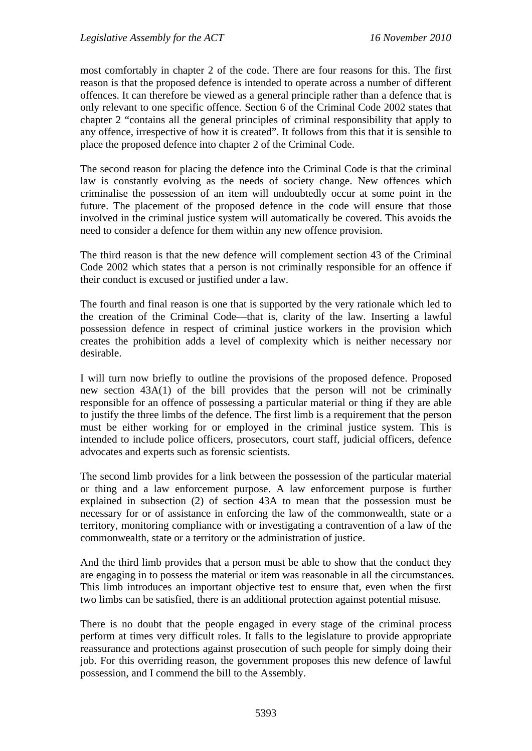most comfortably in chapter 2 of the code. There are four reasons for this. The first reason is that the proposed defence is intended to operate across a number of different offences. It can therefore be viewed as a general principle rather than a defence that is only relevant to one specific offence. Section 6 of the Criminal Code 2002 states that chapter 2 "contains all the general principles of criminal responsibility that apply to any offence, irrespective of how it is created". It follows from this that it is sensible to place the proposed defence into chapter 2 of the Criminal Code.

The second reason for placing the defence into the Criminal Code is that the criminal law is constantly evolving as the needs of society change. New offences which criminalise the possession of an item will undoubtedly occur at some point in the future. The placement of the proposed defence in the code will ensure that those involved in the criminal justice system will automatically be covered. This avoids the need to consider a defence for them within any new offence provision.

The third reason is that the new defence will complement section 43 of the Criminal Code 2002 which states that a person is not criminally responsible for an offence if their conduct is excused or justified under a law.

The fourth and final reason is one that is supported by the very rationale which led to the creation of the Criminal Code—that is, clarity of the law. Inserting a lawful possession defence in respect of criminal justice workers in the provision which creates the prohibition adds a level of complexity which is neither necessary nor desirable.

I will turn now briefly to outline the provisions of the proposed defence. Proposed new section 43A(1) of the bill provides that the person will not be criminally responsible for an offence of possessing a particular material or thing if they are able to justify the three limbs of the defence. The first limb is a requirement that the person must be either working for or employed in the criminal justice system. This is intended to include police officers, prosecutors, court staff, judicial officers, defence advocates and experts such as forensic scientists.

The second limb provides for a link between the possession of the particular material or thing and a law enforcement purpose. A law enforcement purpose is further explained in subsection (2) of section 43A to mean that the possession must be necessary for or of assistance in enforcing the law of the commonwealth, state or a territory, monitoring compliance with or investigating a contravention of a law of the commonwealth, state or a territory or the administration of justice.

And the third limb provides that a person must be able to show that the conduct they are engaging in to possess the material or item was reasonable in all the circumstances. This limb introduces an important objective test to ensure that, even when the first two limbs can be satisfied, there is an additional protection against potential misuse.

There is no doubt that the people engaged in every stage of the criminal process perform at times very difficult roles. It falls to the legislature to provide appropriate reassurance and protections against prosecution of such people for simply doing their job. For this overriding reason, the government proposes this new defence of lawful possession, and I commend the bill to the Assembly.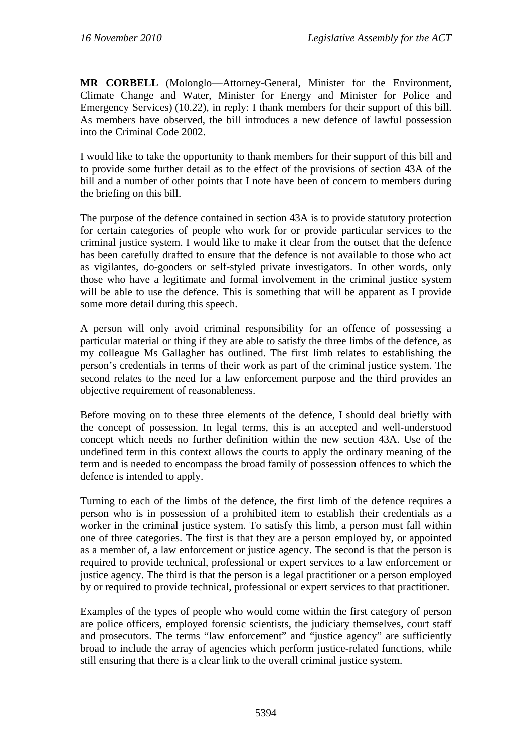**MR CORBELL** (Molonglo—Attorney-General, Minister for the Environment, Climate Change and Water, Minister for Energy and Minister for Police and Emergency Services) (10.22), in reply: I thank members for their support of this bill. As members have observed, the bill introduces a new defence of lawful possession into the Criminal Code 2002.

I would like to take the opportunity to thank members for their support of this bill and to provide some further detail as to the effect of the provisions of section 43A of the bill and a number of other points that I note have been of concern to members during the briefing on this bill.

The purpose of the defence contained in section 43A is to provide statutory protection for certain categories of people who work for or provide particular services to the criminal justice system. I would like to make it clear from the outset that the defence has been carefully drafted to ensure that the defence is not available to those who act as vigilantes, do-gooders or self-styled private investigators. In other words, only those who have a legitimate and formal involvement in the criminal justice system will be able to use the defence. This is something that will be apparent as I provide some more detail during this speech.

A person will only avoid criminal responsibility for an offence of possessing a particular material or thing if they are able to satisfy the three limbs of the defence, as my colleague Ms Gallagher has outlined. The first limb relates to establishing the person's credentials in terms of their work as part of the criminal justice system. The second relates to the need for a law enforcement purpose and the third provides an objective requirement of reasonableness.

Before moving on to these three elements of the defence, I should deal briefly with the concept of possession. In legal terms, this is an accepted and well-understood concept which needs no further definition within the new section 43A. Use of the undefined term in this context allows the courts to apply the ordinary meaning of the term and is needed to encompass the broad family of possession offences to which the defence is intended to apply.

Turning to each of the limbs of the defence, the first limb of the defence requires a person who is in possession of a prohibited item to establish their credentials as a worker in the criminal justice system. To satisfy this limb, a person must fall within one of three categories. The first is that they are a person employed by, or appointed as a member of, a law enforcement or justice agency. The second is that the person is required to provide technical, professional or expert services to a law enforcement or justice agency. The third is that the person is a legal practitioner or a person employed by or required to provide technical, professional or expert services to that practitioner.

Examples of the types of people who would come within the first category of person are police officers, employed forensic scientists, the judiciary themselves, court staff and prosecutors. The terms "law enforcement" and "justice agency" are sufficiently broad to include the array of agencies which perform justice-related functions, while still ensuring that there is a clear link to the overall criminal justice system.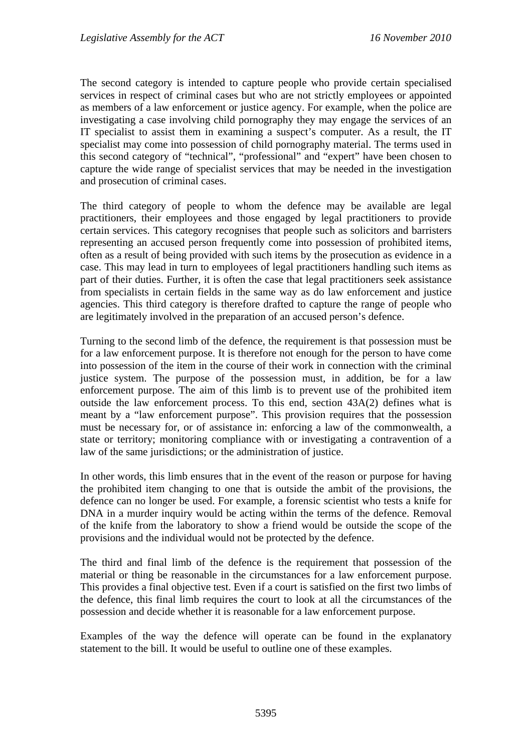The second category is intended to capture people who provide certain specialised services in respect of criminal cases but who are not strictly employees or appointed as members of a law enforcement or justice agency. For example, when the police are investigating a case involving child pornography they may engage the services of an IT specialist to assist them in examining a suspect's computer. As a result, the IT specialist may come into possession of child pornography material. The terms used in this second category of "technical", "professional" and "expert" have been chosen to capture the wide range of specialist services that may be needed in the investigation and prosecution of criminal cases.

The third category of people to whom the defence may be available are legal practitioners, their employees and those engaged by legal practitioners to provide certain services. This category recognises that people such as solicitors and barristers representing an accused person frequently come into possession of prohibited items, often as a result of being provided with such items by the prosecution as evidence in a case. This may lead in turn to employees of legal practitioners handling such items as part of their duties. Further, it is often the case that legal practitioners seek assistance from specialists in certain fields in the same way as do law enforcement and justice agencies. This third category is therefore drafted to capture the range of people who are legitimately involved in the preparation of an accused person's defence.

Turning to the second limb of the defence, the requirement is that possession must be for a law enforcement purpose. It is therefore not enough for the person to have come into possession of the item in the course of their work in connection with the criminal justice system. The purpose of the possession must, in addition, be for a law enforcement purpose. The aim of this limb is to prevent use of the prohibited item outside the law enforcement process. To this end, section 43A(2) defines what is meant by a "law enforcement purpose". This provision requires that the possession must be necessary for, or of assistance in: enforcing a law of the commonwealth, a state or territory; monitoring compliance with or investigating a contravention of a law of the same jurisdictions; or the administration of justice.

In other words, this limb ensures that in the event of the reason or purpose for having the prohibited item changing to one that is outside the ambit of the provisions, the defence can no longer be used. For example, a forensic scientist who tests a knife for DNA in a murder inquiry would be acting within the terms of the defence. Removal of the knife from the laboratory to show a friend would be outside the scope of the provisions and the individual would not be protected by the defence.

The third and final limb of the defence is the requirement that possession of the material or thing be reasonable in the circumstances for a law enforcement purpose. This provides a final objective test. Even if a court is satisfied on the first two limbs of the defence, this final limb requires the court to look at all the circumstances of the possession and decide whether it is reasonable for a law enforcement purpose.

Examples of the way the defence will operate can be found in the explanatory statement to the bill. It would be useful to outline one of these examples.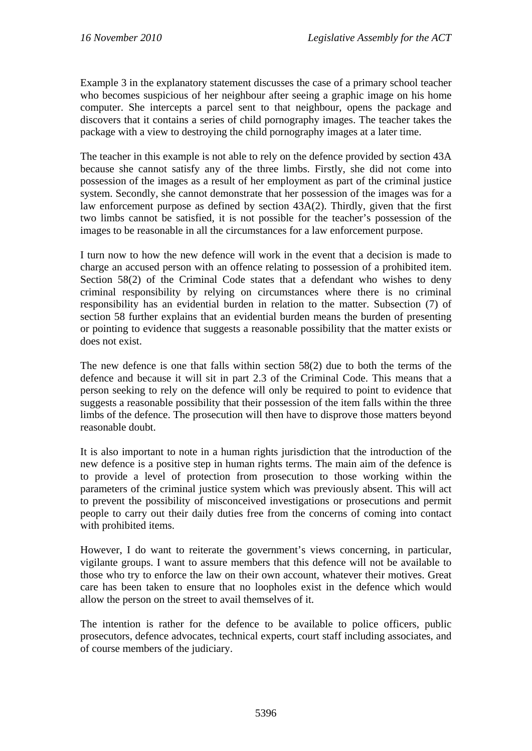Example 3 in the explanatory statement discusses the case of a primary school teacher who becomes suspicious of her neighbour after seeing a graphic image on his home computer. She intercepts a parcel sent to that neighbour, opens the package and discovers that it contains a series of child pornography images. The teacher takes the package with a view to destroying the child pornography images at a later time.

The teacher in this example is not able to rely on the defence provided by section 43A because she cannot satisfy any of the three limbs. Firstly, she did not come into possession of the images as a result of her employment as part of the criminal justice system. Secondly, she cannot demonstrate that her possession of the images was for a law enforcement purpose as defined by section 43A(2). Thirdly, given that the first two limbs cannot be satisfied, it is not possible for the teacher's possession of the images to be reasonable in all the circumstances for a law enforcement purpose.

I turn now to how the new defence will work in the event that a decision is made to charge an accused person with an offence relating to possession of a prohibited item. Section 58(2) of the Criminal Code states that a defendant who wishes to deny criminal responsibility by relying on circumstances where there is no criminal responsibility has an evidential burden in relation to the matter. Subsection (7) of section 58 further explains that an evidential burden means the burden of presenting or pointing to evidence that suggests a reasonable possibility that the matter exists or does not exist.

The new defence is one that falls within section 58(2) due to both the terms of the defence and because it will sit in part 2.3 of the Criminal Code. This means that a person seeking to rely on the defence will only be required to point to evidence that suggests a reasonable possibility that their possession of the item falls within the three limbs of the defence. The prosecution will then have to disprove those matters beyond reasonable doubt.

It is also important to note in a human rights jurisdiction that the introduction of the new defence is a positive step in human rights terms. The main aim of the defence is to provide a level of protection from prosecution to those working within the parameters of the criminal justice system which was previously absent. This will act to prevent the possibility of misconceived investigations or prosecutions and permit people to carry out their daily duties free from the concerns of coming into contact with prohibited items.

However, I do want to reiterate the government's views concerning, in particular, vigilante groups. I want to assure members that this defence will not be available to those who try to enforce the law on their own account, whatever their motives. Great care has been taken to ensure that no loopholes exist in the defence which would allow the person on the street to avail themselves of it.

The intention is rather for the defence to be available to police officers, public prosecutors, defence advocates, technical experts, court staff including associates, and of course members of the judiciary.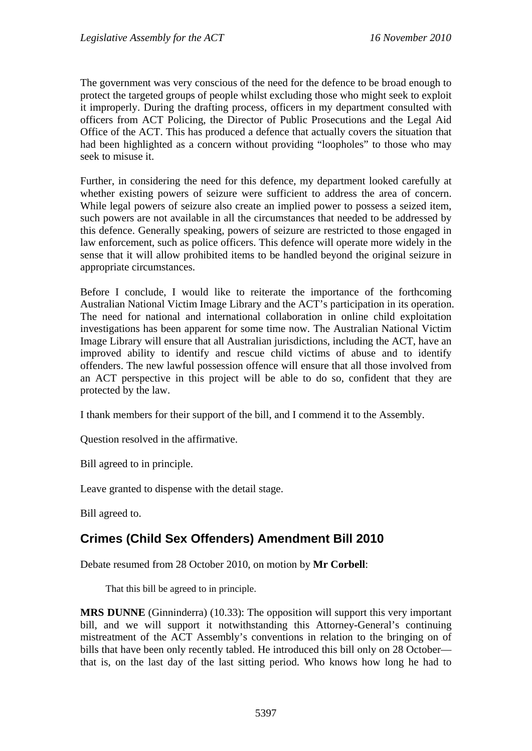The government was very conscious of the need for the defence to be broad enough to protect the targeted groups of people whilst excluding those who might seek to exploit it improperly. During the drafting process, officers in my department consulted with officers from ACT Policing, the Director of Public Prosecutions and the Legal Aid Office of the ACT. This has produced a defence that actually covers the situation that had been highlighted as a concern without providing "loopholes" to those who may seek to misuse it.

Further, in considering the need for this defence, my department looked carefully at whether existing powers of seizure were sufficient to address the area of concern. While legal powers of seizure also create an implied power to possess a seized item, such powers are not available in all the circumstances that needed to be addressed by this defence. Generally speaking, powers of seizure are restricted to those engaged in law enforcement, such as police officers. This defence will operate more widely in the sense that it will allow prohibited items to be handled beyond the original seizure in appropriate circumstances.

Before I conclude, I would like to reiterate the importance of the forthcoming Australian National Victim Image Library and the ACT's participation in its operation. The need for national and international collaboration in online child exploitation investigations has been apparent for some time now. The Australian National Victim Image Library will ensure that all Australian jurisdictions, including the ACT, have an improved ability to identify and rescue child victims of abuse and to identify offenders. The new lawful possession offence will ensure that all those involved from an ACT perspective in this project will be able to do so, confident that they are protected by the law.

I thank members for their support of the bill, and I commend it to the Assembly.

Question resolved in the affirmative.

Bill agreed to in principle.

Leave granted to dispense with the detail stage.

Bill agreed to.

# <span id="page-15-0"></span>**Crimes (Child Sex Offenders) Amendment Bill 2010**

Debate resumed from 28 October 2010, on motion by **Mr Corbell**:

That this bill be agreed to in principle.

**MRS DUNNE** (Ginninderra) (10.33): The opposition will support this very important bill, and we will support it notwithstanding this Attorney-General's continuing mistreatment of the ACT Assembly's conventions in relation to the bringing on of bills that have been only recently tabled. He introduced this bill only on 28 October that is, on the last day of the last sitting period. Who knows how long he had to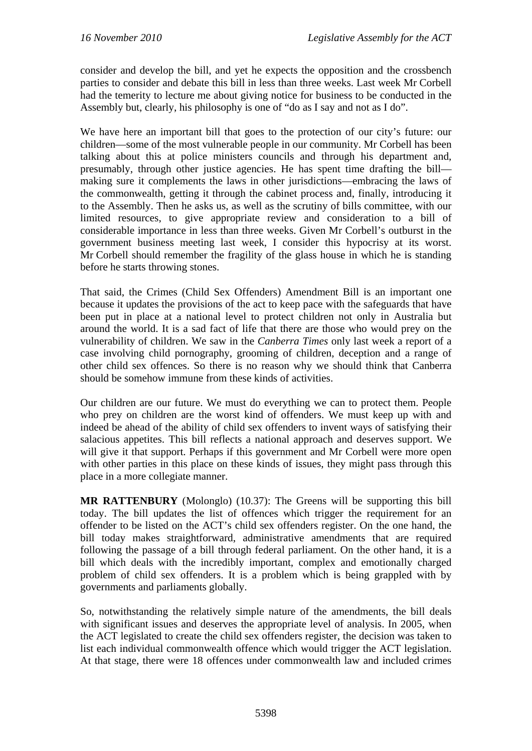consider and develop the bill, and yet he expects the opposition and the crossbench parties to consider and debate this bill in less than three weeks. Last week Mr Corbell had the temerity to lecture me about giving notice for business to be conducted in the Assembly but, clearly, his philosophy is one of "do as I say and not as I do".

We have here an important bill that goes to the protection of our city's future: our children—some of the most vulnerable people in our community. Mr Corbell has been talking about this at police ministers councils and through his department and, presumably, through other justice agencies. He has spent time drafting the bill making sure it complements the laws in other jurisdictions—embracing the laws of the commonwealth, getting it through the cabinet process and, finally, introducing it to the Assembly. Then he asks us, as well as the scrutiny of bills committee, with our limited resources, to give appropriate review and consideration to a bill of considerable importance in less than three weeks. Given Mr Corbell's outburst in the government business meeting last week, I consider this hypocrisy at its worst. Mr Corbell should remember the fragility of the glass house in which he is standing before he starts throwing stones.

That said, the Crimes (Child Sex Offenders) Amendment Bill is an important one because it updates the provisions of the act to keep pace with the safeguards that have been put in place at a national level to protect children not only in Australia but around the world. It is a sad fact of life that there are those who would prey on the vulnerability of children. We saw in the *Canberra Times* only last week a report of a case involving child pornography, grooming of children, deception and a range of other child sex offences. So there is no reason why we should think that Canberra should be somehow immune from these kinds of activities.

Our children are our future. We must do everything we can to protect them. People who prey on children are the worst kind of offenders. We must keep up with and indeed be ahead of the ability of child sex offenders to invent ways of satisfying their salacious appetites. This bill reflects a national approach and deserves support. We will give it that support. Perhaps if this government and Mr Corbell were more open with other parties in this place on these kinds of issues, they might pass through this place in a more collegiate manner.

**MR RATTENBURY** (Molonglo) (10.37): The Greens will be supporting this bill today. The bill updates the list of offences which trigger the requirement for an offender to be listed on the ACT's child sex offenders register. On the one hand, the bill today makes straightforward, administrative amendments that are required following the passage of a bill through federal parliament. On the other hand, it is a bill which deals with the incredibly important, complex and emotionally charged problem of child sex offenders. It is a problem which is being grappled with by governments and parliaments globally.

So, notwithstanding the relatively simple nature of the amendments, the bill deals with significant issues and deserves the appropriate level of analysis. In 2005, when the ACT legislated to create the child sex offenders register, the decision was taken to list each individual commonwealth offence which would trigger the ACT legislation. At that stage, there were 18 offences under commonwealth law and included crimes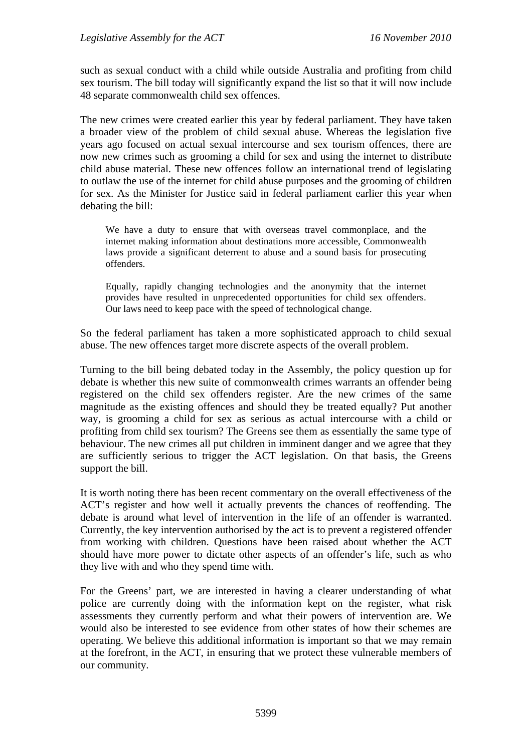such as sexual conduct with a child while outside Australia and profiting from child sex tourism. The bill today will significantly expand the list so that it will now include 48 separate commonwealth child sex offences.

The new crimes were created earlier this year by federal parliament. They have taken a broader view of the problem of child sexual abuse. Whereas the legislation five years ago focused on actual sexual intercourse and sex tourism offences, there are now new crimes such as grooming a child for sex and using the internet to distribute child abuse material. These new offences follow an international trend of legislating to outlaw the use of the internet for child abuse purposes and the grooming of children for sex. As the Minister for Justice said in federal parliament earlier this year when debating the bill:

We have a duty to ensure that with overseas travel commonplace, and the internet making information about destinations more accessible, Commonwealth laws provide a significant deterrent to abuse and a sound basis for prosecuting offenders.

Equally, rapidly changing technologies and the anonymity that the internet provides have resulted in unprecedented opportunities for child sex offenders. Our laws need to keep pace with the speed of technological change.

So the federal parliament has taken a more sophisticated approach to child sexual abuse. The new offences target more discrete aspects of the overall problem.

Turning to the bill being debated today in the Assembly, the policy question up for debate is whether this new suite of commonwealth crimes warrants an offender being registered on the child sex offenders register. Are the new crimes of the same magnitude as the existing offences and should they be treated equally? Put another way, is grooming a child for sex as serious as actual intercourse with a child or profiting from child sex tourism? The Greens see them as essentially the same type of behaviour. The new crimes all put children in imminent danger and we agree that they are sufficiently serious to trigger the ACT legislation. On that basis, the Greens support the bill.

It is worth noting there has been recent commentary on the overall effectiveness of the ACT's register and how well it actually prevents the chances of reoffending. The debate is around what level of intervention in the life of an offender is warranted. Currently, the key intervention authorised by the act is to prevent a registered offender from working with children. Questions have been raised about whether the ACT should have more power to dictate other aspects of an offender's life, such as who they live with and who they spend time with.

For the Greens' part, we are interested in having a clearer understanding of what police are currently doing with the information kept on the register, what risk assessments they currently perform and what their powers of intervention are. We would also be interested to see evidence from other states of how their schemes are operating. We believe this additional information is important so that we may remain at the forefront, in the ACT, in ensuring that we protect these vulnerable members of our community.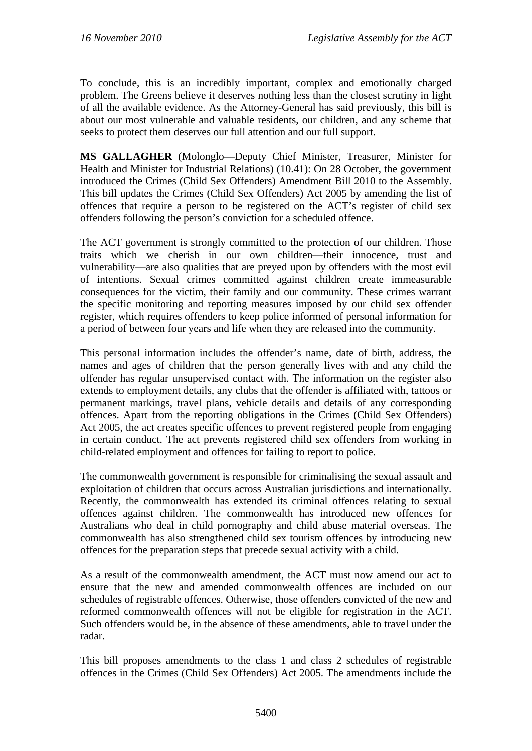To conclude, this is an incredibly important, complex and emotionally charged problem. The Greens believe it deserves nothing less than the closest scrutiny in light of all the available evidence. As the Attorney-General has said previously, this bill is about our most vulnerable and valuable residents, our children, and any scheme that seeks to protect them deserves our full attention and our full support.

**MS GALLAGHER** (Molonglo—Deputy Chief Minister, Treasurer, Minister for Health and Minister for Industrial Relations) (10.41): On 28 October, the government introduced the Crimes (Child Sex Offenders) Amendment Bill 2010 to the Assembly. This bill updates the Crimes (Child Sex Offenders) Act 2005 by amending the list of offences that require a person to be registered on the ACT's register of child sex offenders following the person's conviction for a scheduled offence.

The ACT government is strongly committed to the protection of our children. Those traits which we cherish in our own children—their innocence, trust and vulnerability—are also qualities that are preyed upon by offenders with the most evil of intentions. Sexual crimes committed against children create immeasurable consequences for the victim, their family and our community. These crimes warrant the specific monitoring and reporting measures imposed by our child sex offender register, which requires offenders to keep police informed of personal information for a period of between four years and life when they are released into the community.

This personal information includes the offender's name, date of birth, address, the names and ages of children that the person generally lives with and any child the offender has regular unsupervised contact with. The information on the register also extends to employment details, any clubs that the offender is affiliated with, tattoos or permanent markings, travel plans, vehicle details and details of any corresponding offences. Apart from the reporting obligations in the Crimes (Child Sex Offenders) Act 2005, the act creates specific offences to prevent registered people from engaging in certain conduct. The act prevents registered child sex offenders from working in child-related employment and offences for failing to report to police.

The commonwealth government is responsible for criminalising the sexual assault and exploitation of children that occurs across Australian jurisdictions and internationally. Recently, the commonwealth has extended its criminal offences relating to sexual offences against children. The commonwealth has introduced new offences for Australians who deal in child pornography and child abuse material overseas. The commonwealth has also strengthened child sex tourism offences by introducing new offences for the preparation steps that precede sexual activity with a child.

As a result of the commonwealth amendment, the ACT must now amend our act to ensure that the new and amended commonwealth offences are included on our schedules of registrable offences. Otherwise, those offenders convicted of the new and reformed commonwealth offences will not be eligible for registration in the ACT. Such offenders would be, in the absence of these amendments, able to travel under the radar.

This bill proposes amendments to the class 1 and class 2 schedules of registrable offences in the Crimes (Child Sex Offenders) Act 2005. The amendments include the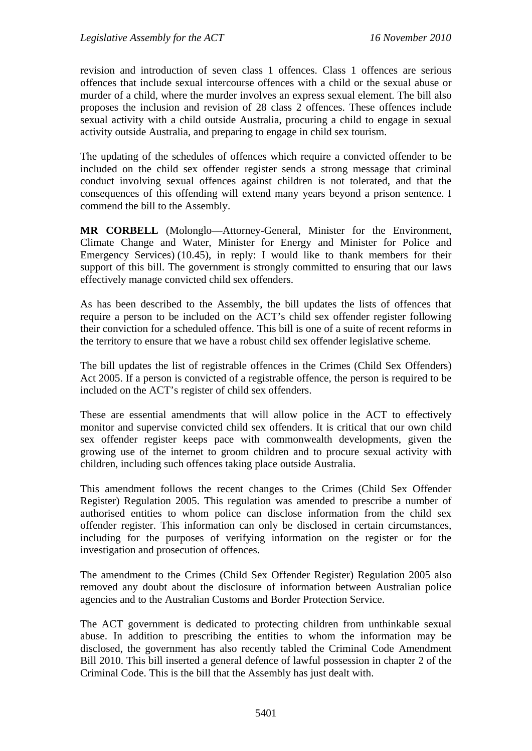revision and introduction of seven class 1 offences. Class 1 offences are serious offences that include sexual intercourse offences with a child or the sexual abuse or murder of a child, where the murder involves an express sexual element. The bill also proposes the inclusion and revision of 28 class 2 offences. These offences include sexual activity with a child outside Australia, procuring a child to engage in sexual activity outside Australia, and preparing to engage in child sex tourism.

The updating of the schedules of offences which require a convicted offender to be included on the child sex offender register sends a strong message that criminal conduct involving sexual offences against children is not tolerated, and that the consequences of this offending will extend many years beyond a prison sentence. I commend the bill to the Assembly.

**MR CORBELL** (Molonglo—Attorney-General, Minister for the Environment, Climate Change and Water, Minister for Energy and Minister for Police and Emergency Services) (10.45), in reply: I would like to thank members for their support of this bill. The government is strongly committed to ensuring that our laws effectively manage convicted child sex offenders.

As has been described to the Assembly, the bill updates the lists of offences that require a person to be included on the ACT's child sex offender register following their conviction for a scheduled offence. This bill is one of a suite of recent reforms in the territory to ensure that we have a robust child sex offender legislative scheme.

The bill updates the list of registrable offences in the Crimes (Child Sex Offenders) Act 2005. If a person is convicted of a registrable offence, the person is required to be included on the ACT's register of child sex offenders.

These are essential amendments that will allow police in the ACT to effectively monitor and supervise convicted child sex offenders. It is critical that our own child sex offender register keeps pace with commonwealth developments, given the growing use of the internet to groom children and to procure sexual activity with children, including such offences taking place outside Australia.

This amendment follows the recent changes to the Crimes (Child Sex Offender Register) Regulation 2005. This regulation was amended to prescribe a number of authorised entities to whom police can disclose information from the child sex offender register. This information can only be disclosed in certain circumstances, including for the purposes of verifying information on the register or for the investigation and prosecution of offences.

The amendment to the Crimes (Child Sex Offender Register) Regulation 2005 also removed any doubt about the disclosure of information between Australian police agencies and to the Australian Customs and Border Protection Service.

The ACT government is dedicated to protecting children from unthinkable sexual abuse. In addition to prescribing the entities to whom the information may be disclosed, the government has also recently tabled the Criminal Code Amendment Bill 2010. This bill inserted a general defence of lawful possession in chapter 2 of the Criminal Code. This is the bill that the Assembly has just dealt with.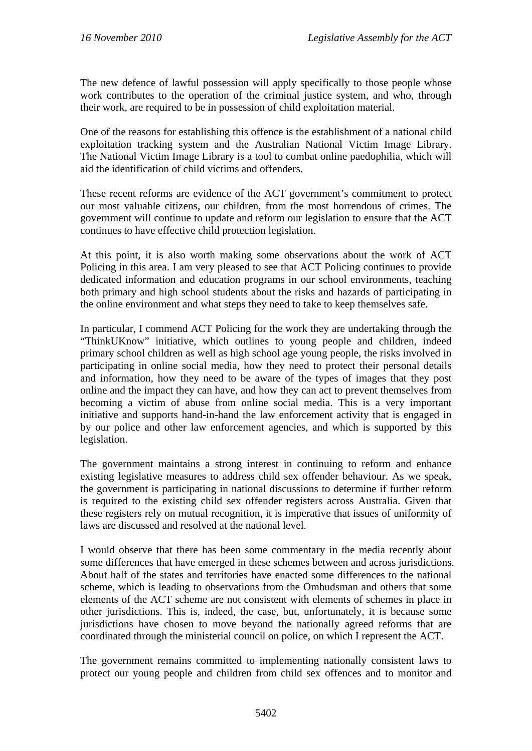The new defence of lawful possession will apply specifically to those people whose work contributes to the operation of the criminal justice system, and who, through their work, are required to be in possession of child exploitation material.

One of the reasons for establishing this offence is the establishment of a national child exploitation tracking system and the Australian National Victim Image Library. The National Victim Image Library is a tool to combat online paedophilia, which will aid the identification of child victims and offenders.

These recent reforms are evidence of the ACT government's commitment to protect our most valuable citizens, our children, from the most horrendous of crimes. The government will continue to update and reform our legislation to ensure that the ACT continues to have effective child protection legislation.

At this point, it is also worth making some observations about the work of ACT Policing in this area. I am very pleased to see that ACT Policing continues to provide dedicated information and education programs in our school environments, teaching both primary and high school students about the risks and hazards of participating in the online environment and what steps they need to take to keep themselves safe.

In particular, I commend ACT Policing for the work they are undertaking through the "ThinkUKnow" initiative, which outlines to young people and children, indeed primary school children as well as high school age young people, the risks involved in participating in online social media, how they need to protect their personal details and information, how they need to be aware of the types of images that they post online and the impact they can have, and how they can act to prevent themselves from becoming a victim of abuse from online social media. This is a very important initiative and supports hand-in-hand the law enforcement activity that is engaged in by our police and other law enforcement agencies, and which is supported by this legislation.

The government maintains a strong interest in continuing to reform and enhance existing legislative measures to address child sex offender behaviour. As we speak, the government is participating in national discussions to determine if further reform is required to the existing child sex offender registers across Australia. Given that these registers rely on mutual recognition, it is imperative that issues of uniformity of laws are discussed and resolved at the national level.

I would observe that there has been some commentary in the media recently about some differences that have emerged in these schemes between and across jurisdictions. About half of the states and territories have enacted some differences to the national scheme, which is leading to observations from the Ombudsman and others that some elements of the ACT scheme are not consistent with elements of schemes in place in other jurisdictions. This is, indeed, the case, but, unfortunately, it is because some jurisdictions have chosen to move beyond the nationally agreed reforms that are coordinated through the ministerial council on police, on which I represent the ACT.

The government remains committed to implementing nationally consistent laws to protect our young people and children from child sex offences and to monitor and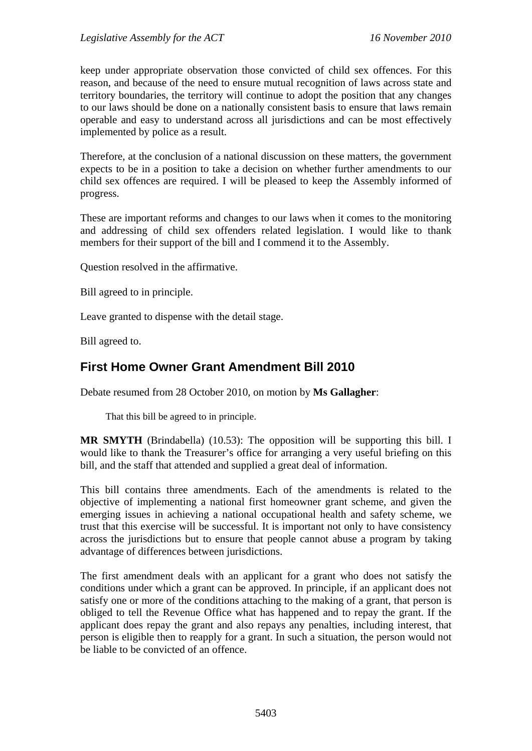keep under appropriate observation those convicted of child sex offences. For this reason, and because of the need to ensure mutual recognition of laws across state and territory boundaries, the territory will continue to adopt the position that any changes to our laws should be done on a nationally consistent basis to ensure that laws remain operable and easy to understand across all jurisdictions and can be most effectively implemented by police as a result.

Therefore, at the conclusion of a national discussion on these matters, the government expects to be in a position to take a decision on whether further amendments to our child sex offences are required. I will be pleased to keep the Assembly informed of progress.

These are important reforms and changes to our laws when it comes to the monitoring and addressing of child sex offenders related legislation. I would like to thank members for their support of the bill and I commend it to the Assembly.

Question resolved in the affirmative.

Bill agreed to in principle.

Leave granted to dispense with the detail stage.

Bill agreed to.

## <span id="page-21-0"></span>**First Home Owner Grant Amendment Bill 2010**

Debate resumed from 28 October 2010, on motion by **Ms Gallagher**:

That this bill be agreed to in principle.

**MR SMYTH** (Brindabella) (10.53): The opposition will be supporting this bill. I would like to thank the Treasurer's office for arranging a very useful briefing on this bill, and the staff that attended and supplied a great deal of information.

This bill contains three amendments. Each of the amendments is related to the objective of implementing a national first homeowner grant scheme, and given the emerging issues in achieving a national occupational health and safety scheme, we trust that this exercise will be successful. It is important not only to have consistency across the jurisdictions but to ensure that people cannot abuse a program by taking advantage of differences between jurisdictions.

The first amendment deals with an applicant for a grant who does not satisfy the conditions under which a grant can be approved. In principle, if an applicant does not satisfy one or more of the conditions attaching to the making of a grant, that person is obliged to tell the Revenue Office what has happened and to repay the grant. If the applicant does repay the grant and also repays any penalties, including interest, that person is eligible then to reapply for a grant. In such a situation, the person would not be liable to be convicted of an offence.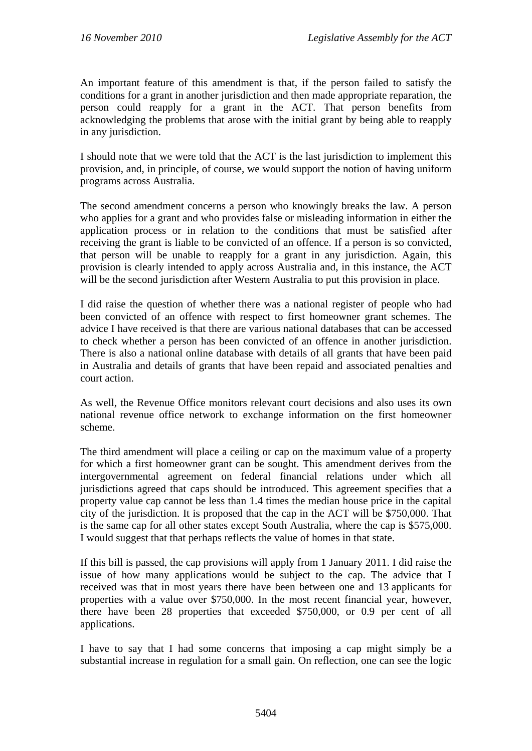An important feature of this amendment is that, if the person failed to satisfy the conditions for a grant in another jurisdiction and then made appropriate reparation, the person could reapply for a grant in the ACT. That person benefits from acknowledging the problems that arose with the initial grant by being able to reapply in any jurisdiction.

I should note that we were told that the ACT is the last jurisdiction to implement this provision, and, in principle, of course, we would support the notion of having uniform programs across Australia.

The second amendment concerns a person who knowingly breaks the law. A person who applies for a grant and who provides false or misleading information in either the application process or in relation to the conditions that must be satisfied after receiving the grant is liable to be convicted of an offence. If a person is so convicted, that person will be unable to reapply for a grant in any jurisdiction. Again, this provision is clearly intended to apply across Australia and, in this instance, the ACT will be the second jurisdiction after Western Australia to put this provision in place.

I did raise the question of whether there was a national register of people who had been convicted of an offence with respect to first homeowner grant schemes. The advice I have received is that there are various national databases that can be accessed to check whether a person has been convicted of an offence in another jurisdiction. There is also a national online database with details of all grants that have been paid in Australia and details of grants that have been repaid and associated penalties and court action.

As well, the Revenue Office monitors relevant court decisions and also uses its own national revenue office network to exchange information on the first homeowner scheme.

The third amendment will place a ceiling or cap on the maximum value of a property for which a first homeowner grant can be sought. This amendment derives from the intergovernmental agreement on federal financial relations under which all jurisdictions agreed that caps should be introduced. This agreement specifies that a property value cap cannot be less than 1.4 times the median house price in the capital city of the jurisdiction. It is proposed that the cap in the ACT will be \$750,000. That is the same cap for all other states except South Australia, where the cap is \$575,000. I would suggest that that perhaps reflects the value of homes in that state.

If this bill is passed, the cap provisions will apply from 1 January 2011. I did raise the issue of how many applications would be subject to the cap. The advice that I received was that in most years there have been between one and 13 applicants for properties with a value over \$750,000. In the most recent financial year, however, there have been 28 properties that exceeded \$750,000, or 0.9 per cent of all applications.

I have to say that I had some concerns that imposing a cap might simply be a substantial increase in regulation for a small gain. On reflection, one can see the logic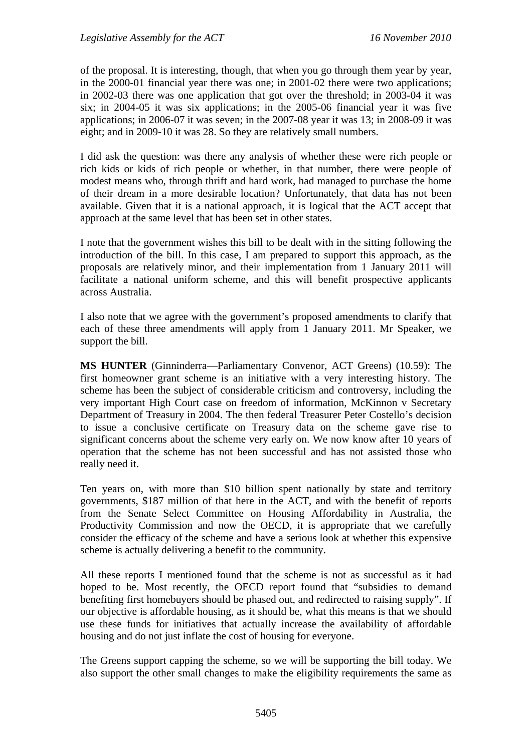of the proposal. It is interesting, though, that when you go through them year by year, in the 2000-01 financial year there was one; in 2001-02 there were two applications; in 2002-03 there was one application that got over the threshold; in 2003-04 it was six; in 2004-05 it was six applications; in the 2005-06 financial year it was five applications; in 2006-07 it was seven; in the 2007-08 year it was 13; in 2008-09 it was eight; and in 2009-10 it was 28. So they are relatively small numbers.

I did ask the question: was there any analysis of whether these were rich people or rich kids or kids of rich people or whether, in that number, there were people of modest means who, through thrift and hard work, had managed to purchase the home of their dream in a more desirable location? Unfortunately, that data has not been available. Given that it is a national approach, it is logical that the ACT accept that approach at the same level that has been set in other states.

I note that the government wishes this bill to be dealt with in the sitting following the introduction of the bill. In this case, I am prepared to support this approach, as the proposals are relatively minor, and their implementation from 1 January 2011 will facilitate a national uniform scheme, and this will benefit prospective applicants across Australia.

I also note that we agree with the government's proposed amendments to clarify that each of these three amendments will apply from 1 January 2011. Mr Speaker, we support the bill.

**MS HUNTER** (Ginninderra—Parliamentary Convenor, ACT Greens) (10.59): The first homeowner grant scheme is an initiative with a very interesting history. The scheme has been the subject of considerable criticism and controversy, including the very important High Court case on freedom of information, McKinnon v Secretary Department of Treasury in 2004. The then federal Treasurer Peter Costello's decision to issue a conclusive certificate on Treasury data on the scheme gave rise to significant concerns about the scheme very early on. We now know after 10 years of operation that the scheme has not been successful and has not assisted those who really need it.

Ten years on, with more than \$10 billion spent nationally by state and territory governments, \$187 million of that here in the ACT, and with the benefit of reports from the Senate Select Committee on Housing Affordability in Australia, the Productivity Commission and now the OECD, it is appropriate that we carefully consider the efficacy of the scheme and have a serious look at whether this expensive scheme is actually delivering a benefit to the community.

All these reports I mentioned found that the scheme is not as successful as it had hoped to be. Most recently, the OECD report found that "subsidies to demand benefiting first homebuyers should be phased out, and redirected to raising supply". If our objective is affordable housing, as it should be, what this means is that we should use these funds for initiatives that actually increase the availability of affordable housing and do not just inflate the cost of housing for everyone.

The Greens support capping the scheme, so we will be supporting the bill today. We also support the other small changes to make the eligibility requirements the same as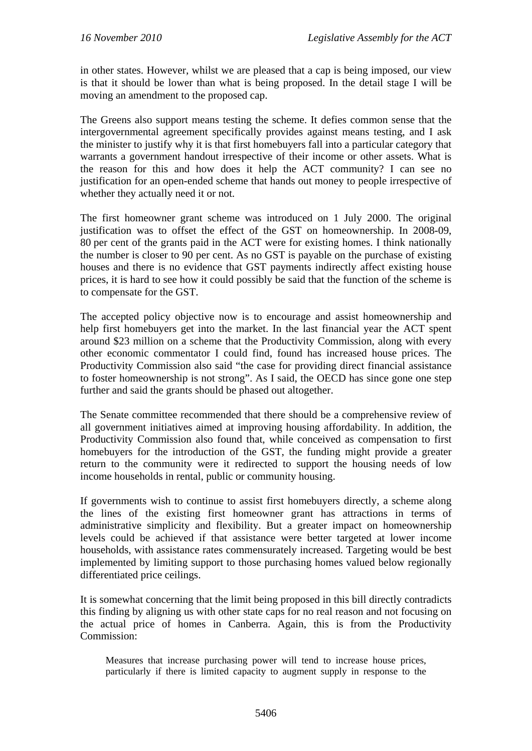in other states. However, whilst we are pleased that a cap is being imposed, our view is that it should be lower than what is being proposed. In the detail stage I will be moving an amendment to the proposed cap.

The Greens also support means testing the scheme. It defies common sense that the intergovernmental agreement specifically provides against means testing, and I ask the minister to justify why it is that first homebuyers fall into a particular category that warrants a government handout irrespective of their income or other assets. What is the reason for this and how does it help the ACT community? I can see no justification for an open-ended scheme that hands out money to people irrespective of whether they actually need it or not.

The first homeowner grant scheme was introduced on 1 July 2000. The original justification was to offset the effect of the GST on homeownership. In 2008-09, 80 per cent of the grants paid in the ACT were for existing homes. I think nationally the number is closer to 90 per cent. As no GST is payable on the purchase of existing houses and there is no evidence that GST payments indirectly affect existing house prices, it is hard to see how it could possibly be said that the function of the scheme is to compensate for the GST.

The accepted policy objective now is to encourage and assist homeownership and help first homebuyers get into the market. In the last financial year the ACT spent around \$23 million on a scheme that the Productivity Commission, along with every other economic commentator I could find, found has increased house prices. The Productivity Commission also said "the case for providing direct financial assistance to foster homeownership is not strong". As I said, the OECD has since gone one step further and said the grants should be phased out altogether.

The Senate committee recommended that there should be a comprehensive review of all government initiatives aimed at improving housing affordability. In addition, the Productivity Commission also found that, while conceived as compensation to first homebuyers for the introduction of the GST, the funding might provide a greater return to the community were it redirected to support the housing needs of low income households in rental, public or community housing.

If governments wish to continue to assist first homebuyers directly, a scheme along the lines of the existing first homeowner grant has attractions in terms of administrative simplicity and flexibility. But a greater impact on homeownership levels could be achieved if that assistance were better targeted at lower income households, with assistance rates commensurately increased. Targeting would be best implemented by limiting support to those purchasing homes valued below regionally differentiated price ceilings.

It is somewhat concerning that the limit being proposed in this bill directly contradicts this finding by aligning us with other state caps for no real reason and not focusing on the actual price of homes in Canberra. Again, this is from the Productivity Commission:

Measures that increase purchasing power will tend to increase house prices, particularly if there is limited capacity to augment supply in response to the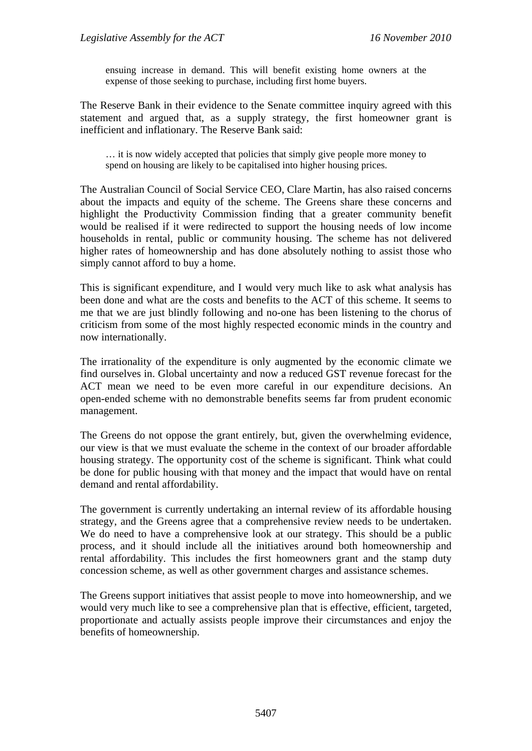ensuing increase in demand. This will benefit existing home owners at the expense of those seeking to purchase, including first home buyers.

The Reserve Bank in their evidence to the Senate committee inquiry agreed with this statement and argued that, as a supply strategy, the first homeowner grant is inefficient and inflationary. The Reserve Bank said:

… it is now widely accepted that policies that simply give people more money to spend on housing are likely to be capitalised into higher housing prices.

The Australian Council of Social Service CEO, Clare Martin, has also raised concerns about the impacts and equity of the scheme. The Greens share these concerns and highlight the Productivity Commission finding that a greater community benefit would be realised if it were redirected to support the housing needs of low income households in rental, public or community housing. The scheme has not delivered higher rates of homeownership and has done absolutely nothing to assist those who simply cannot afford to buy a home.

This is significant expenditure, and I would very much like to ask what analysis has been done and what are the costs and benefits to the ACT of this scheme. It seems to me that we are just blindly following and no-one has been listening to the chorus of criticism from some of the most highly respected economic minds in the country and now internationally.

The irrationality of the expenditure is only augmented by the economic climate we find ourselves in. Global uncertainty and now a reduced GST revenue forecast for the ACT mean we need to be even more careful in our expenditure decisions. An open-ended scheme with no demonstrable benefits seems far from prudent economic management.

The Greens do not oppose the grant entirely, but, given the overwhelming evidence, our view is that we must evaluate the scheme in the context of our broader affordable housing strategy. The opportunity cost of the scheme is significant. Think what could be done for public housing with that money and the impact that would have on rental demand and rental affordability.

The government is currently undertaking an internal review of its affordable housing strategy, and the Greens agree that a comprehensive review needs to be undertaken. We do need to have a comprehensive look at our strategy. This should be a public process, and it should include all the initiatives around both homeownership and rental affordability. This includes the first homeowners grant and the stamp duty concession scheme, as well as other government charges and assistance schemes.

The Greens support initiatives that assist people to move into homeownership, and we would very much like to see a comprehensive plan that is effective, efficient, targeted, proportionate and actually assists people improve their circumstances and enjoy the benefits of homeownership.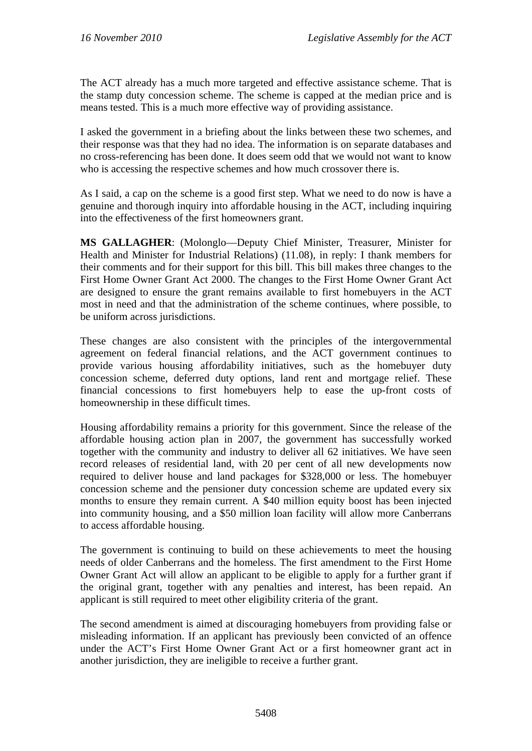The ACT already has a much more targeted and effective assistance scheme. That is the stamp duty concession scheme. The scheme is capped at the median price and is means tested. This is a much more effective way of providing assistance.

I asked the government in a briefing about the links between these two schemes, and their response was that they had no idea. The information is on separate databases and no cross-referencing has been done. It does seem odd that we would not want to know who is accessing the respective schemes and how much crossover there is.

As I said, a cap on the scheme is a good first step. What we need to do now is have a genuine and thorough inquiry into affordable housing in the ACT, including inquiring into the effectiveness of the first homeowners grant.

**MS GALLAGHER**: (Molonglo—Deputy Chief Minister, Treasurer, Minister for Health and Minister for Industrial Relations) (11.08), in reply: I thank members for their comments and for their support for this bill. This bill makes three changes to the First Home Owner Grant Act 2000. The changes to the First Home Owner Grant Act are designed to ensure the grant remains available to first homebuyers in the ACT most in need and that the administration of the scheme continues, where possible, to be uniform across jurisdictions.

These changes are also consistent with the principles of the intergovernmental agreement on federal financial relations, and the ACT government continues to provide various housing affordability initiatives, such as the homebuyer duty concession scheme, deferred duty options, land rent and mortgage relief. These financial concessions to first homebuyers help to ease the up-front costs of homeownership in these difficult times.

Housing affordability remains a priority for this government. Since the release of the affordable housing action plan in 2007, the government has successfully worked together with the community and industry to deliver all 62 initiatives. We have seen record releases of residential land, with 20 per cent of all new developments now required to deliver house and land packages for \$328,000 or less. The homebuyer concession scheme and the pensioner duty concession scheme are updated every six months to ensure they remain current. A \$40 million equity boost has been injected into community housing, and a \$50 million loan facility will allow more Canberrans to access affordable housing.

The government is continuing to build on these achievements to meet the housing needs of older Canberrans and the homeless. The first amendment to the First Home Owner Grant Act will allow an applicant to be eligible to apply for a further grant if the original grant, together with any penalties and interest, has been repaid. An applicant is still required to meet other eligibility criteria of the grant.

The second amendment is aimed at discouraging homebuyers from providing false or misleading information. If an applicant has previously been convicted of an offence under the ACT's First Home Owner Grant Act or a first homeowner grant act in another jurisdiction, they are ineligible to receive a further grant.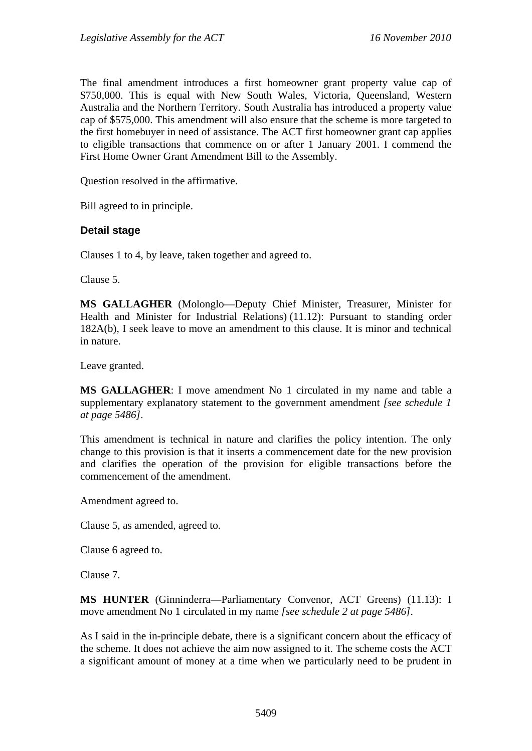The final amendment introduces a first homeowner grant property value cap of \$750,000. This is equal with New South Wales, Victoria, Queensland, Western Australia and the Northern Territory. South Australia has introduced a property value cap of \$575,000. This amendment will also ensure that the scheme is more targeted to the first homebuyer in need of assistance. The ACT first homeowner grant cap applies to eligible transactions that commence on or after 1 January 2001. I commend the First Home Owner Grant Amendment Bill to the Assembly.

Question resolved in the affirmative.

Bill agreed to in principle.

## **Detail stage**

Clauses 1 to 4, by leave, taken together and agreed to.

Clause 5.

**MS GALLAGHER** (Molonglo—Deputy Chief Minister, Treasurer, Minister for Health and Minister for Industrial Relations) (11.12): Pursuant to standing order 182A(b), I seek leave to move an amendment to this clause. It is minor and technical in nature.

Leave granted.

**MS GALLAGHER**: I move amendment No 1 circulated in my name and table a supplementary explanatory statement to the government amendment *[see schedule 1 at page 5486]*.

This amendment is technical in nature and clarifies the policy intention. The only change to this provision is that it inserts a commencement date for the new provision and clarifies the operation of the provision for eligible transactions before the commencement of the amendment.

Amendment agreed to.

Clause 5, as amended, agreed to.

Clause 6 agreed to.

Clause 7.

**MS HUNTER** (Ginninderra—Parliamentary Convenor, ACT Greens) (11.13): I move amendment No 1 circulated in my name *[see schedule 2 at page 5486]*.

As I said in the in-principle debate, there is a significant concern about the efficacy of the scheme. It does not achieve the aim now assigned to it. The scheme costs the ACT a significant amount of money at a time when we particularly need to be prudent in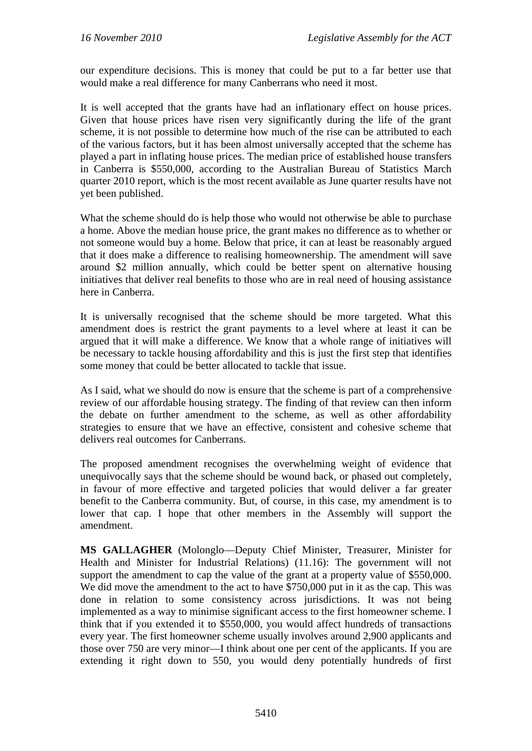our expenditure decisions. This is money that could be put to a far better use that would make a real difference for many Canberrans who need it most.

It is well accepted that the grants have had an inflationary effect on house prices. Given that house prices have risen very significantly during the life of the grant scheme, it is not possible to determine how much of the rise can be attributed to each of the various factors, but it has been almost universally accepted that the scheme has played a part in inflating house prices. The median price of established house transfers in Canberra is \$550,000, according to the Australian Bureau of Statistics March quarter 2010 report, which is the most recent available as June quarter results have not yet been published.

What the scheme should do is help those who would not otherwise be able to purchase a home. Above the median house price, the grant makes no difference as to whether or not someone would buy a home. Below that price, it can at least be reasonably argued that it does make a difference to realising homeownership. The amendment will save around \$2 million annually, which could be better spent on alternative housing initiatives that deliver real benefits to those who are in real need of housing assistance here in Canberra.

It is universally recognised that the scheme should be more targeted. What this amendment does is restrict the grant payments to a level where at least it can be argued that it will make a difference. We know that a whole range of initiatives will be necessary to tackle housing affordability and this is just the first step that identifies some money that could be better allocated to tackle that issue.

As I said, what we should do now is ensure that the scheme is part of a comprehensive review of our affordable housing strategy. The finding of that review can then inform the debate on further amendment to the scheme, as well as other affordability strategies to ensure that we have an effective, consistent and cohesive scheme that delivers real outcomes for Canberrans.

The proposed amendment recognises the overwhelming weight of evidence that unequivocally says that the scheme should be wound back, or phased out completely, in favour of more effective and targeted policies that would deliver a far greater benefit to the Canberra community. But, of course, in this case, my amendment is to lower that cap. I hope that other members in the Assembly will support the amendment.

**MS GALLAGHER** (Molonglo—Deputy Chief Minister, Treasurer, Minister for Health and Minister for Industrial Relations) (11.16): The government will not support the amendment to cap the value of the grant at a property value of \$550,000. We did move the amendment to the act to have \$750,000 put in it as the cap. This was done in relation to some consistency across jurisdictions. It was not being implemented as a way to minimise significant access to the first homeowner scheme. I think that if you extended it to \$550,000, you would affect hundreds of transactions every year. The first homeowner scheme usually involves around 2,900 applicants and those over 750 are very minor—I think about one per cent of the applicants. If you are extending it right down to 550, you would deny potentially hundreds of first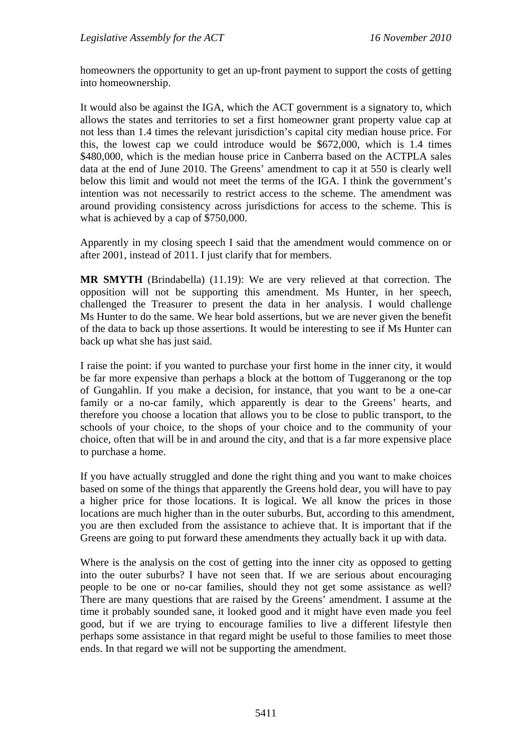homeowners the opportunity to get an up-front payment to support the costs of getting into homeownership.

It would also be against the IGA, which the ACT government is a signatory to, which allows the states and territories to set a first homeowner grant property value cap at not less than 1.4 times the relevant jurisdiction's capital city median house price. For this, the lowest cap we could introduce would be \$672,000, which is 1.4 times \$480,000, which is the median house price in Canberra based on the ACTPLA sales data at the end of June 2010. The Greens' amendment to cap it at 550 is clearly well below this limit and would not meet the terms of the IGA. I think the government's intention was not necessarily to restrict access to the scheme. The amendment was around providing consistency across jurisdictions for access to the scheme. This is what is achieved by a cap of \$750,000.

Apparently in my closing speech I said that the amendment would commence on or after 2001, instead of 2011. I just clarify that for members.

**MR SMYTH** (Brindabella) (11.19): We are very relieved at that correction. The opposition will not be supporting this amendment. Ms Hunter, in her speech, challenged the Treasurer to present the data in her analysis. I would challenge Ms Hunter to do the same. We hear bold assertions, but we are never given the benefit of the data to back up those assertions. It would be interesting to see if Ms Hunter can back up what she has just said.

I raise the point: if you wanted to purchase your first home in the inner city, it would be far more expensive than perhaps a block at the bottom of Tuggeranong or the top of Gungahlin. If you make a decision, for instance, that you want to be a one-car family or a no-car family, which apparently is dear to the Greens' hearts, and therefore you choose a location that allows you to be close to public transport, to the schools of your choice, to the shops of your choice and to the community of your choice, often that will be in and around the city, and that is a far more expensive place to purchase a home.

If you have actually struggled and done the right thing and you want to make choices based on some of the things that apparently the Greens hold dear, you will have to pay a higher price for those locations. It is logical. We all know the prices in those locations are much higher than in the outer suburbs. But, according to this amendment, you are then excluded from the assistance to achieve that. It is important that if the Greens are going to put forward these amendments they actually back it up with data.

Where is the analysis on the cost of getting into the inner city as opposed to getting into the outer suburbs? I have not seen that. If we are serious about encouraging people to be one or no-car families, should they not get some assistance as well? There are many questions that are raised by the Greens' amendment. I assume at the time it probably sounded sane, it looked good and it might have even made you feel good, but if we are trying to encourage families to live a different lifestyle then perhaps some assistance in that regard might be useful to those families to meet those ends. In that regard we will not be supporting the amendment.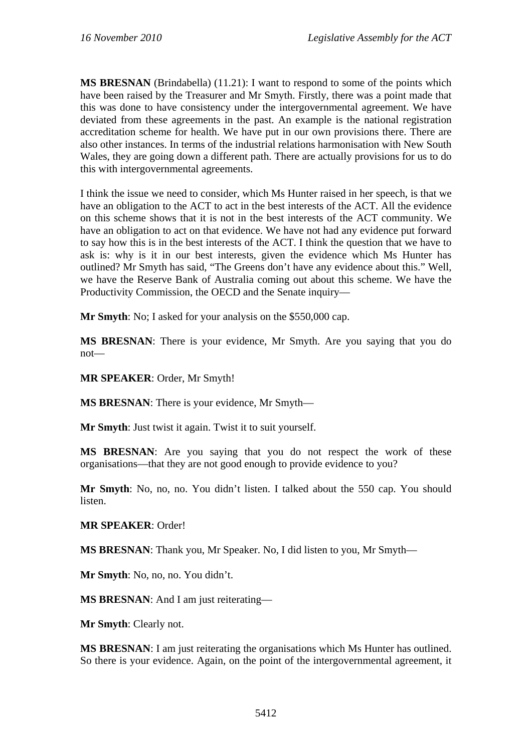**MS BRESNAN** (Brindabella) (11.21): I want to respond to some of the points which have been raised by the Treasurer and Mr Smyth. Firstly, there was a point made that this was done to have consistency under the intergovernmental agreement. We have deviated from these agreements in the past. An example is the national registration accreditation scheme for health. We have put in our own provisions there. There are also other instances. In terms of the industrial relations harmonisation with New South Wales, they are going down a different path. There are actually provisions for us to do this with intergovernmental agreements.

I think the issue we need to consider, which Ms Hunter raised in her speech, is that we have an obligation to the ACT to act in the best interests of the ACT. All the evidence on this scheme shows that it is not in the best interests of the ACT community. We have an obligation to act on that evidence. We have not had any evidence put forward to say how this is in the best interests of the ACT. I think the question that we have to ask is: why is it in our best interests, given the evidence which Ms Hunter has outlined? Mr Smyth has said, "The Greens don't have any evidence about this." Well, we have the Reserve Bank of Australia coming out about this scheme. We have the Productivity Commission, the OECD and the Senate inquiry—

**Mr Smyth**: No; I asked for your analysis on the \$550,000 cap.

**MS BRESNAN**: There is your evidence, Mr Smyth. Are you saying that you do not—

#### **MR SPEAKER**: Order, Mr Smyth!

**MS BRESNAN**: There is your evidence, Mr Smyth—

**Mr Smyth**: Just twist it again. Twist it to suit yourself.

**MS BRESNAN**: Are you saying that you do not respect the work of these organisations—that they are not good enough to provide evidence to you?

**Mr Smyth**: No, no, no. You didn't listen. I talked about the 550 cap. You should listen.

#### **MR SPEAKER**: Order!

**MS BRESNAN**: Thank you, Mr Speaker. No, I did listen to you, Mr Smyth—

**Mr Smyth**: No, no, no. You didn't.

**MS BRESNAN**: And I am just reiterating—

**Mr Smyth**: Clearly not.

**MS BRESNAN**: I am just reiterating the organisations which Ms Hunter has outlined. So there is your evidence. Again, on the point of the intergovernmental agreement, it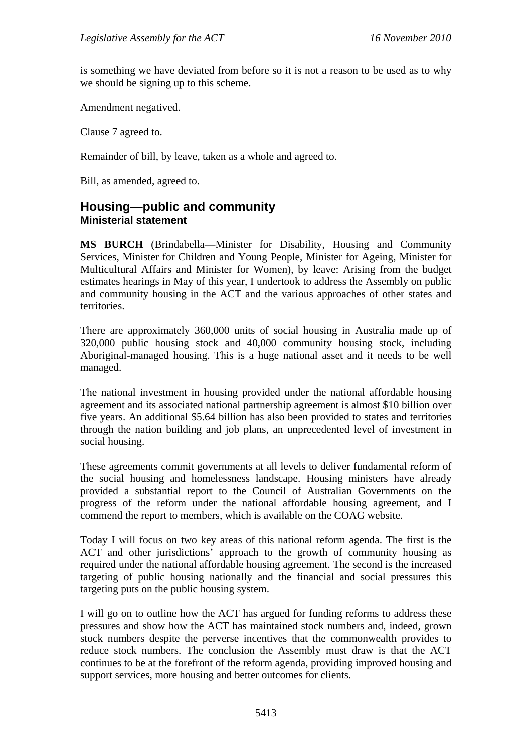is something we have deviated from before so it is not a reason to be used as to why we should be signing up to this scheme.

Amendment negatived.

Clause 7 agreed to.

Remainder of bill, by leave, taken as a whole and agreed to.

Bill, as amended, agreed to.

## <span id="page-31-0"></span>**Housing—public and community Ministerial statement**

**MS BURCH** (Brindabella—Minister for Disability, Housing and Community Services, Minister for Children and Young People, Minister for Ageing, Minister for Multicultural Affairs and Minister for Women), by leave: Arising from the budget estimates hearings in May of this year, I undertook to address the Assembly on public and community housing in the ACT and the various approaches of other states and territories.

There are approximately 360,000 units of social housing in Australia made up of 320,000 public housing stock and 40,000 community housing stock, including Aboriginal-managed housing. This is a huge national asset and it needs to be well managed.

The national investment in housing provided under the national affordable housing agreement and its associated national partnership agreement is almost \$10 billion over five years. An additional \$5.64 billion has also been provided to states and territories through the nation building and job plans, an unprecedented level of investment in social housing.

These agreements commit governments at all levels to deliver fundamental reform of the social housing and homelessness landscape. Housing ministers have already provided a substantial report to the Council of Australian Governments on the progress of the reform under the national affordable housing agreement, and I commend the report to members, which is available on the COAG website.

Today I will focus on two key areas of this national reform agenda. The first is the ACT and other jurisdictions' approach to the growth of community housing as required under the national affordable housing agreement. The second is the increased targeting of public housing nationally and the financial and social pressures this targeting puts on the public housing system.

I will go on to outline how the ACT has argued for funding reforms to address these pressures and show how the ACT has maintained stock numbers and, indeed, grown stock numbers despite the perverse incentives that the commonwealth provides to reduce stock numbers. The conclusion the Assembly must draw is that the ACT continues to be at the forefront of the reform agenda, providing improved housing and support services, more housing and better outcomes for clients.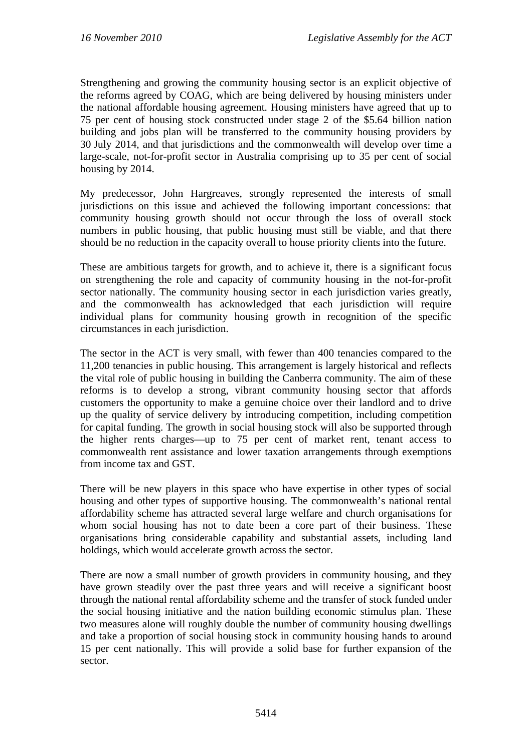Strengthening and growing the community housing sector is an explicit objective of the reforms agreed by COAG, which are being delivered by housing ministers under the national affordable housing agreement. Housing ministers have agreed that up to 75 per cent of housing stock constructed under stage 2 of the \$5.64 billion nation building and jobs plan will be transferred to the community housing providers by 30 July 2014, and that jurisdictions and the commonwealth will develop over time a large-scale, not-for-profit sector in Australia comprising up to 35 per cent of social housing by 2014.

My predecessor, John Hargreaves, strongly represented the interests of small jurisdictions on this issue and achieved the following important concessions: that community housing growth should not occur through the loss of overall stock numbers in public housing, that public housing must still be viable, and that there should be no reduction in the capacity overall to house priority clients into the future.

These are ambitious targets for growth, and to achieve it, there is a significant focus on strengthening the role and capacity of community housing in the not-for-profit sector nationally. The community housing sector in each jurisdiction varies greatly, and the commonwealth has acknowledged that each jurisdiction will require individual plans for community housing growth in recognition of the specific circumstances in each jurisdiction.

The sector in the ACT is very small, with fewer than 400 tenancies compared to the 11,200 tenancies in public housing. This arrangement is largely historical and reflects the vital role of public housing in building the Canberra community. The aim of these reforms is to develop a strong, vibrant community housing sector that affords customers the opportunity to make a genuine choice over their landlord and to drive up the quality of service delivery by introducing competition, including competition for capital funding. The growth in social housing stock will also be supported through the higher rents charges—up to 75 per cent of market rent, tenant access to commonwealth rent assistance and lower taxation arrangements through exemptions from income tax and GST.

There will be new players in this space who have expertise in other types of social housing and other types of supportive housing. The commonwealth's national rental affordability scheme has attracted several large welfare and church organisations for whom social housing has not to date been a core part of their business. These organisations bring considerable capability and substantial assets, including land holdings, which would accelerate growth across the sector.

There are now a small number of growth providers in community housing, and they have grown steadily over the past three years and will receive a significant boost through the national rental affordability scheme and the transfer of stock funded under the social housing initiative and the nation building economic stimulus plan. These two measures alone will roughly double the number of community housing dwellings and take a proportion of social housing stock in community housing hands to around 15 per cent nationally. This will provide a solid base for further expansion of the sector.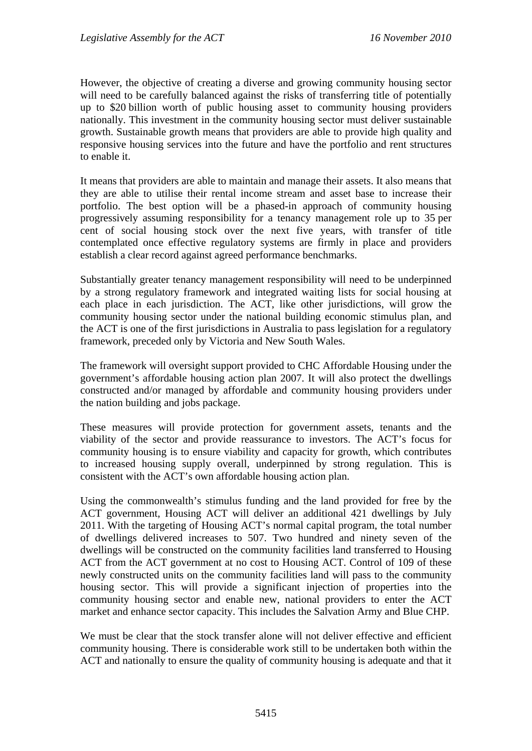However, the objective of creating a diverse and growing community housing sector will need to be carefully balanced against the risks of transferring title of potentially up to \$20 billion worth of public housing asset to community housing providers nationally. This investment in the community housing sector must deliver sustainable growth. Sustainable growth means that providers are able to provide high quality and responsive housing services into the future and have the portfolio and rent structures to enable it.

It means that providers are able to maintain and manage their assets. It also means that they are able to utilise their rental income stream and asset base to increase their portfolio. The best option will be a phased-in approach of community housing progressively assuming responsibility for a tenancy management role up to 35 per cent of social housing stock over the next five years, with transfer of title contemplated once effective regulatory systems are firmly in place and providers establish a clear record against agreed performance benchmarks.

Substantially greater tenancy management responsibility will need to be underpinned by a strong regulatory framework and integrated waiting lists for social housing at each place in each jurisdiction. The ACT, like other jurisdictions, will grow the community housing sector under the national building economic stimulus plan, and the ACT is one of the first jurisdictions in Australia to pass legislation for a regulatory framework, preceded only by Victoria and New South Wales.

The framework will oversight support provided to CHC Affordable Housing under the government's affordable housing action plan 2007. It will also protect the dwellings constructed and/or managed by affordable and community housing providers under the nation building and jobs package.

These measures will provide protection for government assets, tenants and the viability of the sector and provide reassurance to investors. The ACT's focus for community housing is to ensure viability and capacity for growth, which contributes to increased housing supply overall, underpinned by strong regulation. This is consistent with the ACT's own affordable housing action plan.

Using the commonwealth's stimulus funding and the land provided for free by the ACT government, Housing ACT will deliver an additional 421 dwellings by July 2011. With the targeting of Housing ACT's normal capital program, the total number of dwellings delivered increases to 507. Two hundred and ninety seven of the dwellings will be constructed on the community facilities land transferred to Housing ACT from the ACT government at no cost to Housing ACT. Control of 109 of these newly constructed units on the community facilities land will pass to the community housing sector. This will provide a significant injection of properties into the community housing sector and enable new, national providers to enter the ACT market and enhance sector capacity. This includes the Salvation Army and Blue CHP.

We must be clear that the stock transfer alone will not deliver effective and efficient community housing. There is considerable work still to be undertaken both within the ACT and nationally to ensure the quality of community housing is adequate and that it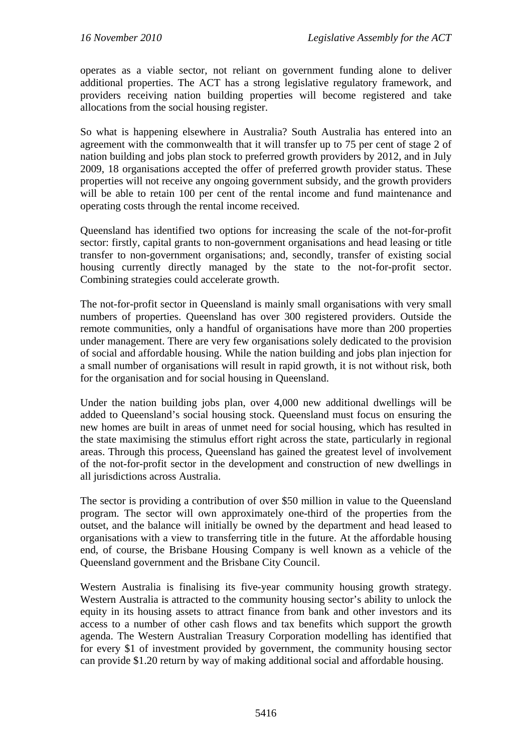operates as a viable sector, not reliant on government funding alone to deliver additional properties. The ACT has a strong legislative regulatory framework, and providers receiving nation building properties will become registered and take allocations from the social housing register.

So what is happening elsewhere in Australia? South Australia has entered into an agreement with the commonwealth that it will transfer up to 75 per cent of stage 2 of nation building and jobs plan stock to preferred growth providers by 2012, and in July 2009, 18 organisations accepted the offer of preferred growth provider status. These properties will not receive any ongoing government subsidy, and the growth providers will be able to retain 100 per cent of the rental income and fund maintenance and operating costs through the rental income received.

Queensland has identified two options for increasing the scale of the not-for-profit sector: firstly, capital grants to non-government organisations and head leasing or title transfer to non-government organisations; and, secondly, transfer of existing social housing currently directly managed by the state to the not-for-profit sector. Combining strategies could accelerate growth.

The not-for-profit sector in Queensland is mainly small organisations with very small numbers of properties. Queensland has over 300 registered providers. Outside the remote communities, only a handful of organisations have more than 200 properties under management. There are very few organisations solely dedicated to the provision of social and affordable housing. While the nation building and jobs plan injection for a small number of organisations will result in rapid growth, it is not without risk, both for the organisation and for social housing in Queensland.

Under the nation building jobs plan, over 4,000 new additional dwellings will be added to Queensland's social housing stock. Queensland must focus on ensuring the new homes are built in areas of unmet need for social housing, which has resulted in the state maximising the stimulus effort right across the state, particularly in regional areas. Through this process, Queensland has gained the greatest level of involvement of the not-for-profit sector in the development and construction of new dwellings in all jurisdictions across Australia.

The sector is providing a contribution of over \$50 million in value to the Queensland program. The sector will own approximately one-third of the properties from the outset, and the balance will initially be owned by the department and head leased to organisations with a view to transferring title in the future. At the affordable housing end, of course, the Brisbane Housing Company is well known as a vehicle of the Queensland government and the Brisbane City Council.

Western Australia is finalising its five-year community housing growth strategy. Western Australia is attracted to the community housing sector's ability to unlock the equity in its housing assets to attract finance from bank and other investors and its access to a number of other cash flows and tax benefits which support the growth agenda. The Western Australian Treasury Corporation modelling has identified that for every \$1 of investment provided by government, the community housing sector can provide \$1.20 return by way of making additional social and affordable housing.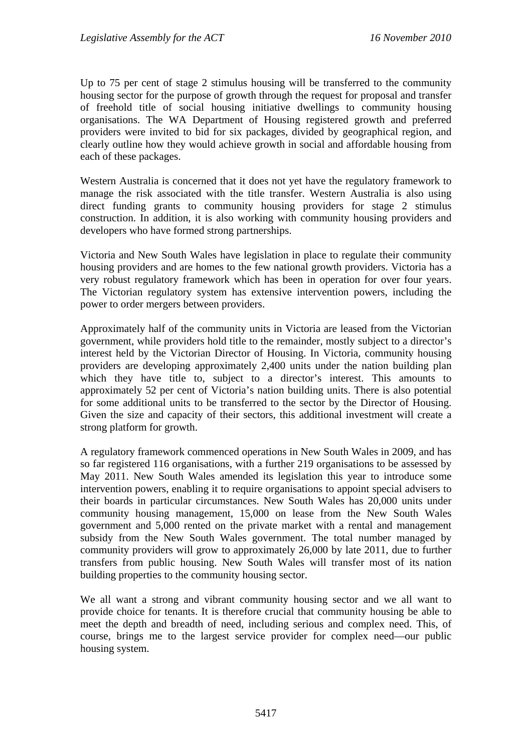Up to 75 per cent of stage 2 stimulus housing will be transferred to the community housing sector for the purpose of growth through the request for proposal and transfer of freehold title of social housing initiative dwellings to community housing organisations. The WA Department of Housing registered growth and preferred providers were invited to bid for six packages, divided by geographical region, and clearly outline how they would achieve growth in social and affordable housing from each of these packages.

Western Australia is concerned that it does not yet have the regulatory framework to manage the risk associated with the title transfer. Western Australia is also using direct funding grants to community housing providers for stage 2 stimulus construction. In addition, it is also working with community housing providers and developers who have formed strong partnerships.

Victoria and New South Wales have legislation in place to regulate their community housing providers and are homes to the few national growth providers. Victoria has a very robust regulatory framework which has been in operation for over four years. The Victorian regulatory system has extensive intervention powers, including the power to order mergers between providers.

Approximately half of the community units in Victoria are leased from the Victorian government, while providers hold title to the remainder, mostly subject to a director's interest held by the Victorian Director of Housing. In Victoria, community housing providers are developing approximately 2,400 units under the nation building plan which they have title to, subject to a director's interest. This amounts to approximately 52 per cent of Victoria's nation building units. There is also potential for some additional units to be transferred to the sector by the Director of Housing. Given the size and capacity of their sectors, this additional investment will create a strong platform for growth.

A regulatory framework commenced operations in New South Wales in 2009, and has so far registered 116 organisations, with a further 219 organisations to be assessed by May 2011. New South Wales amended its legislation this year to introduce some intervention powers, enabling it to require organisations to appoint special advisers to their boards in particular circumstances. New South Wales has 20,000 units under community housing management, 15,000 on lease from the New South Wales government and 5,000 rented on the private market with a rental and management subsidy from the New South Wales government. The total number managed by community providers will grow to approximately 26,000 by late 2011, due to further transfers from public housing. New South Wales will transfer most of its nation building properties to the community housing sector.

We all want a strong and vibrant community housing sector and we all want to provide choice for tenants. It is therefore crucial that community housing be able to meet the depth and breadth of need, including serious and complex need. This, of course, brings me to the largest service provider for complex need—our public housing system.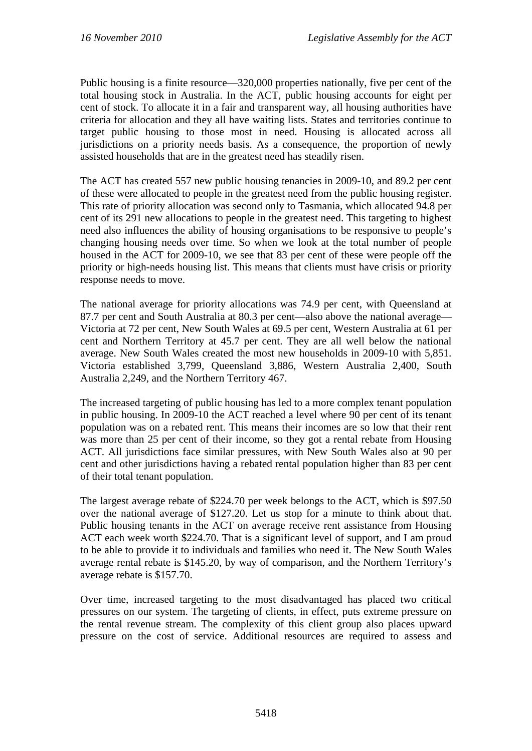Public housing is a finite resource—320,000 properties nationally, five per cent of the total housing stock in Australia. In the ACT, public housing accounts for eight per cent of stock. To allocate it in a fair and transparent way, all housing authorities have criteria for allocation and they all have waiting lists. States and territories continue to target public housing to those most in need. Housing is allocated across all jurisdictions on a priority needs basis. As a consequence, the proportion of newly assisted households that are in the greatest need has steadily risen.

The ACT has created 557 new public housing tenancies in 2009-10, and 89.2 per cent of these were allocated to people in the greatest need from the public housing register. This rate of priority allocation was second only to Tasmania, which allocated 94.8 per cent of its 291 new allocations to people in the greatest need. This targeting to highest need also influences the ability of housing organisations to be responsive to people's changing housing needs over time. So when we look at the total number of people housed in the ACT for 2009-10, we see that 83 per cent of these were people off the priority or high-needs housing list. This means that clients must have crisis or priority response needs to move.

The national average for priority allocations was 74.9 per cent, with Queensland at 87.7 per cent and South Australia at 80.3 per cent—also above the national average— Victoria at 72 per cent, New South Wales at 69.5 per cent, Western Australia at 61 per cent and Northern Territory at 45.7 per cent. They are all well below the national average. New South Wales created the most new households in 2009-10 with 5,851. Victoria established 3,799, Queensland 3,886, Western Australia 2,400, South Australia 2,249, and the Northern Territory 467.

The increased targeting of public housing has led to a more complex tenant population in public housing. In 2009-10 the ACT reached a level where 90 per cent of its tenant population was on a rebated rent. This means their incomes are so low that their rent was more than 25 per cent of their income, so they got a rental rebate from Housing ACT. All jurisdictions face similar pressures, with New South Wales also at 90 per cent and other jurisdictions having a rebated rental population higher than 83 per cent of their total tenant population.

The largest average rebate of \$224.70 per week belongs to the ACT, which is \$97.50 over the national average of \$127.20. Let us stop for a minute to think about that. Public housing tenants in the ACT on average receive rent assistance from Housing ACT each week worth \$224.70. That is a significant level of support, and I am proud to be able to provide it to individuals and families who need it. The New South Wales average rental rebate is \$145.20, by way of comparison, and the Northern Territory's average rebate is \$157.70.

Over time, increased targeting to the most disadvantaged has placed two critical pressures on our system. The targeting of clients, in effect, puts extreme pressure on the rental revenue stream. The complexity of this client group also places upward pressure on the cost of service. Additional resources are required to assess and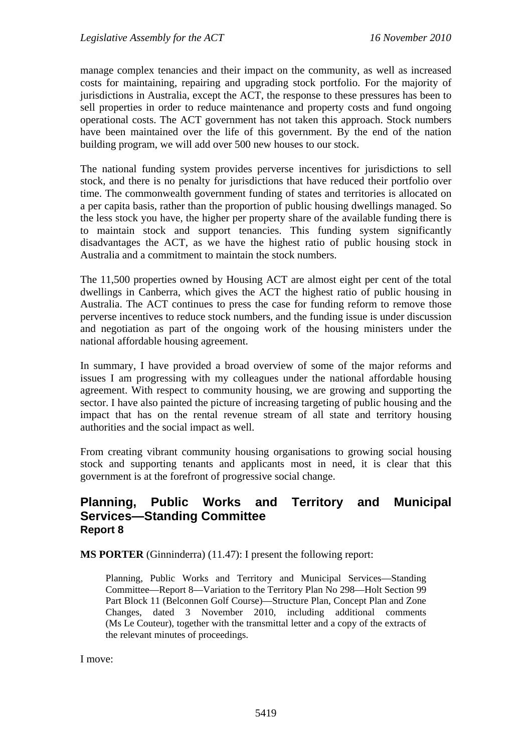manage complex tenancies and their impact on the community, as well as increased costs for maintaining, repairing and upgrading stock portfolio. For the majority of jurisdictions in Australia, except the ACT, the response to these pressures has been to sell properties in order to reduce maintenance and property costs and fund ongoing operational costs. The ACT government has not taken this approach. Stock numbers have been maintained over the life of this government. By the end of the nation building program, we will add over 500 new houses to our stock.

The national funding system provides perverse incentives for jurisdictions to sell stock, and there is no penalty for jurisdictions that have reduced their portfolio over time. The commonwealth government funding of states and territories is allocated on a per capita basis, rather than the proportion of public housing dwellings managed. So the less stock you have, the higher per property share of the available funding there is to maintain stock and support tenancies. This funding system significantly disadvantages the ACT, as we have the highest ratio of public housing stock in Australia and a commitment to maintain the stock numbers.

The 11,500 properties owned by Housing ACT are almost eight per cent of the total dwellings in Canberra, which gives the ACT the highest ratio of public housing in Australia. The ACT continues to press the case for funding reform to remove those perverse incentives to reduce stock numbers, and the funding issue is under discussion and negotiation as part of the ongoing work of the housing ministers under the national affordable housing agreement.

In summary, I have provided a broad overview of some of the major reforms and issues I am progressing with my colleagues under the national affordable housing agreement. With respect to community housing, we are growing and supporting the sector. I have also painted the picture of increasing targeting of public housing and the impact that has on the rental revenue stream of all state and territory housing authorities and the social impact as well.

From creating vibrant community housing organisations to growing social housing stock and supporting tenants and applicants most in need, it is clear that this government is at the forefront of progressive social change.

# **Planning, Public Works and Territory and Municipal Services—Standing Committee Report 8**

**MS PORTER** (Ginninderra) (11.47): I present the following report:

Planning, Public Works and Territory and Municipal Services—Standing Committee—Report 8—Variation to the Territory Plan No 298—Holt Section 99 Part Block 11 (Belconnen Golf Course)—Structure Plan, Concept Plan and Zone Changes, dated 3 November 2010, including additional comments (Ms Le Couteur), together with the transmittal letter and a copy of the extracts of the relevant minutes of proceedings.

I move: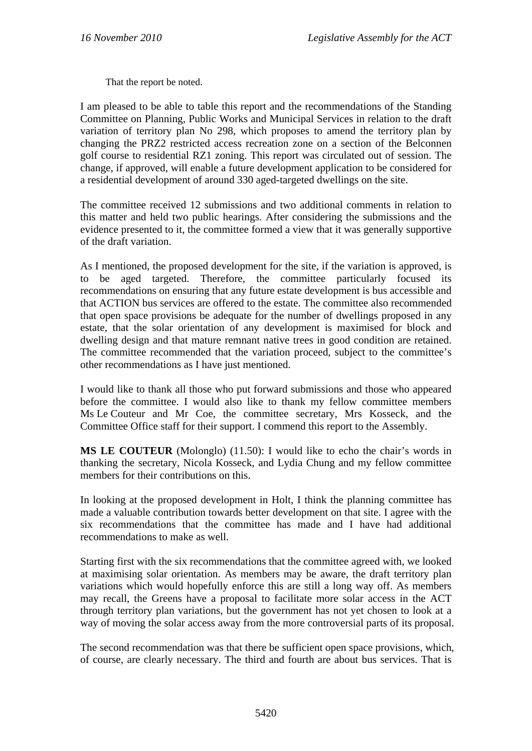That the report be noted.

I am pleased to be able to table this report and the recommendations of the Standing Committee on Planning, Public Works and Municipal Services in relation to the draft variation of territory plan No 298, which proposes to amend the territory plan by changing the PRZ2 restricted access recreation zone on a section of the Belconnen golf course to residential RZ1 zoning. This report was circulated out of session. The change, if approved, will enable a future development application to be considered for a residential development of around 330 aged-targeted dwellings on the site.

The committee received 12 submissions and two additional comments in relation to this matter and held two public hearings. After considering the submissions and the evidence presented to it, the committee formed a view that it was generally supportive of the draft variation.

As I mentioned, the proposed development for the site, if the variation is approved, is to be aged targeted. Therefore, the committee particularly focused its recommendations on ensuring that any future estate development is bus accessible and that ACTION bus services are offered to the estate. The committee also recommended that open space provisions be adequate for the number of dwellings proposed in any estate, that the solar orientation of any development is maximised for block and dwelling design and that mature remnant native trees in good condition are retained. The committee recommended that the variation proceed, subject to the committee's other recommendations as I have just mentioned.

I would like to thank all those who put forward submissions and those who appeared before the committee. I would also like to thank my fellow committee members Ms Le Couteur and Mr Coe, the committee secretary, Mrs Kosseck, and the Committee Office staff for their support. I commend this report to the Assembly.

**MS LE COUTEUR** (Molonglo) (11.50): I would like to echo the chair's words in thanking the secretary, Nicola Kosseck, and Lydia Chung and my fellow committee members for their contributions on this.

In looking at the proposed development in Holt, I think the planning committee has made a valuable contribution towards better development on that site. I agree with the six recommendations that the committee has made and I have had additional recommendations to make as well.

Starting first with the six recommendations that the committee agreed with, we looked at maximising solar orientation. As members may be aware, the draft territory plan variations which would hopefully enforce this are still a long way off. As members may recall, the Greens have a proposal to facilitate more solar access in the ACT through territory plan variations, but the government has not yet chosen to look at a way of moving the solar access away from the more controversial parts of its proposal.

The second recommendation was that there be sufficient open space provisions, which, of course, are clearly necessary. The third and fourth are about bus services. That is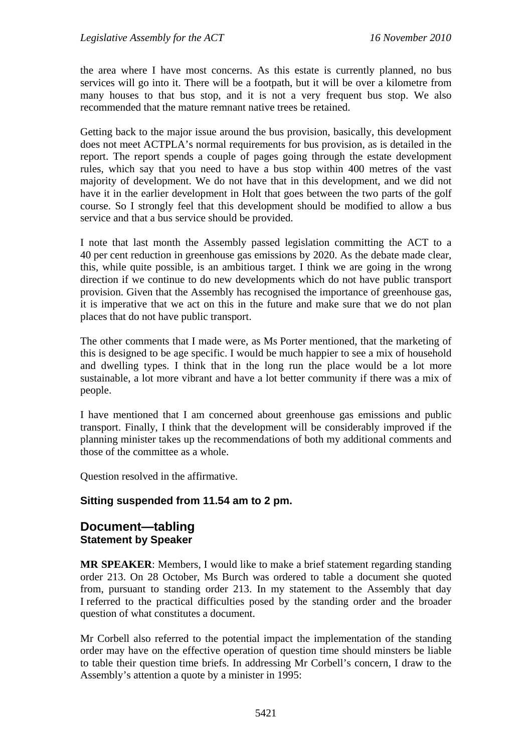the area where I have most concerns. As this estate is currently planned, no bus services will go into it. There will be a footpath, but it will be over a kilometre from many houses to that bus stop, and it is not a very frequent bus stop. We also recommended that the mature remnant native trees be retained.

Getting back to the major issue around the bus provision, basically, this development does not meet ACTPLA's normal requirements for bus provision, as is detailed in the report. The report spends a couple of pages going through the estate development rules, which say that you need to have a bus stop within 400 metres of the vast majority of development. We do not have that in this development, and we did not have it in the earlier development in Holt that goes between the two parts of the golf course. So I strongly feel that this development should be modified to allow a bus service and that a bus service should be provided.

I note that last month the Assembly passed legislation committing the ACT to a 40 per cent reduction in greenhouse gas emissions by 2020. As the debate made clear, this, while quite possible, is an ambitious target. I think we are going in the wrong direction if we continue to do new developments which do not have public transport provision. Given that the Assembly has recognised the importance of greenhouse gas, it is imperative that we act on this in the future and make sure that we do not plan places that do not have public transport.

The other comments that I made were, as Ms Porter mentioned, that the marketing of this is designed to be age specific. I would be much happier to see a mix of household and dwelling types. I think that in the long run the place would be a lot more sustainable, a lot more vibrant and have a lot better community if there was a mix of people.

I have mentioned that I am concerned about greenhouse gas emissions and public transport. Finally, I think that the development will be considerably improved if the planning minister takes up the recommendations of both my additional comments and those of the committee as a whole.

Question resolved in the affirmative.

### **Sitting suspended from 11.54 am to 2 pm.**

## **Document—tabling Statement by Speaker**

**MR SPEAKER**: Members, I would like to make a brief statement regarding standing order 213. On 28 October, Ms Burch was ordered to table a document she quoted from, pursuant to standing order 213. In my statement to the Assembly that day I referred to the practical difficulties posed by the standing order and the broader question of what constitutes a document.

Mr Corbell also referred to the potential impact the implementation of the standing order may have on the effective operation of question time should minsters be liable to table their question time briefs. In addressing Mr Corbell's concern, I draw to the Assembly's attention a quote by a minister in 1995: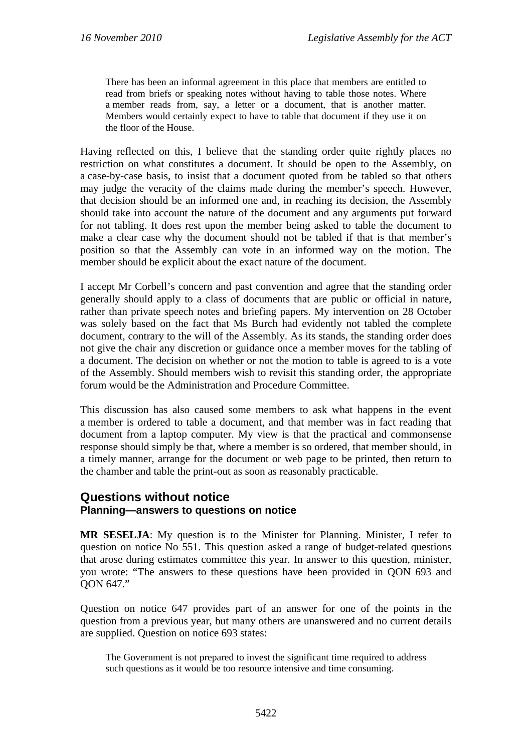There has been an informal agreement in this place that members are entitled to read from briefs or speaking notes without having to table those notes. Where a member reads from, say, a letter or a document, that is another matter. Members would certainly expect to have to table that document if they use it on the floor of the House.

Having reflected on this, I believe that the standing order quite rightly places no restriction on what constitutes a document. It should be open to the Assembly, on a case-by-case basis, to insist that a document quoted from be tabled so that others may judge the veracity of the claims made during the member's speech. However, that decision should be an informed one and, in reaching its decision, the Assembly should take into account the nature of the document and any arguments put forward for not tabling. It does rest upon the member being asked to table the document to make a clear case why the document should not be tabled if that is that member's position so that the Assembly can vote in an informed way on the motion. The member should be explicit about the exact nature of the document.

I accept Mr Corbell's concern and past convention and agree that the standing order generally should apply to a class of documents that are public or official in nature, rather than private speech notes and briefing papers. My intervention on 28 October was solely based on the fact that Ms Burch had evidently not tabled the complete document, contrary to the will of the Assembly. As its stands, the standing order does not give the chair any discretion or guidance once a member moves for the tabling of a document. The decision on whether or not the motion to table is agreed to is a vote of the Assembly. Should members wish to revisit this standing order, the appropriate forum would be the Administration and Procedure Committee.

This discussion has also caused some members to ask what happens in the event a member is ordered to table a document, and that member was in fact reading that document from a laptop computer. My view is that the practical and commonsense response should simply be that, where a member is so ordered, that member should, in a timely manner, arrange for the document or web page to be printed, then return to the chamber and table the print-out as soon as reasonably practicable.

## **Questions without notice Planning—answers to questions on notice**

**MR SESELJA**: My question is to the Minister for Planning. Minister, I refer to question on notice No 551. This question asked a range of budget-related questions that arose during estimates committee this year. In answer to this question, minister, you wrote: "The answers to these questions have been provided in QON 693 and QON 647."

Question on notice 647 provides part of an answer for one of the points in the question from a previous year, but many others are unanswered and no current details are supplied. Question on notice 693 states:

The Government is not prepared to invest the significant time required to address such questions as it would be too resource intensive and time consuming.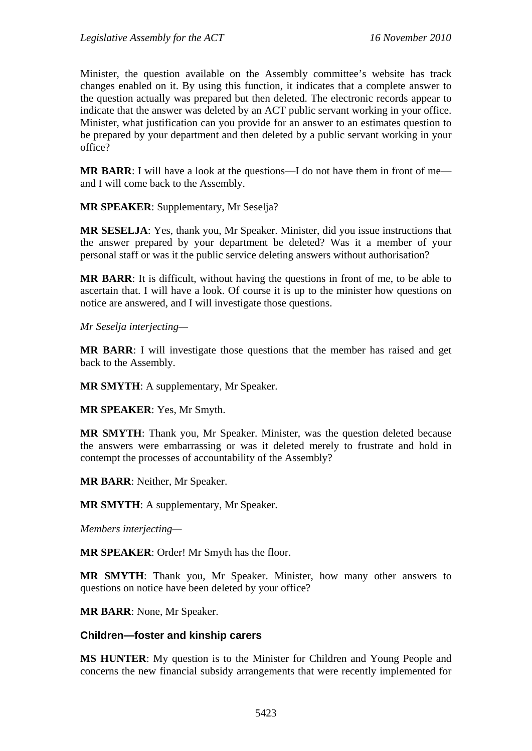Minister, the question available on the Assembly committee's website has track changes enabled on it. By using this function, it indicates that a complete answer to the question actually was prepared but then deleted. The electronic records appear to indicate that the answer was deleted by an ACT public servant working in your office. Minister, what justification can you provide for an answer to an estimates question to be prepared by your department and then deleted by a public servant working in your office?

**MR BARR:** I will have a look at the questions—I do not have them in front of me and I will come back to the Assembly.

**MR SPEAKER**: Supplementary, Mr Seselja?

**MR SESELJA**: Yes, thank you, Mr Speaker. Minister, did you issue instructions that the answer prepared by your department be deleted? Was it a member of your personal staff or was it the public service deleting answers without authorisation?

**MR BARR**: It is difficult, without having the questions in front of me, to be able to ascertain that. I will have a look. Of course it is up to the minister how questions on notice are answered, and I will investigate those questions.

*Mr Seselja interjecting—* 

**MR BARR**: I will investigate those questions that the member has raised and get back to the Assembly.

**MR SMYTH**: A supplementary, Mr Speaker.

**MR SPEAKER**: Yes, Mr Smyth.

**MR SMYTH**: Thank you, Mr Speaker. Minister, was the question deleted because the answers were embarrassing or was it deleted merely to frustrate and hold in contempt the processes of accountability of the Assembly?

**MR BARR**: Neither, Mr Speaker.

**MR SMYTH**: A supplementary, Mr Speaker.

*Members interjecting—* 

**MR SPEAKER**: Order! Mr Smyth has the floor.

**MR SMYTH**: Thank you, Mr Speaker. Minister, how many other answers to questions on notice have been deleted by your office?

**MR BARR**: None, Mr Speaker.

#### **Children—foster and kinship carers**

**MS HUNTER**: My question is to the Minister for Children and Young People and concerns the new financial subsidy arrangements that were recently implemented for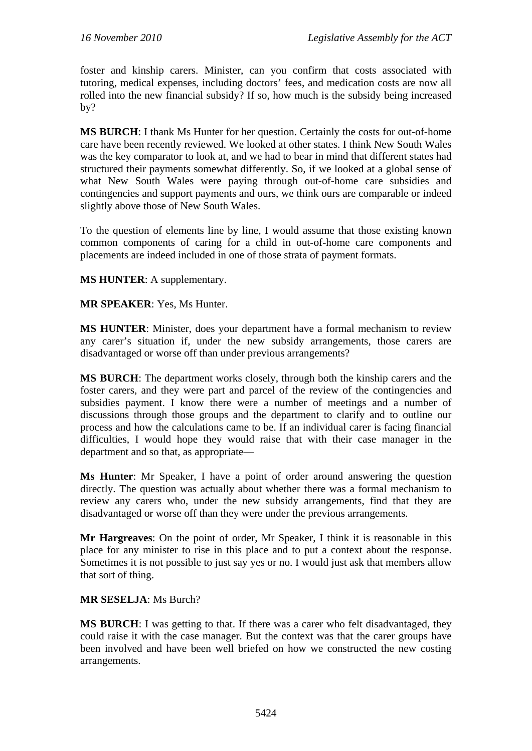foster and kinship carers. Minister, can you confirm that costs associated with tutoring, medical expenses, including doctors' fees, and medication costs are now all rolled into the new financial subsidy? If so, how much is the subsidy being increased by?

**MS BURCH**: I thank Ms Hunter for her question. Certainly the costs for out-of-home care have been recently reviewed. We looked at other states. I think New South Wales was the key comparator to look at, and we had to bear in mind that different states had structured their payments somewhat differently. So, if we looked at a global sense of what New South Wales were paying through out-of-home care subsidies and contingencies and support payments and ours, we think ours are comparable or indeed slightly above those of New South Wales.

To the question of elements line by line, I would assume that those existing known common components of caring for a child in out-of-home care components and placements are indeed included in one of those strata of payment formats.

**MS HUNTER**: A supplementary.

**MR SPEAKER**: Yes, Ms Hunter.

**MS HUNTER**: Minister, does your department have a formal mechanism to review any carer's situation if, under the new subsidy arrangements, those carers are disadvantaged or worse off than under previous arrangements?

**MS BURCH**: The department works closely, through both the kinship carers and the foster carers, and they were part and parcel of the review of the contingencies and subsidies payment. I know there were a number of meetings and a number of discussions through those groups and the department to clarify and to outline our process and how the calculations came to be. If an individual carer is facing financial difficulties, I would hope they would raise that with their case manager in the department and so that, as appropriate—

**Ms Hunter**: Mr Speaker, I have a point of order around answering the question directly. The question was actually about whether there was a formal mechanism to review any carers who, under the new subsidy arrangements, find that they are disadvantaged or worse off than they were under the previous arrangements.

**Mr Hargreaves**: On the point of order, Mr Speaker, I think it is reasonable in this place for any minister to rise in this place and to put a context about the response. Sometimes it is not possible to just say yes or no. I would just ask that members allow that sort of thing.

#### **MR SESELJA**: Ms Burch?

**MS BURCH**: I was getting to that. If there was a carer who felt disadvantaged, they could raise it with the case manager. But the context was that the carer groups have been involved and have been well briefed on how we constructed the new costing arrangements.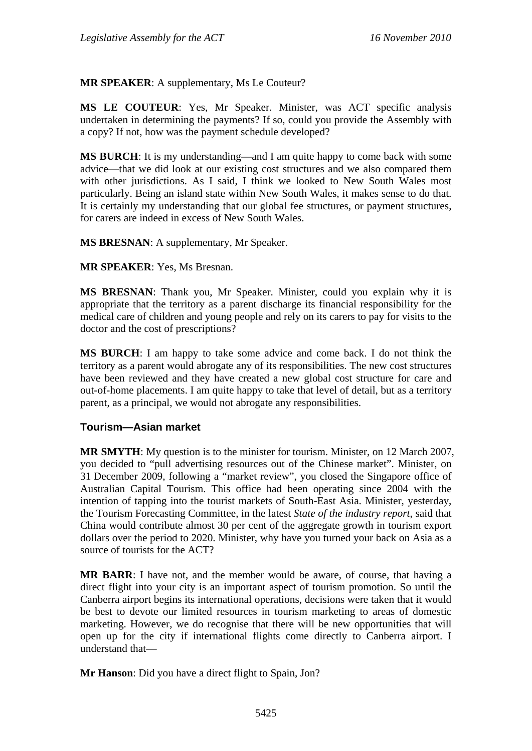**MR SPEAKER**: A supplementary, Ms Le Couteur?

**MS LE COUTEUR**: Yes, Mr Speaker. Minister, was ACT specific analysis undertaken in determining the payments? If so, could you provide the Assembly with a copy? If not, how was the payment schedule developed?

**MS BURCH**: It is my understanding—and I am quite happy to come back with some advice—that we did look at our existing cost structures and we also compared them with other jurisdictions. As I said, I think we looked to New South Wales most particularly. Being an island state within New South Wales, it makes sense to do that. It is certainly my understanding that our global fee structures, or payment structures, for carers are indeed in excess of New South Wales.

**MS BRESNAN**: A supplementary, Mr Speaker.

**MR SPEAKER**: Yes, Ms Bresnan.

**MS BRESNAN**: Thank you, Mr Speaker. Minister, could you explain why it is appropriate that the territory as a parent discharge its financial responsibility for the medical care of children and young people and rely on its carers to pay for visits to the doctor and the cost of prescriptions?

**MS BURCH**: I am happy to take some advice and come back. I do not think the territory as a parent would abrogate any of its responsibilities. The new cost structures have been reviewed and they have created a new global cost structure for care and out-of-home placements. I am quite happy to take that level of detail, but as a territory parent, as a principal, we would not abrogate any responsibilities.

### **Tourism—Asian market**

**MR SMYTH**: My question is to the minister for tourism. Minister, on 12 March 2007, you decided to "pull advertising resources out of the Chinese market". Minister, on 31 December 2009, following a "market review", you closed the Singapore office of Australian Capital Tourism. This office had been operating since 2004 with the intention of tapping into the tourist markets of South-East Asia. Minister, yesterday, the Tourism Forecasting Committee, in the latest *State of the industry report*, said that China would contribute almost 30 per cent of the aggregate growth in tourism export dollars over the period to 2020. Minister, why have you turned your back on Asia as a source of tourists for the ACT?

**MR BARR**: I have not, and the member would be aware, of course, that having a direct flight into your city is an important aspect of tourism promotion. So until the Canberra airport begins its international operations, decisions were taken that it would be best to devote our limited resources in tourism marketing to areas of domestic marketing. However, we do recognise that there will be new opportunities that will open up for the city if international flights come directly to Canberra airport. I understand that—

**Mr Hanson**: Did you have a direct flight to Spain, Jon?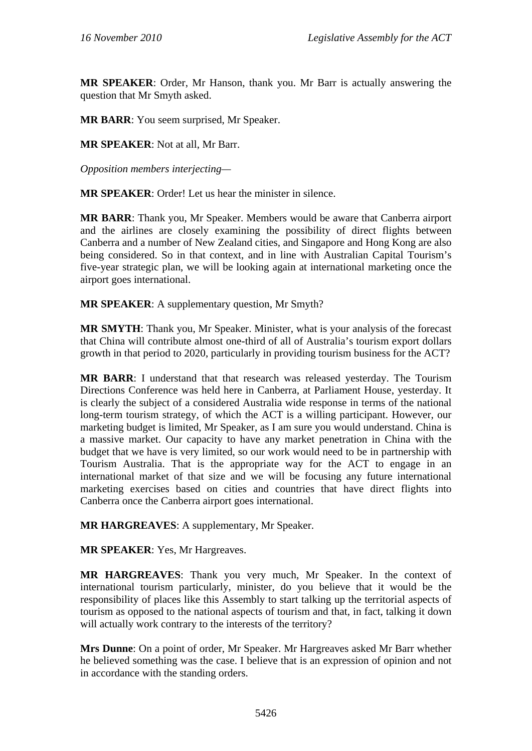**MR SPEAKER**: Order, Mr Hanson, thank you. Mr Barr is actually answering the question that Mr Smyth asked.

**MR BARR**: You seem surprised, Mr Speaker.

**MR SPEAKER**: Not at all, Mr Barr.

*Opposition members interjecting—* 

**MR SPEAKER**: Order! Let us hear the minister in silence.

**MR BARR**: Thank you, Mr Speaker. Members would be aware that Canberra airport and the airlines are closely examining the possibility of direct flights between Canberra and a number of New Zealand cities, and Singapore and Hong Kong are also being considered. So in that context, and in line with Australian Capital Tourism's five-year strategic plan, we will be looking again at international marketing once the airport goes international.

**MR SPEAKER**: A supplementary question, Mr Smyth?

**MR SMYTH**: Thank you, Mr Speaker. Minister, what is your analysis of the forecast that China will contribute almost one-third of all of Australia's tourism export dollars growth in that period to 2020, particularly in providing tourism business for the ACT?

**MR BARR**: I understand that that research was released yesterday. The Tourism Directions Conference was held here in Canberra, at Parliament House, yesterday. It is clearly the subject of a considered Australia wide response in terms of the national long-term tourism strategy, of which the ACT is a willing participant. However, our marketing budget is limited, Mr Speaker, as I am sure you would understand. China is a massive market. Our capacity to have any market penetration in China with the budget that we have is very limited, so our work would need to be in partnership with Tourism Australia. That is the appropriate way for the ACT to engage in an international market of that size and we will be focusing any future international marketing exercises based on cities and countries that have direct flights into Canberra once the Canberra airport goes international.

**MR HARGREAVES**: A supplementary, Mr Speaker.

**MR SPEAKER**: Yes, Mr Hargreaves.

**MR HARGREAVES**: Thank you very much, Mr Speaker. In the context of international tourism particularly, minister, do you believe that it would be the responsibility of places like this Assembly to start talking up the territorial aspects of tourism as opposed to the national aspects of tourism and that, in fact, talking it down will actually work contrary to the interests of the territory?

**Mrs Dunne**: On a point of order, Mr Speaker. Mr Hargreaves asked Mr Barr whether he believed something was the case. I believe that is an expression of opinion and not in accordance with the standing orders.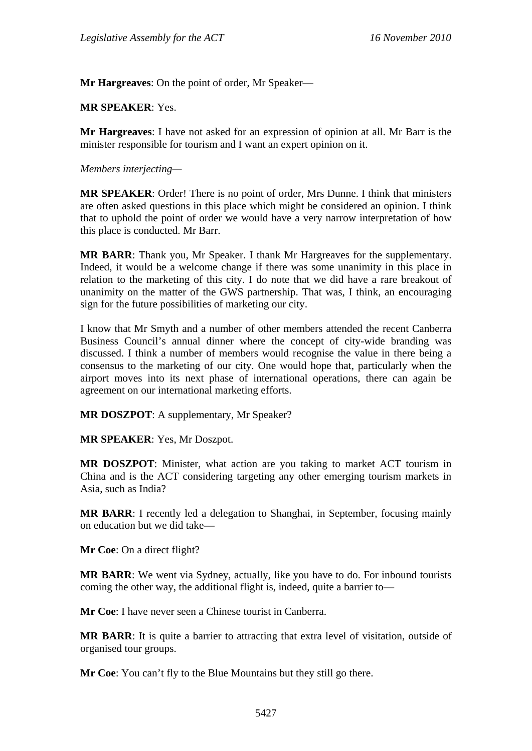**Mr Hargreaves**: On the point of order, Mr Speaker—

#### **MR SPEAKER**: Yes.

**Mr Hargreaves**: I have not asked for an expression of opinion at all. Mr Barr is the minister responsible for tourism and I want an expert opinion on it.

#### *Members interjecting—*

**MR SPEAKER**: Order! There is no point of order, Mrs Dunne. I think that ministers are often asked questions in this place which might be considered an opinion. I think that to uphold the point of order we would have a very narrow interpretation of how this place is conducted. Mr Barr.

**MR BARR**: Thank you, Mr Speaker. I thank Mr Hargreaves for the supplementary. Indeed, it would be a welcome change if there was some unanimity in this place in relation to the marketing of this city. I do note that we did have a rare breakout of unanimity on the matter of the GWS partnership. That was, I think, an encouraging sign for the future possibilities of marketing our city.

I know that Mr Smyth and a number of other members attended the recent Canberra Business Council's annual dinner where the concept of city-wide branding was discussed. I think a number of members would recognise the value in there being a consensus to the marketing of our city. One would hope that, particularly when the airport moves into its next phase of international operations, there can again be agreement on our international marketing efforts.

**MR DOSZPOT**: A supplementary, Mr Speaker?

**MR SPEAKER**: Yes, Mr Doszpot.

**MR DOSZPOT**: Minister, what action are you taking to market ACT tourism in China and is the ACT considering targeting any other emerging tourism markets in Asia, such as India?

**MR BARR**: I recently led a delegation to Shanghai, in September, focusing mainly on education but we did take—

**Mr Coe**: On a direct flight?

**MR BARR**: We went via Sydney, actually, like you have to do. For inbound tourists coming the other way, the additional flight is, indeed, quite a barrier to—

**Mr Coe**: I have never seen a Chinese tourist in Canberra.

**MR BARR**: It is quite a barrier to attracting that extra level of visitation, outside of organised tour groups.

**Mr Coe**: You can't fly to the Blue Mountains but they still go there.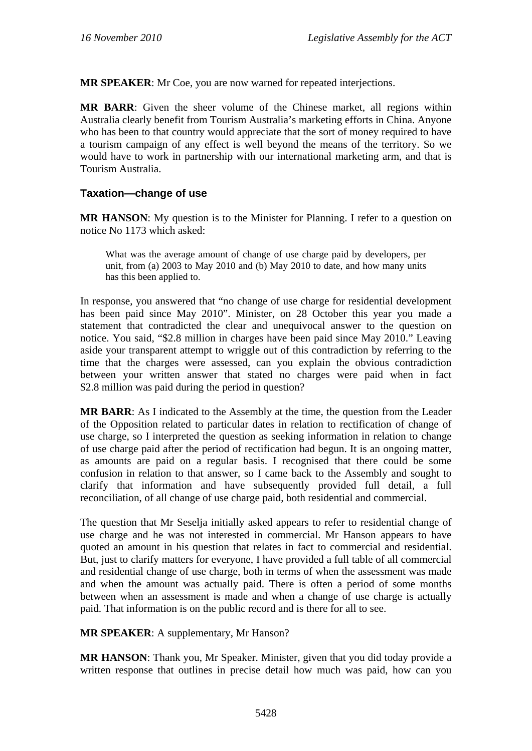**MR SPEAKER**: Mr Coe, you are now warned for repeated interjections.

**MR BARR**: Given the sheer volume of the Chinese market, all regions within Australia clearly benefit from Tourism Australia's marketing efforts in China. Anyone who has been to that country would appreciate that the sort of money required to have a tourism campaign of any effect is well beyond the means of the territory. So we would have to work in partnership with our international marketing arm, and that is Tourism Australia.

### **Taxation—change of use**

**MR HANSON**: My question is to the Minister for Planning. I refer to a question on notice No 1173 which asked:

What was the average amount of change of use charge paid by developers, per unit, from (a) 2003 to May 2010 and (b) May 2010 to date, and how many units has this been applied to.

In response, you answered that "no change of use charge for residential development has been paid since May 2010". Minister, on 28 October this year you made a statement that contradicted the clear and unequivocal answer to the question on notice. You said, "\$2.8 million in charges have been paid since May 2010." Leaving aside your transparent attempt to wriggle out of this contradiction by referring to the time that the charges were assessed, can you explain the obvious contradiction between your written answer that stated no charges were paid when in fact \$2.8 million was paid during the period in question?

**MR BARR**: As I indicated to the Assembly at the time, the question from the Leader of the Opposition related to particular dates in relation to rectification of change of use charge, so I interpreted the question as seeking information in relation to change of use charge paid after the period of rectification had begun. It is an ongoing matter, as amounts are paid on a regular basis. I recognised that there could be some confusion in relation to that answer, so I came back to the Assembly and sought to clarify that information and have subsequently provided full detail, a full reconciliation, of all change of use charge paid, both residential and commercial.

The question that Mr Seselja initially asked appears to refer to residential change of use charge and he was not interested in commercial. Mr Hanson appears to have quoted an amount in his question that relates in fact to commercial and residential. But, just to clarify matters for everyone, I have provided a full table of all commercial and residential change of use charge, both in terms of when the assessment was made and when the amount was actually paid. There is often a period of some months between when an assessment is made and when a change of use charge is actually paid. That information is on the public record and is there for all to see.

**MR SPEAKER**: A supplementary, Mr Hanson?

**MR HANSON**: Thank you, Mr Speaker. Minister, given that you did today provide a written response that outlines in precise detail how much was paid, how can you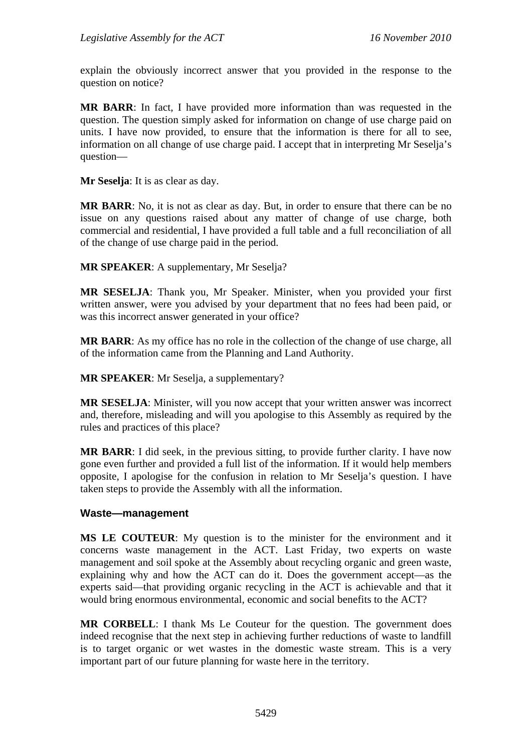explain the obviously incorrect answer that you provided in the response to the question on notice?

**MR BARR**: In fact, I have provided more information than was requested in the question. The question simply asked for information on change of use charge paid on units. I have now provided, to ensure that the information is there for all to see, information on all change of use charge paid. I accept that in interpreting Mr Seselja's question—

**Mr Seselja**: It is as clear as day.

**MR BARR**: No, it is not as clear as day. But, in order to ensure that there can be no issue on any questions raised about any matter of change of use charge, both commercial and residential, I have provided a full table and a full reconciliation of all of the change of use charge paid in the period.

**MR SPEAKER**: A supplementary, Mr Seselja?

**MR SESELJA**: Thank you, Mr Speaker. Minister, when you provided your first written answer, were you advised by your department that no fees had been paid, or was this incorrect answer generated in your office?

**MR BARR**: As my office has no role in the collection of the change of use charge, all of the information came from the Planning and Land Authority.

**MR SPEAKER:** Mr Seselia, a supplementary?

**MR SESELJA**: Minister, will you now accept that your written answer was incorrect and, therefore, misleading and will you apologise to this Assembly as required by the rules and practices of this place?

**MR BARR**: I did seek, in the previous sitting, to provide further clarity. I have now gone even further and provided a full list of the information. If it would help members opposite, I apologise for the confusion in relation to Mr Seselja's question. I have taken steps to provide the Assembly with all the information.

#### **Waste—management**

**MS LE COUTEUR**: My question is to the minister for the environment and it concerns waste management in the ACT. Last Friday, two experts on waste management and soil spoke at the Assembly about recycling organic and green waste, explaining why and how the ACT can do it. Does the government accept—as the experts said—that providing organic recycling in the ACT is achievable and that it would bring enormous environmental, economic and social benefits to the ACT?

**MR CORBELL**: I thank Ms Le Couteur for the question. The government does indeed recognise that the next step in achieving further reductions of waste to landfill is to target organic or wet wastes in the domestic waste stream. This is a very important part of our future planning for waste here in the territory.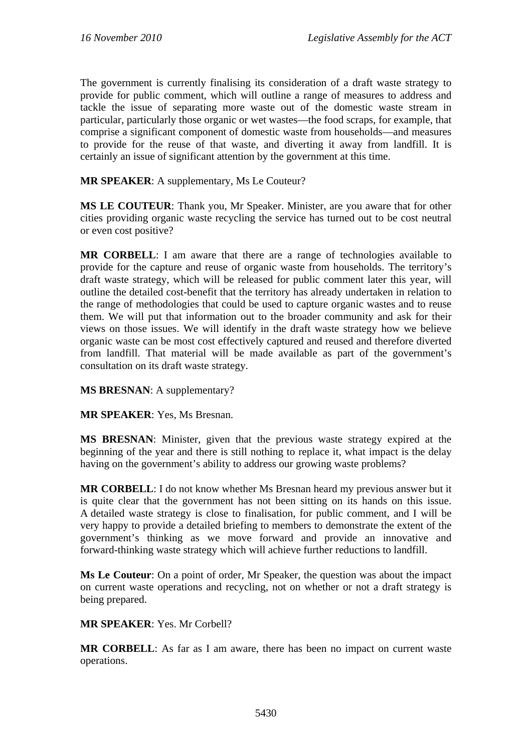The government is currently finalising its consideration of a draft waste strategy to provide for public comment, which will outline a range of measures to address and tackle the issue of separating more waste out of the domestic waste stream in particular, particularly those organic or wet wastes—the food scraps, for example, that comprise a significant component of domestic waste from households—and measures to provide for the reuse of that waste, and diverting it away from landfill. It is certainly an issue of significant attention by the government at this time.

**MR SPEAKER**: A supplementary, Ms Le Couteur?

**MS LE COUTEUR**: Thank you, Mr Speaker. Minister, are you aware that for other cities providing organic waste recycling the service has turned out to be cost neutral or even cost positive?

**MR CORBELL**: I am aware that there are a range of technologies available to provide for the capture and reuse of organic waste from households. The territory's draft waste strategy, which will be released for public comment later this year, will outline the detailed cost-benefit that the territory has already undertaken in relation to the range of methodologies that could be used to capture organic wastes and to reuse them. We will put that information out to the broader community and ask for their views on those issues. We will identify in the draft waste strategy how we believe organic waste can be most cost effectively captured and reused and therefore diverted from landfill. That material will be made available as part of the government's consultation on its draft waste strategy.

**MS BRESNAN**: A supplementary?

**MR SPEAKER**: Yes, Ms Bresnan.

**MS BRESNAN**: Minister, given that the previous waste strategy expired at the beginning of the year and there is still nothing to replace it, what impact is the delay having on the government's ability to address our growing waste problems?

**MR CORBELL**: I do not know whether Ms Bresnan heard my previous answer but it is quite clear that the government has not been sitting on its hands on this issue. A detailed waste strategy is close to finalisation, for public comment, and I will be very happy to provide a detailed briefing to members to demonstrate the extent of the government's thinking as we move forward and provide an innovative and forward-thinking waste strategy which will achieve further reductions to landfill.

**Ms Le Couteur**: On a point of order, Mr Speaker, the question was about the impact on current waste operations and recycling, not on whether or not a draft strategy is being prepared.

**MR SPEAKER**: Yes. Mr Corbell?

**MR CORBELL**: As far as I am aware, there has been no impact on current waste operations.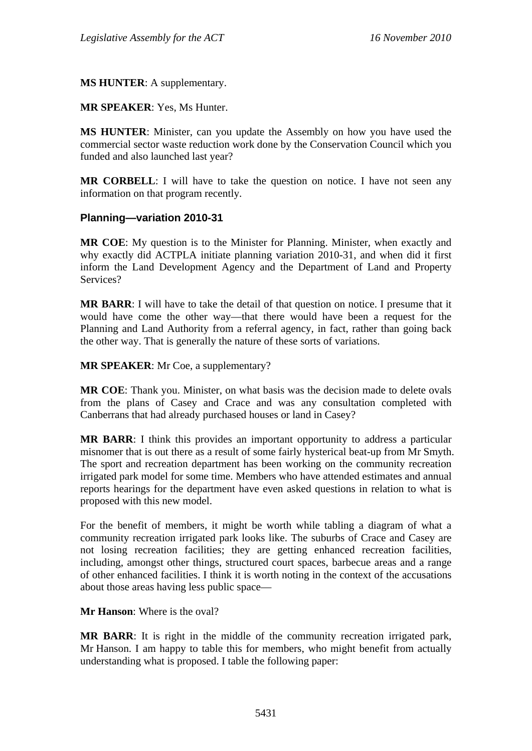**MS HUNTER**: A supplementary.

**MR SPEAKER**: Yes, Ms Hunter.

**MS HUNTER**: Minister, can you update the Assembly on how you have used the commercial sector waste reduction work done by the Conservation Council which you funded and also launched last year?

**MR CORBELL:** I will have to take the question on notice. I have not seen any information on that program recently.

### **Planning—variation 2010-31**

**MR COE**: My question is to the Minister for Planning. Minister, when exactly and why exactly did ACTPLA initiate planning variation 2010-31, and when did it first inform the Land Development Agency and the Department of Land and Property Services?

**MR BARR**: I will have to take the detail of that question on notice. I presume that it would have come the other way—that there would have been a request for the Planning and Land Authority from a referral agency, in fact, rather than going back the other way. That is generally the nature of these sorts of variations.

**MR SPEAKER**: Mr Coe, a supplementary?

**MR COE**: Thank you. Minister, on what basis was the decision made to delete ovals from the plans of Casey and Crace and was any consultation completed with Canberrans that had already purchased houses or land in Casey?

**MR BARR**: I think this provides an important opportunity to address a particular misnomer that is out there as a result of some fairly hysterical beat-up from Mr Smyth. The sport and recreation department has been working on the community recreation irrigated park model for some time. Members who have attended estimates and annual reports hearings for the department have even asked questions in relation to what is proposed with this new model.

For the benefit of members, it might be worth while tabling a diagram of what a community recreation irrigated park looks like. The suburbs of Crace and Casey are not losing recreation facilities; they are getting enhanced recreation facilities, including, amongst other things, structured court spaces, barbecue areas and a range of other enhanced facilities. I think it is worth noting in the context of the accusations about those areas having less public space—

**Mr Hanson**: Where is the oval?

**MR BARR**: It is right in the middle of the community recreation irrigated park, Mr Hanson. I am happy to table this for members, who might benefit from actually understanding what is proposed. I table the following paper: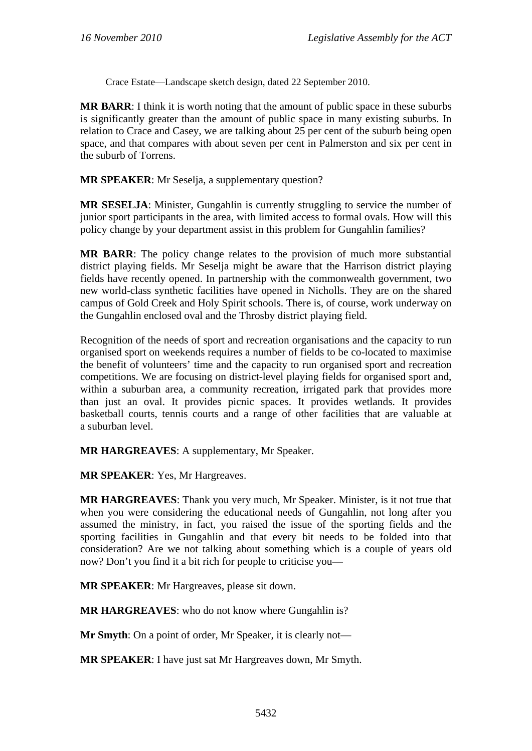Crace Estate—Landscape sketch design, dated 22 September 2010.

**MR BARR**: I think it is worth noting that the amount of public space in these suburbs is significantly greater than the amount of public space in many existing suburbs. In relation to Crace and Casey, we are talking about 25 per cent of the suburb being open space, and that compares with about seven per cent in Palmerston and six per cent in the suburb of Torrens.

**MR SPEAKER**: Mr Seselja, a supplementary question?

**MR SESELJA**: Minister, Gungahlin is currently struggling to service the number of junior sport participants in the area, with limited access to formal ovals. How will this policy change by your department assist in this problem for Gungahlin families?

**MR BARR**: The policy change relates to the provision of much more substantial district playing fields. Mr Seselja might be aware that the Harrison district playing fields have recently opened. In partnership with the commonwealth government, two new world-class synthetic facilities have opened in Nicholls. They are on the shared campus of Gold Creek and Holy Spirit schools. There is, of course, work underway on the Gungahlin enclosed oval and the Throsby district playing field.

Recognition of the needs of sport and recreation organisations and the capacity to run organised sport on weekends requires a number of fields to be co-located to maximise the benefit of volunteers' time and the capacity to run organised sport and recreation competitions. We are focusing on district-level playing fields for organised sport and, within a suburban area, a community recreation, irrigated park that provides more than just an oval. It provides picnic spaces. It provides wetlands. It provides basketball courts, tennis courts and a range of other facilities that are valuable at a suburban level.

**MR HARGREAVES**: A supplementary, Mr Speaker.

**MR SPEAKER**: Yes, Mr Hargreaves.

**MR HARGREAVES**: Thank you very much, Mr Speaker. Minister, is it not true that when you were considering the educational needs of Gungahlin, not long after you assumed the ministry, in fact, you raised the issue of the sporting fields and the sporting facilities in Gungahlin and that every bit needs to be folded into that consideration? Are we not talking about something which is a couple of years old now? Don't you find it a bit rich for people to criticise you—

**MR SPEAKER**: Mr Hargreaves, please sit down.

**MR HARGREAVES:** who do not know where Gungahlin is?

**Mr Smyth**: On a point of order, Mr Speaker, it is clearly not—

**MR SPEAKER**: I have just sat Mr Hargreaves down, Mr Smyth.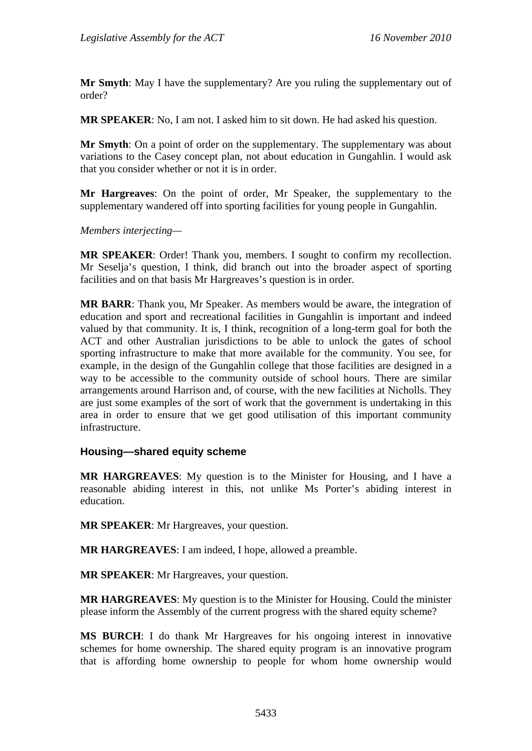**Mr Smyth**: May I have the supplementary? Are you ruling the supplementary out of order?

**MR SPEAKER**: No, I am not. I asked him to sit down. He had asked his question.

**Mr Smyth**: On a point of order on the supplementary. The supplementary was about variations to the Casey concept plan, not about education in Gungahlin. I would ask that you consider whether or not it is in order.

**Mr Hargreaves**: On the point of order, Mr Speaker, the supplementary to the supplementary wandered off into sporting facilities for young people in Gungahlin.

*Members interjecting—* 

**MR SPEAKER**: Order! Thank you, members. I sought to confirm my recollection. Mr Seselja's question, I think, did branch out into the broader aspect of sporting facilities and on that basis Mr Hargreaves's question is in order.

**MR BARR**: Thank you, Mr Speaker. As members would be aware, the integration of education and sport and recreational facilities in Gungahlin is important and indeed valued by that community. It is, I think, recognition of a long-term goal for both the ACT and other Australian jurisdictions to be able to unlock the gates of school sporting infrastructure to make that more available for the community. You see, for example, in the design of the Gungahlin college that those facilities are designed in a way to be accessible to the community outside of school hours. There are similar arrangements around Harrison and, of course, with the new facilities at Nicholls. They are just some examples of the sort of work that the government is undertaking in this area in order to ensure that we get good utilisation of this important community infrastructure.

### **Housing—shared equity scheme**

**MR HARGREAVES**: My question is to the Minister for Housing, and I have a reasonable abiding interest in this, not unlike Ms Porter's abiding interest in education.

**MR SPEAKER**: Mr Hargreaves, your question.

**MR HARGREAVES**: I am indeed, I hope, allowed a preamble.

**MR SPEAKER**: Mr Hargreaves, your question.

**MR HARGREAVES**: My question is to the Minister for Housing. Could the minister please inform the Assembly of the current progress with the shared equity scheme?

**MS BURCH**: I do thank Mr Hargreaves for his ongoing interest in innovative schemes for home ownership. The shared equity program is an innovative program that is affording home ownership to people for whom home ownership would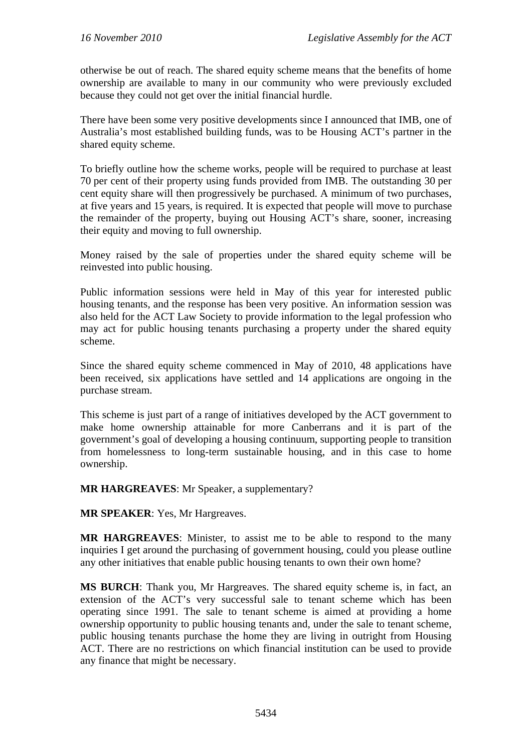otherwise be out of reach. The shared equity scheme means that the benefits of home ownership are available to many in our community who were previously excluded because they could not get over the initial financial hurdle.

There have been some very positive developments since I announced that IMB, one of Australia's most established building funds, was to be Housing ACT's partner in the shared equity scheme.

To briefly outline how the scheme works, people will be required to purchase at least 70 per cent of their property using funds provided from IMB. The outstanding 30 per cent equity share will then progressively be purchased. A minimum of two purchases, at five years and 15 years, is required. It is expected that people will move to purchase the remainder of the property, buying out Housing ACT's share, sooner, increasing their equity and moving to full ownership.

Money raised by the sale of properties under the shared equity scheme will be reinvested into public housing.

Public information sessions were held in May of this year for interested public housing tenants, and the response has been very positive. An information session was also held for the ACT Law Society to provide information to the legal profession who may act for public housing tenants purchasing a property under the shared equity scheme.

Since the shared equity scheme commenced in May of 2010, 48 applications have been received, six applications have settled and 14 applications are ongoing in the purchase stream.

This scheme is just part of a range of initiatives developed by the ACT government to make home ownership attainable for more Canberrans and it is part of the government's goal of developing a housing continuum, supporting people to transition from homelessness to long-term sustainable housing, and in this case to home ownership.

**MR HARGREAVES**: Mr Speaker, a supplementary?

**MR SPEAKER**: Yes, Mr Hargreaves.

**MR HARGREAVES**: Minister, to assist me to be able to respond to the many inquiries I get around the purchasing of government housing, could you please outline any other initiatives that enable public housing tenants to own their own home?

**MS BURCH**: Thank you, Mr Hargreaves. The shared equity scheme is, in fact, an extension of the ACT's very successful sale to tenant scheme which has been operating since 1991. The sale to tenant scheme is aimed at providing a home ownership opportunity to public housing tenants and, under the sale to tenant scheme, public housing tenants purchase the home they are living in outright from Housing ACT. There are no restrictions on which financial institution can be used to provide any finance that might be necessary.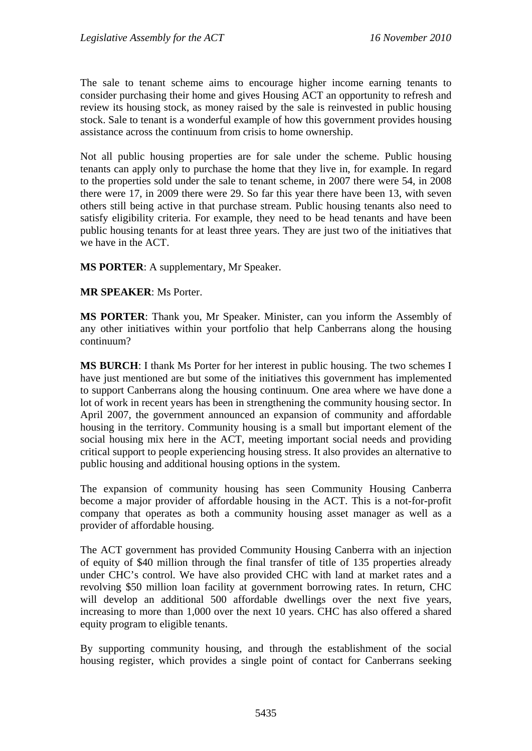The sale to tenant scheme aims to encourage higher income earning tenants to consider purchasing their home and gives Housing ACT an opportunity to refresh and review its housing stock, as money raised by the sale is reinvested in public housing stock. Sale to tenant is a wonderful example of how this government provides housing assistance across the continuum from crisis to home ownership.

Not all public housing properties are for sale under the scheme. Public housing tenants can apply only to purchase the home that they live in, for example. In regard to the properties sold under the sale to tenant scheme, in 2007 there were 54, in 2008 there were 17, in 2009 there were 29. So far this year there have been 13, with seven others still being active in that purchase stream. Public housing tenants also need to satisfy eligibility criteria. For example, they need to be head tenants and have been public housing tenants for at least three years. They are just two of the initiatives that we have in the ACT.

**MS PORTER**: A supplementary, Mr Speaker.

**MR SPEAKER**: Ms Porter.

**MS PORTER**: Thank you, Mr Speaker. Minister, can you inform the Assembly of any other initiatives within your portfolio that help Canberrans along the housing continuum?

**MS BURCH**: I thank Ms Porter for her interest in public housing. The two schemes I have just mentioned are but some of the initiatives this government has implemented to support Canberrans along the housing continuum. One area where we have done a lot of work in recent years has been in strengthening the community housing sector. In April 2007, the government announced an expansion of community and affordable housing in the territory. Community housing is a small but important element of the social housing mix here in the ACT, meeting important social needs and providing critical support to people experiencing housing stress. It also provides an alternative to public housing and additional housing options in the system.

The expansion of community housing has seen Community Housing Canberra become a major provider of affordable housing in the ACT. This is a not-for-profit company that operates as both a community housing asset manager as well as a provider of affordable housing.

The ACT government has provided Community Housing Canberra with an injection of equity of \$40 million through the final transfer of title of 135 properties already under CHC's control. We have also provided CHC with land at market rates and a revolving \$50 million loan facility at government borrowing rates. In return, CHC will develop an additional 500 affordable dwellings over the next five years, increasing to more than 1,000 over the next 10 years. CHC has also offered a shared equity program to eligible tenants.

By supporting community housing, and through the establishment of the social housing register, which provides a single point of contact for Canberrans seeking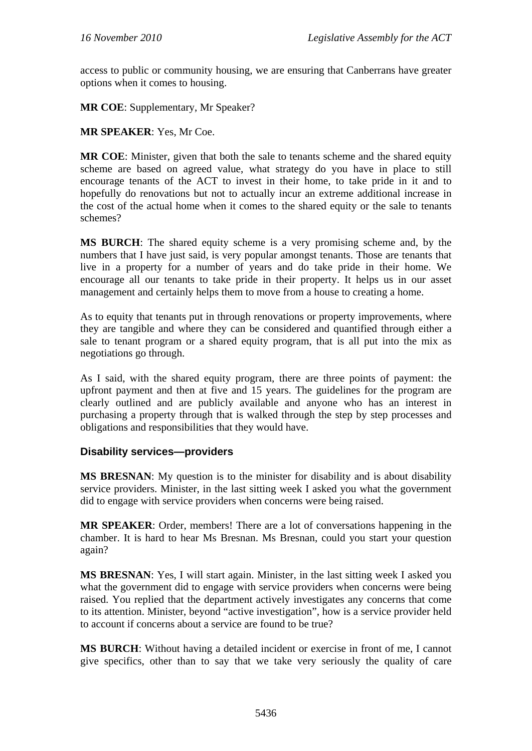access to public or community housing, we are ensuring that Canberrans have greater options when it comes to housing.

**MR COE**: Supplementary, Mr Speaker?

**MR SPEAKER**: Yes, Mr Coe.

**MR COE**: Minister, given that both the sale to tenants scheme and the shared equity scheme are based on agreed value, what strategy do you have in place to still encourage tenants of the ACT to invest in their home, to take pride in it and to hopefully do renovations but not to actually incur an extreme additional increase in the cost of the actual home when it comes to the shared equity or the sale to tenants schemes?

**MS BURCH**: The shared equity scheme is a very promising scheme and, by the numbers that I have just said, is very popular amongst tenants. Those are tenants that live in a property for a number of years and do take pride in their home. We encourage all our tenants to take pride in their property. It helps us in our asset management and certainly helps them to move from a house to creating a home.

As to equity that tenants put in through renovations or property improvements, where they are tangible and where they can be considered and quantified through either a sale to tenant program or a shared equity program, that is all put into the mix as negotiations go through.

As I said, with the shared equity program, there are three points of payment: the upfront payment and then at five and 15 years. The guidelines for the program are clearly outlined and are publicly available and anyone who has an interest in purchasing a property through that is walked through the step by step processes and obligations and responsibilities that they would have.

### **Disability services—providers**

**MS BRESNAN**: My question is to the minister for disability and is about disability service providers. Minister, in the last sitting week I asked you what the government did to engage with service providers when concerns were being raised.

**MR SPEAKER**: Order, members! There are a lot of conversations happening in the chamber. It is hard to hear Ms Bresnan. Ms Bresnan, could you start your question again?

**MS BRESNAN**: Yes, I will start again. Minister, in the last sitting week I asked you what the government did to engage with service providers when concerns were being raised. You replied that the department actively investigates any concerns that come to its attention. Minister, beyond "active investigation", how is a service provider held to account if concerns about a service are found to be true?

**MS BURCH**: Without having a detailed incident or exercise in front of me, I cannot give specifics, other than to say that we take very seriously the quality of care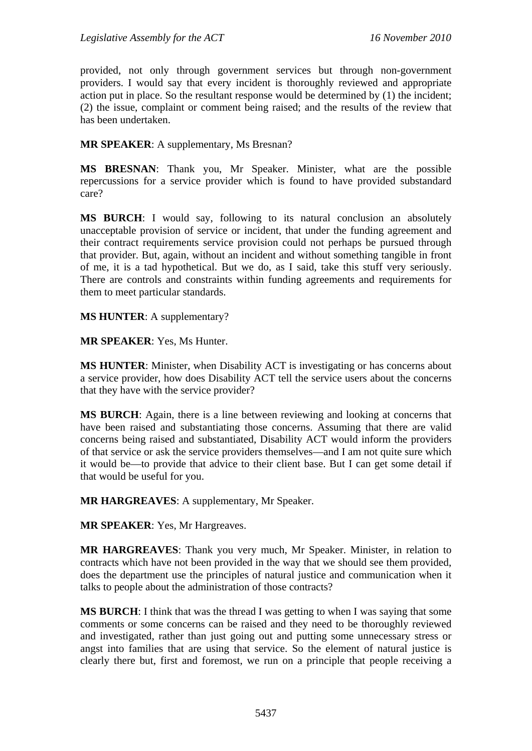provided, not only through government services but through non-government providers. I would say that every incident is thoroughly reviewed and appropriate action put in place. So the resultant response would be determined by (1) the incident; (2) the issue, complaint or comment being raised; and the results of the review that has been undertaken.

**MR SPEAKER**: A supplementary, Ms Bresnan?

**MS BRESNAN**: Thank you, Mr Speaker. Minister, what are the possible repercussions for a service provider which is found to have provided substandard care?

**MS BURCH**: I would say, following to its natural conclusion an absolutely unacceptable provision of service or incident, that under the funding agreement and their contract requirements service provision could not perhaps be pursued through that provider. But, again, without an incident and without something tangible in front of me, it is a tad hypothetical. But we do, as I said, take this stuff very seriously. There are controls and constraints within funding agreements and requirements for them to meet particular standards.

**MS HUNTER**: A supplementary?

**MR SPEAKER**: Yes, Ms Hunter.

**MS HUNTER**: Minister, when Disability ACT is investigating or has concerns about a service provider, how does Disability ACT tell the service users about the concerns that they have with the service provider?

**MS BURCH**: Again, there is a line between reviewing and looking at concerns that have been raised and substantiating those concerns. Assuming that there are valid concerns being raised and substantiated, Disability ACT would inform the providers of that service or ask the service providers themselves—and I am not quite sure which it would be—to provide that advice to their client base. But I can get some detail if that would be useful for you.

**MR HARGREAVES**: A supplementary, Mr Speaker.

**MR SPEAKER**: Yes, Mr Hargreaves.

**MR HARGREAVES**: Thank you very much, Mr Speaker. Minister, in relation to contracts which have not been provided in the way that we should see them provided, does the department use the principles of natural justice and communication when it talks to people about the administration of those contracts?

**MS BURCH**: I think that was the thread I was getting to when I was saying that some comments or some concerns can be raised and they need to be thoroughly reviewed and investigated, rather than just going out and putting some unnecessary stress or angst into families that are using that service. So the element of natural justice is clearly there but, first and foremost, we run on a principle that people receiving a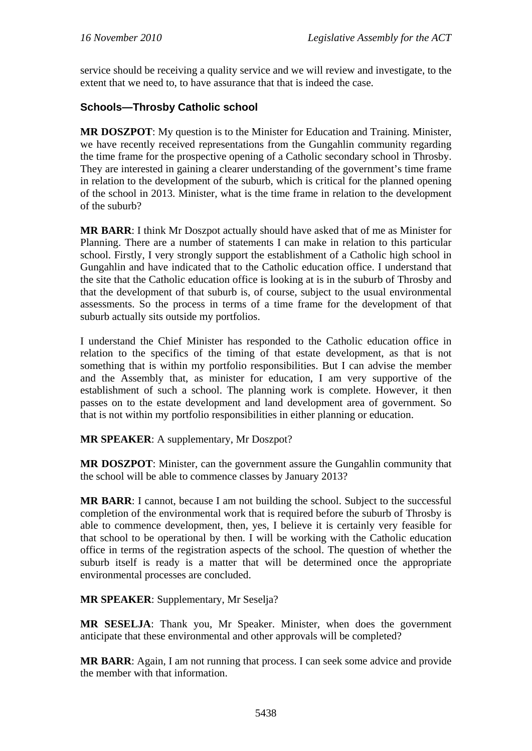service should be receiving a quality service and we will review and investigate, to the extent that we need to, to have assurance that that is indeed the case.

## **Schools—Throsby Catholic school**

**MR DOSZPOT**: My question is to the Minister for Education and Training. Minister, we have recently received representations from the Gungahlin community regarding the time frame for the prospective opening of a Catholic secondary school in Throsby. They are interested in gaining a clearer understanding of the government's time frame in relation to the development of the suburb, which is critical for the planned opening of the school in 2013. Minister, what is the time frame in relation to the development of the suburb?

**MR BARR**: I think Mr Doszpot actually should have asked that of me as Minister for Planning. There are a number of statements I can make in relation to this particular school. Firstly, I very strongly support the establishment of a Catholic high school in Gungahlin and have indicated that to the Catholic education office. I understand that the site that the Catholic education office is looking at is in the suburb of Throsby and that the development of that suburb is, of course, subject to the usual environmental assessments. So the process in terms of a time frame for the development of that suburb actually sits outside my portfolios.

I understand the Chief Minister has responded to the Catholic education office in relation to the specifics of the timing of that estate development, as that is not something that is within my portfolio responsibilities. But I can advise the member and the Assembly that, as minister for education, I am very supportive of the establishment of such a school. The planning work is complete. However, it then passes on to the estate development and land development area of government. So that is not within my portfolio responsibilities in either planning or education.

**MR SPEAKER**: A supplementary, Mr Doszpot?

**MR DOSZPOT**: Minister, can the government assure the Gungahlin community that the school will be able to commence classes by January 2013?

**MR BARR**: I cannot, because I am not building the school. Subject to the successful completion of the environmental work that is required before the suburb of Throsby is able to commence development, then, yes, I believe it is certainly very feasible for that school to be operational by then. I will be working with the Catholic education office in terms of the registration aspects of the school. The question of whether the suburb itself is ready is a matter that will be determined once the appropriate environmental processes are concluded.

**MR SPEAKER**: Supplementary, Mr Seselja?

**MR SESELJA**: Thank you, Mr Speaker. Minister, when does the government anticipate that these environmental and other approvals will be completed?

**MR BARR**: Again, I am not running that process. I can seek some advice and provide the member with that information.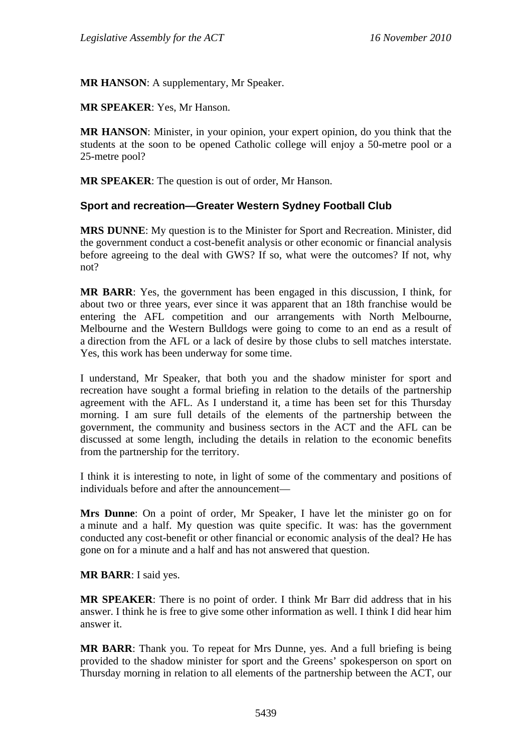**MR HANSON**: A supplementary, Mr Speaker.

**MR SPEAKER**: Yes, Mr Hanson.

**MR HANSON**: Minister, in your opinion, your expert opinion, do you think that the students at the soon to be opened Catholic college will enjoy a 50-metre pool or a 25-metre pool?

**MR SPEAKER**: The question is out of order, Mr Hanson.

### **Sport and recreation—Greater Western Sydney Football Club**

**MRS DUNNE**: My question is to the Minister for Sport and Recreation. Minister, did the government conduct a cost-benefit analysis or other economic or financial analysis before agreeing to the deal with GWS? If so, what were the outcomes? If not, why not?

**MR BARR**: Yes, the government has been engaged in this discussion, I think, for about two or three years, ever since it was apparent that an 18th franchise would be entering the AFL competition and our arrangements with North Melbourne, Melbourne and the Western Bulldogs were going to come to an end as a result of a direction from the AFL or a lack of desire by those clubs to sell matches interstate. Yes, this work has been underway for some time.

I understand, Mr Speaker, that both you and the shadow minister for sport and recreation have sought a formal briefing in relation to the details of the partnership agreement with the AFL. As I understand it, a time has been set for this Thursday morning. I am sure full details of the elements of the partnership between the government, the community and business sectors in the ACT and the AFL can be discussed at some length, including the details in relation to the economic benefits from the partnership for the territory.

I think it is interesting to note, in light of some of the commentary and positions of individuals before and after the announcement—

**Mrs Dunne**: On a point of order, Mr Speaker, I have let the minister go on for a minute and a half. My question was quite specific. It was: has the government conducted any cost-benefit or other financial or economic analysis of the deal? He has gone on for a minute and a half and has not answered that question.

#### **MR BARR**: I said yes.

**MR SPEAKER**: There is no point of order. I think Mr Barr did address that in his answer. I think he is free to give some other information as well. I think I did hear him answer it.

**MR BARR**: Thank you. To repeat for Mrs Dunne, yes. And a full briefing is being provided to the shadow minister for sport and the Greens' spokesperson on sport on Thursday morning in relation to all elements of the partnership between the ACT, our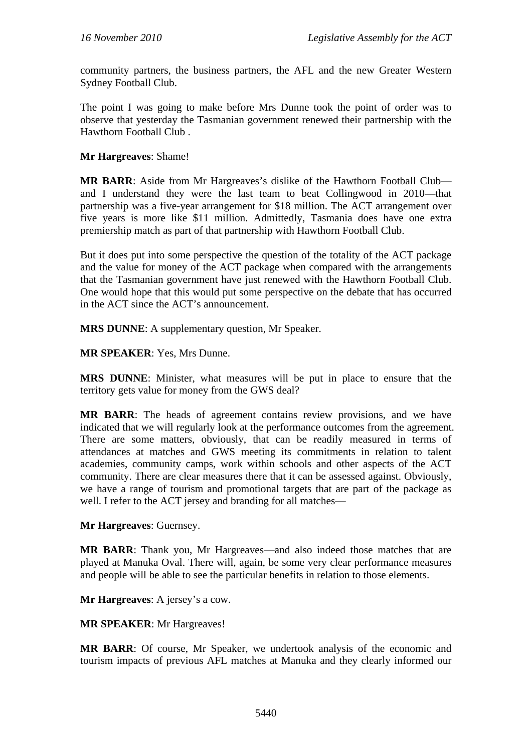community partners, the business partners, the AFL and the new Greater Western Sydney Football Club.

The point I was going to make before Mrs Dunne took the point of order was to observe that yesterday the Tasmanian government renewed their partnership with the Hawthorn Football Club .

#### **Mr Hargreaves**: Shame!

**MR BARR**: Aside from Mr Hargreaves's dislike of the Hawthorn Football Club and I understand they were the last team to beat Collingwood in 2010—that partnership was a five-year arrangement for \$18 million. The ACT arrangement over five years is more like \$11 million. Admittedly, Tasmania does have one extra premiership match as part of that partnership with Hawthorn Football Club.

But it does put into some perspective the question of the totality of the ACT package and the value for money of the ACT package when compared with the arrangements that the Tasmanian government have just renewed with the Hawthorn Football Club. One would hope that this would put some perspective on the debate that has occurred in the ACT since the ACT's announcement.

**MRS DUNNE**: A supplementary question, Mr Speaker.

**MR SPEAKER**: Yes, Mrs Dunne.

**MRS DUNNE**: Minister, what measures will be put in place to ensure that the territory gets value for money from the GWS deal?

**MR BARR**: The heads of agreement contains review provisions, and we have indicated that we will regularly look at the performance outcomes from the agreement. There are some matters, obviously, that can be readily measured in terms of attendances at matches and GWS meeting its commitments in relation to talent academies, community camps, work within schools and other aspects of the ACT community. There are clear measures there that it can be assessed against. Obviously, we have a range of tourism and promotional targets that are part of the package as well. I refer to the ACT jersey and branding for all matches—

**Mr Hargreaves**: Guernsey.

**MR BARR**: Thank you, Mr Hargreaves—and also indeed those matches that are played at Manuka Oval. There will, again, be some very clear performance measures and people will be able to see the particular benefits in relation to those elements.

**Mr Hargreaves**: A jersey's a cow.

**MR SPEAKER**: Mr Hargreaves!

**MR BARR**: Of course, Mr Speaker, we undertook analysis of the economic and tourism impacts of previous AFL matches at Manuka and they clearly informed our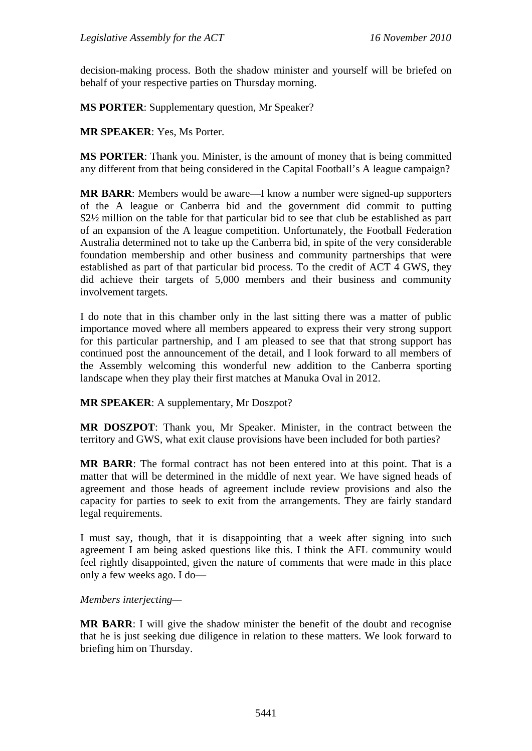decision-making process. Both the shadow minister and yourself will be briefed on behalf of your respective parties on Thursday morning.

**MS PORTER**: Supplementary question, Mr Speaker?

**MR SPEAKER**: Yes, Ms Porter.

**MS PORTER**: Thank you. Minister, is the amount of money that is being committed any different from that being considered in the Capital Football's A league campaign?

**MR BARR**: Members would be aware—I know a number were signed-up supporters of the A league or Canberra bid and the government did commit to putting \$2½ million on the table for that particular bid to see that club be established as part of an expansion of the A league competition. Unfortunately, the Football Federation Australia determined not to take up the Canberra bid, in spite of the very considerable foundation membership and other business and community partnerships that were established as part of that particular bid process. To the credit of ACT 4 GWS, they did achieve their targets of 5,000 members and their business and community involvement targets.

I do note that in this chamber only in the last sitting there was a matter of public importance moved where all members appeared to express their very strong support for this particular partnership, and I am pleased to see that that strong support has continued post the announcement of the detail, and I look forward to all members of the Assembly welcoming this wonderful new addition to the Canberra sporting landscape when they play their first matches at Manuka Oval in 2012.

**MR SPEAKER**: A supplementary, Mr Doszpot?

**MR DOSZPOT**: Thank you, Mr Speaker. Minister, in the contract between the territory and GWS, what exit clause provisions have been included for both parties?

**MR BARR**: The formal contract has not been entered into at this point. That is a matter that will be determined in the middle of next year. We have signed heads of agreement and those heads of agreement include review provisions and also the capacity for parties to seek to exit from the arrangements. They are fairly standard legal requirements.

I must say, though, that it is disappointing that a week after signing into such agreement I am being asked questions like this. I think the AFL community would feel rightly disappointed, given the nature of comments that were made in this place only a few weeks ago. I do—

*Members interjecting—* 

**MR BARR**: I will give the shadow minister the benefit of the doubt and recognise that he is just seeking due diligence in relation to these matters. We look forward to briefing him on Thursday.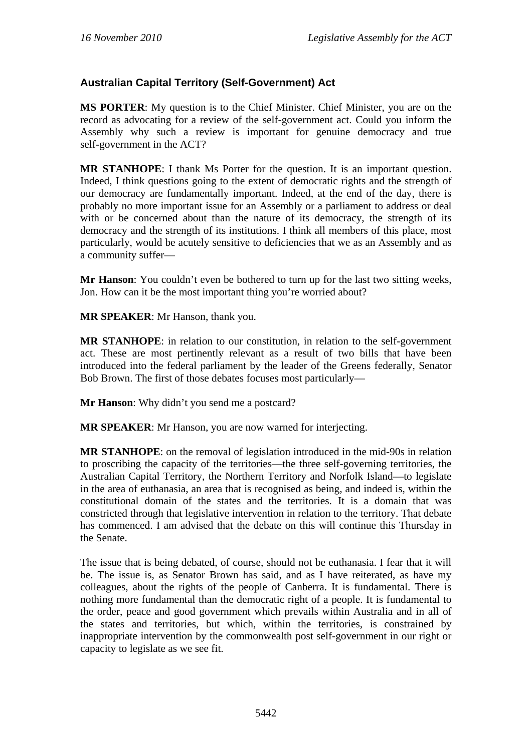## **Australian Capital Territory (Self-Government) Act**

**MS PORTER**: My question is to the Chief Minister. Chief Minister, you are on the record as advocating for a review of the self-government act. Could you inform the Assembly why such a review is important for genuine democracy and true self-government in the ACT?

**MR STANHOPE**: I thank Ms Porter for the question. It is an important question. Indeed, I think questions going to the extent of democratic rights and the strength of our democracy are fundamentally important. Indeed, at the end of the day, there is probably no more important issue for an Assembly or a parliament to address or deal with or be concerned about than the nature of its democracy, the strength of its democracy and the strength of its institutions. I think all members of this place, most particularly, would be acutely sensitive to deficiencies that we as an Assembly and as a community suffer—

**Mr Hanson**: You couldn't even be bothered to turn up for the last two sitting weeks, Jon. How can it be the most important thing you're worried about?

**MR SPEAKER**: Mr Hanson, thank you.

**MR STANHOPE**: in relation to our constitution, in relation to the self-government act. These are most pertinently relevant as a result of two bills that have been introduced into the federal parliament by the leader of the Greens federally, Senator Bob Brown. The first of those debates focuses most particularly—

**Mr Hanson**: Why didn't you send me a postcard?

**MR SPEAKER**: Mr Hanson, you are now warned for interjecting.

**MR STANHOPE**: on the removal of legislation introduced in the mid-90s in relation to proscribing the capacity of the territories—the three self-governing territories, the Australian Capital Territory, the Northern Territory and Norfolk Island—to legislate in the area of euthanasia, an area that is recognised as being, and indeed is, within the constitutional domain of the states and the territories. It is a domain that was constricted through that legislative intervention in relation to the territory. That debate has commenced. I am advised that the debate on this will continue this Thursday in the Senate.

The issue that is being debated, of course, should not be euthanasia. I fear that it will be. The issue is, as Senator Brown has said, and as I have reiterated, as have my colleagues, about the rights of the people of Canberra. It is fundamental. There is nothing more fundamental than the democratic right of a people. It is fundamental to the order, peace and good government which prevails within Australia and in all of the states and territories, but which, within the territories, is constrained by inappropriate intervention by the commonwealth post self-government in our right or capacity to legislate as we see fit.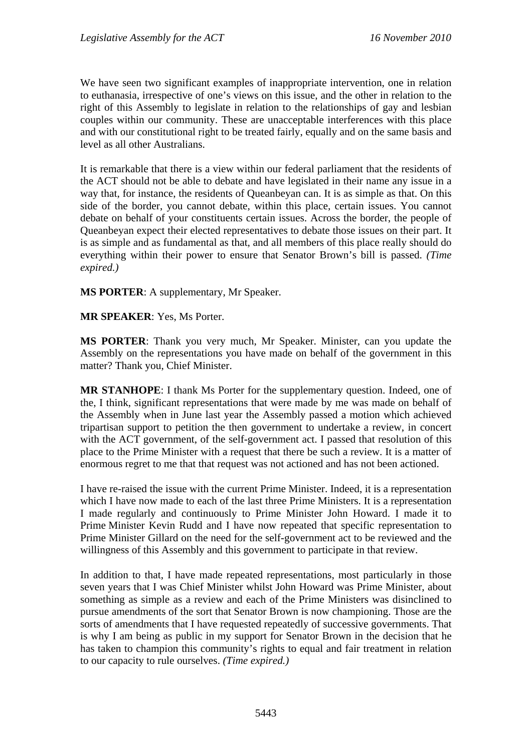We have seen two significant examples of inappropriate intervention, one in relation to euthanasia, irrespective of one's views on this issue, and the other in relation to the right of this Assembly to legislate in relation to the relationships of gay and lesbian couples within our community. These are unacceptable interferences with this place and with our constitutional right to be treated fairly, equally and on the same basis and level as all other Australians.

It is remarkable that there is a view within our federal parliament that the residents of the ACT should not be able to debate and have legislated in their name any issue in a way that, for instance, the residents of Queanbeyan can. It is as simple as that. On this side of the border, you cannot debate, within this place, certain issues. You cannot debate on behalf of your constituents certain issues. Across the border, the people of Queanbeyan expect their elected representatives to debate those issues on their part. It is as simple and as fundamental as that, and all members of this place really should do everything within their power to ensure that Senator Brown's bill is passed. *(Time expired.)*

**MS PORTER**: A supplementary, Mr Speaker.

#### **MR SPEAKER**: Yes, Ms Porter.

**MS PORTER**: Thank you very much, Mr Speaker. Minister, can you update the Assembly on the representations you have made on behalf of the government in this matter? Thank you, Chief Minister.

**MR STANHOPE**: I thank Ms Porter for the supplementary question. Indeed, one of the, I think, significant representations that were made by me was made on behalf of the Assembly when in June last year the Assembly passed a motion which achieved tripartisan support to petition the then government to undertake a review, in concert with the ACT government, of the self-government act. I passed that resolution of this place to the Prime Minister with a request that there be such a review. It is a matter of enormous regret to me that that request was not actioned and has not been actioned.

I have re-raised the issue with the current Prime Minister. Indeed, it is a representation which I have now made to each of the last three Prime Ministers. It is a representation I made regularly and continuously to Prime Minister John Howard. I made it to Prime Minister Kevin Rudd and I have now repeated that specific representation to Prime Minister Gillard on the need for the self-government act to be reviewed and the willingness of this Assembly and this government to participate in that review.

In addition to that, I have made repeated representations, most particularly in those seven years that I was Chief Minister whilst John Howard was Prime Minister, about something as simple as a review and each of the Prime Ministers was disinclined to pursue amendments of the sort that Senator Brown is now championing. Those are the sorts of amendments that I have requested repeatedly of successive governments. That is why I am being as public in my support for Senator Brown in the decision that he has taken to champion this community's rights to equal and fair treatment in relation to our capacity to rule ourselves. *(Time expired.)*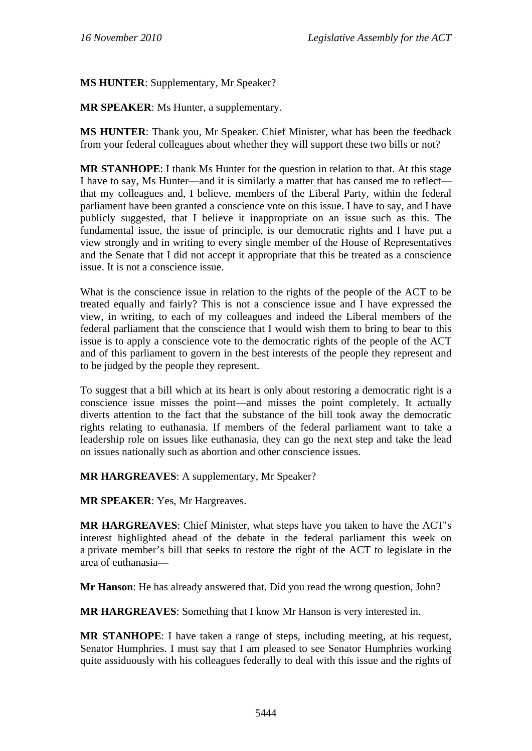**MS HUNTER**: Supplementary, Mr Speaker?

**MR SPEAKER**: Ms Hunter, a supplementary.

**MS HUNTER**: Thank you, Mr Speaker. Chief Minister, what has been the feedback from your federal colleagues about whether they will support these two bills or not?

**MR STANHOPE**: I thank Ms Hunter for the question in relation to that. At this stage I have to say, Ms Hunter—and it is similarly a matter that has caused me to reflect that my colleagues and, I believe, members of the Liberal Party, within the federal parliament have been granted a conscience vote on this issue. I have to say, and I have publicly suggested, that I believe it inappropriate on an issue such as this. The fundamental issue, the issue of principle, is our democratic rights and I have put a view strongly and in writing to every single member of the House of Representatives and the Senate that I did not accept it appropriate that this be treated as a conscience issue. It is not a conscience issue.

What is the conscience issue in relation to the rights of the people of the ACT to be treated equally and fairly? This is not a conscience issue and I have expressed the view, in writing, to each of my colleagues and indeed the Liberal members of the federal parliament that the conscience that I would wish them to bring to bear to this issue is to apply a conscience vote to the democratic rights of the people of the ACT and of this parliament to govern in the best interests of the people they represent and to be judged by the people they represent.

To suggest that a bill which at its heart is only about restoring a democratic right is a conscience issue misses the point—and misses the point completely. It actually diverts attention to the fact that the substance of the bill took away the democratic rights relating to euthanasia. If members of the federal parliament want to take a leadership role on issues like euthanasia, they can go the next step and take the lead on issues nationally such as abortion and other conscience issues.

**MR HARGREAVES**: A supplementary, Mr Speaker?

**MR SPEAKER**: Yes, Mr Hargreaves.

**MR HARGREAVES**: Chief Minister, what steps have you taken to have the ACT's interest highlighted ahead of the debate in the federal parliament this week on a private member's bill that seeks to restore the right of the ACT to legislate in the area of euthanasia—

**Mr Hanson**: He has already answered that. Did you read the wrong question, John?

**MR HARGREAVES**: Something that I know Mr Hanson is very interested in.

**MR STANHOPE**: I have taken a range of steps, including meeting, at his request, Senator Humphries. I must say that I am pleased to see Senator Humphries working quite assiduously with his colleagues federally to deal with this issue and the rights of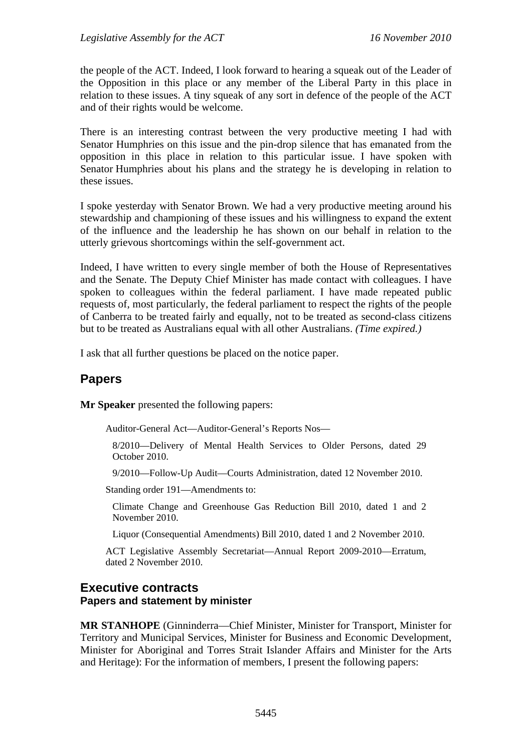the people of the ACT. Indeed, I look forward to hearing a squeak out of the Leader of the Opposition in this place or any member of the Liberal Party in this place in relation to these issues. A tiny squeak of any sort in defence of the people of the ACT and of their rights would be welcome.

There is an interesting contrast between the very productive meeting I had with Senator Humphries on this issue and the pin-drop silence that has emanated from the opposition in this place in relation to this particular issue. I have spoken with Senator Humphries about his plans and the strategy he is developing in relation to these issues.

I spoke yesterday with Senator Brown. We had a very productive meeting around his stewardship and championing of these issues and his willingness to expand the extent of the influence and the leadership he has shown on our behalf in relation to the utterly grievous shortcomings within the self-government act.

Indeed, I have written to every single member of both the House of Representatives and the Senate. The Deputy Chief Minister has made contact with colleagues. I have spoken to colleagues within the federal parliament. I have made repeated public requests of, most particularly, the federal parliament to respect the rights of the people of Canberra to be treated fairly and equally, not to be treated as second-class citizens but to be treated as Australians equal with all other Australians. *(Time expired.)* 

I ask that all further questions be placed on the notice paper.

# **Papers**

**Mr Speaker** presented the following papers:

Auditor-General Act—Auditor-General's Reports Nos—

8/2010—Delivery of Mental Health Services to Older Persons, dated 29 October 2010.

9/2010—Follow-Up Audit—Courts Administration, dated 12 November 2010.

Standing order 191—Amendments to:

Climate Change and Greenhouse Gas Reduction Bill 2010, dated 1 and 2 November 2010.

Liquor (Consequential Amendments) Bill 2010, dated 1 and 2 November 2010.

ACT Legislative Assembly Secretariat—Annual Report 2009-2010—Erratum, dated 2 November 2010.

#### **Executive contracts Papers and statement by minister**

**MR STANHOPE** (Ginninderra—Chief Minister, Minister for Transport, Minister for Territory and Municipal Services, Minister for Business and Economic Development, Minister for Aboriginal and Torres Strait Islander Affairs and Minister for the Arts and Heritage): For the information of members, I present the following papers: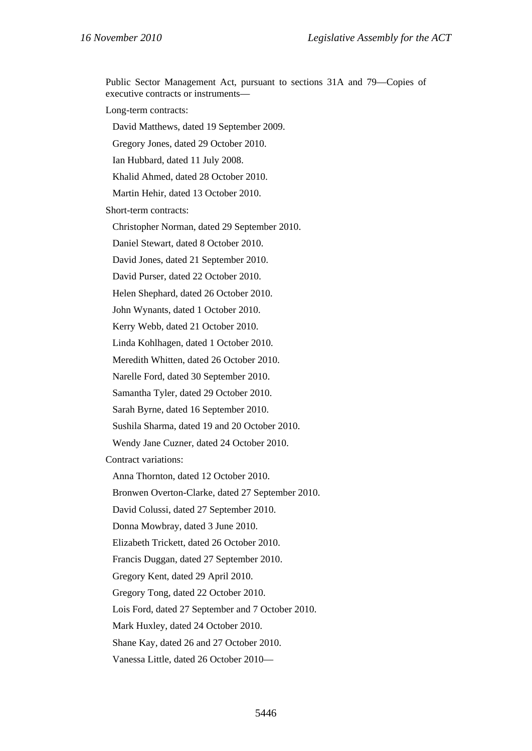Public Sector Management Act, pursuant to sections 31A and 79—Copies of executive contracts or instruments—

Long-term contracts:

David Matthews, dated 19 September 2009.

Gregory Jones, dated 29 October 2010.

Ian Hubbard, dated 11 July 2008.

Khalid Ahmed, dated 28 October 2010.

Martin Hehir, dated 13 October 2010.

Short-term contracts:

Christopher Norman, dated 29 September 2010.

Daniel Stewart, dated 8 October 2010.

David Jones, dated 21 September 2010.

David Purser, dated 22 October 2010.

Helen Shephard, dated 26 October 2010.

John Wynants, dated 1 October 2010.

Kerry Webb, dated 21 October 2010.

Linda Kohlhagen, dated 1 October 2010.

Meredith Whitten, dated 26 October 2010.

Narelle Ford, dated 30 September 2010.

Samantha Tyler, dated 29 October 2010.

Sarah Byrne, dated 16 September 2010.

Sushila Sharma, dated 19 and 20 October 2010.

Wendy Jane Cuzner, dated 24 October 2010.

Contract variations:

Anna Thornton, dated 12 October 2010.

Bronwen Overton-Clarke, dated 27 September 2010.

David Colussi, dated 27 September 2010.

Donna Mowbray, dated 3 June 2010.

Elizabeth Trickett, dated 26 October 2010.

Francis Duggan, dated 27 September 2010.

Gregory Kent, dated 29 April 2010.

Gregory Tong, dated 22 October 2010.

Lois Ford, dated 27 September and 7 October 2010.

Mark Huxley, dated 24 October 2010.

Shane Kay, dated 26 and 27 October 2010.

Vanessa Little, dated 26 October 2010—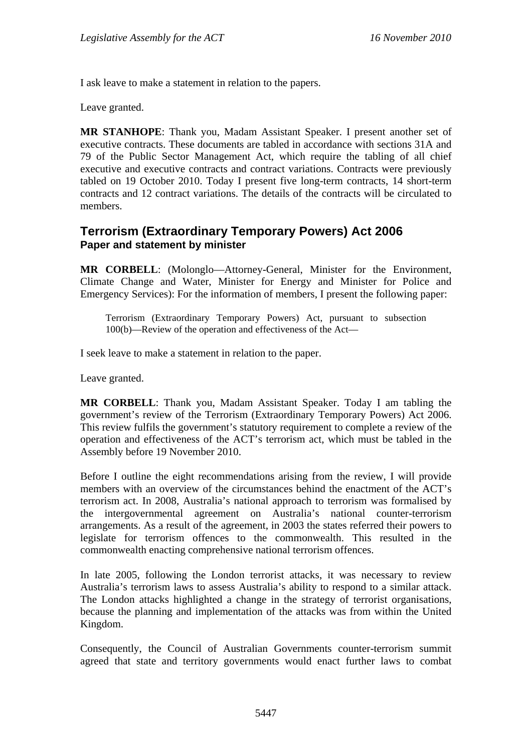I ask leave to make a statement in relation to the papers.

Leave granted.

**MR STANHOPE**: Thank you, Madam Assistant Speaker. I present another set of executive contracts. These documents are tabled in accordance with sections 31A and 79 of the Public Sector Management Act, which require the tabling of all chief executive and executive contracts and contract variations. Contracts were previously tabled on 19 October 2010. Today I present five long-term contracts, 14 short-term contracts and 12 contract variations. The details of the contracts will be circulated to members.

## **Terrorism (Extraordinary Temporary Powers) Act 2006 Paper and statement by minister**

**MR CORBELL**: (Molonglo—Attorney-General, Minister for the Environment, Climate Change and Water, Minister for Energy and Minister for Police and Emergency Services): For the information of members, I present the following paper:

Terrorism (Extraordinary Temporary Powers) Act, pursuant to subsection 100(b)—Review of the operation and effectiveness of the Act—

I seek leave to make a statement in relation to the paper.

Leave granted.

**MR CORBELL**: Thank you, Madam Assistant Speaker. Today I am tabling the government's review of the Terrorism (Extraordinary Temporary Powers) Act 2006. This review fulfils the government's statutory requirement to complete a review of the operation and effectiveness of the ACT's terrorism act, which must be tabled in the Assembly before 19 November 2010.

Before I outline the eight recommendations arising from the review, I will provide members with an overview of the circumstances behind the enactment of the ACT's terrorism act. In 2008, Australia's national approach to terrorism was formalised by the intergovernmental agreement on Australia's national counter-terrorism arrangements. As a result of the agreement, in 2003 the states referred their powers to legislate for terrorism offences to the commonwealth. This resulted in the commonwealth enacting comprehensive national terrorism offences.

In late 2005, following the London terrorist attacks, it was necessary to review Australia's terrorism laws to assess Australia's ability to respond to a similar attack. The London attacks highlighted a change in the strategy of terrorist organisations, because the planning and implementation of the attacks was from within the United Kingdom.

Consequently, the Council of Australian Governments counter-terrorism summit agreed that state and territory governments would enact further laws to combat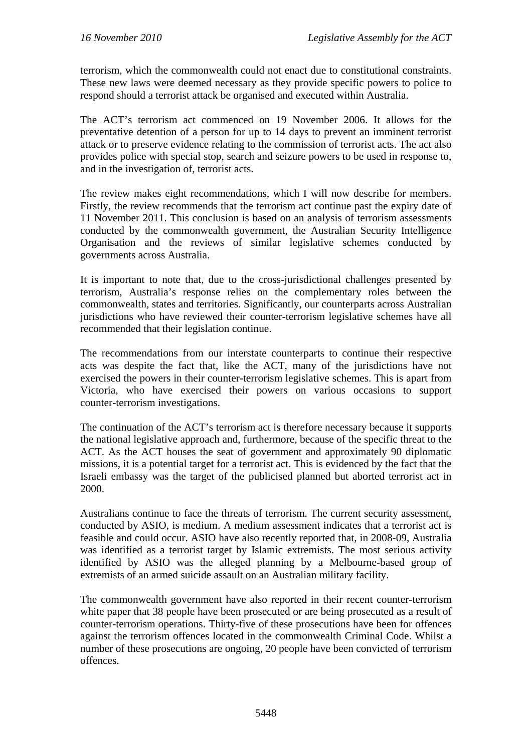terrorism, which the commonwealth could not enact due to constitutional constraints. These new laws were deemed necessary as they provide specific powers to police to respond should a terrorist attack be organised and executed within Australia.

The ACT's terrorism act commenced on 19 November 2006. It allows for the preventative detention of a person for up to 14 days to prevent an imminent terrorist attack or to preserve evidence relating to the commission of terrorist acts. The act also provides police with special stop, search and seizure powers to be used in response to, and in the investigation of, terrorist acts.

The review makes eight recommendations, which I will now describe for members. Firstly, the review recommends that the terrorism act continue past the expiry date of 11 November 2011. This conclusion is based on an analysis of terrorism assessments conducted by the commonwealth government, the Australian Security Intelligence Organisation and the reviews of similar legislative schemes conducted by governments across Australia.

It is important to note that, due to the cross-jurisdictional challenges presented by terrorism, Australia's response relies on the complementary roles between the commonwealth, states and territories. Significantly, our counterparts across Australian jurisdictions who have reviewed their counter-terrorism legislative schemes have all recommended that their legislation continue.

The recommendations from our interstate counterparts to continue their respective acts was despite the fact that, like the ACT, many of the jurisdictions have not exercised the powers in their counter-terrorism legislative schemes. This is apart from Victoria, who have exercised their powers on various occasions to support counter-terrorism investigations.

The continuation of the ACT's terrorism act is therefore necessary because it supports the national legislative approach and, furthermore, because of the specific threat to the ACT. As the ACT houses the seat of government and approximately 90 diplomatic missions, it is a potential target for a terrorist act. This is evidenced by the fact that the Israeli embassy was the target of the publicised planned but aborted terrorist act in 2000.

Australians continue to face the threats of terrorism. The current security assessment, conducted by ASIO, is medium. A medium assessment indicates that a terrorist act is feasible and could occur. ASIO have also recently reported that, in 2008-09, Australia was identified as a terrorist target by Islamic extremists. The most serious activity identified by ASIO was the alleged planning by a Melbourne-based group of extremists of an armed suicide assault on an Australian military facility.

The commonwealth government have also reported in their recent counter-terrorism white paper that 38 people have been prosecuted or are being prosecuted as a result of counter-terrorism operations. Thirty-five of these prosecutions have been for offences against the terrorism offences located in the commonwealth Criminal Code. Whilst a number of these prosecutions are ongoing, 20 people have been convicted of terrorism offences.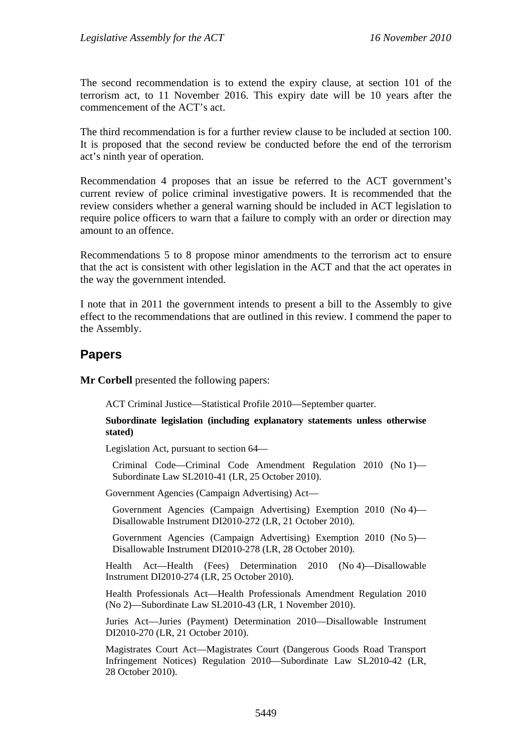The second recommendation is to extend the expiry clause, at section 101 of the terrorism act, to 11 November 2016. This expiry date will be 10 years after the commencement of the ACT's act.

The third recommendation is for a further review clause to be included at section 100. It is proposed that the second review be conducted before the end of the terrorism act's ninth year of operation.

Recommendation 4 proposes that an issue be referred to the ACT government's current review of police criminal investigative powers. It is recommended that the review considers whether a general warning should be included in ACT legislation to require police officers to warn that a failure to comply with an order or direction may amount to an offence.

Recommendations 5 to 8 propose minor amendments to the terrorism act to ensure that the act is consistent with other legislation in the ACT and that the act operates in the way the government intended.

I note that in 2011 the government intends to present a bill to the Assembly to give effect to the recommendations that are outlined in this review. I commend the paper to the Assembly.

# **Papers**

**Mr Corbell** presented the following papers:

ACT Criminal Justice—Statistical Profile 2010—September quarter.

**Subordinate legislation (including explanatory statements unless otherwise stated)** 

Legislation Act, pursuant to section 64—

Criminal Code—Criminal Code Amendment Regulation 2010 (No 1)— Subordinate Law SL2010-41 (LR, 25 October 2010).

Government Agencies (Campaign Advertising) Act—

Government Agencies (Campaign Advertising) Exemption 2010 (No 4)— Disallowable Instrument DI2010-272 (LR, 21 October 2010).

Government Agencies (Campaign Advertising) Exemption 2010 (No 5)— Disallowable Instrument DI2010-278 (LR, 28 October 2010).

Health Act—Health (Fees) Determination 2010 (No 4)—Disallowable Instrument DI2010-274 (LR, 25 October 2010).

Health Professionals Act—Health Professionals Amendment Regulation 2010 (No 2)—Subordinate Law SL2010-43 (LR, 1 November 2010).

Juries Act—Juries (Payment) Determination 2010—Disallowable Instrument DI2010-270 (LR, 21 October 2010).

Magistrates Court Act—Magistrates Court (Dangerous Goods Road Transport Infringement Notices) Regulation 2010—Subordinate Law SL2010-42 (LR, 28 October 2010).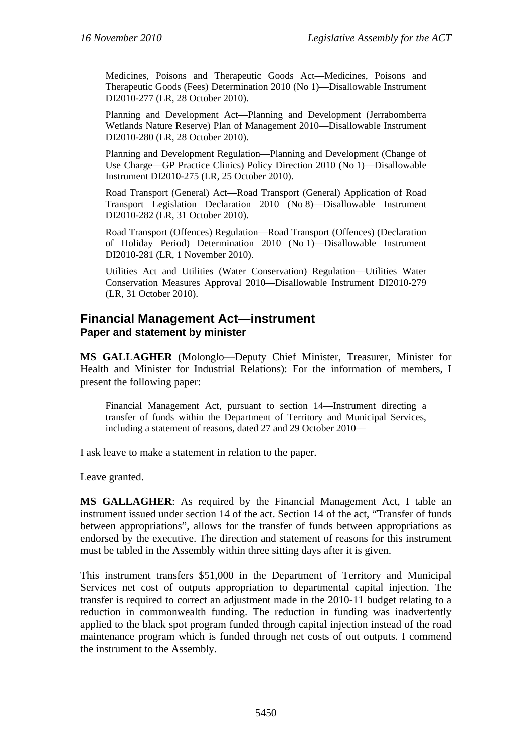Medicines, Poisons and Therapeutic Goods Act—Medicines, Poisons and Therapeutic Goods (Fees) Determination 2010 (No 1)—Disallowable Instrument DI2010-277 (LR, 28 October 2010).

Planning and Development Act—Planning and Development (Jerrabomberra Wetlands Nature Reserve) Plan of Management 2010—Disallowable Instrument DI2010-280 (LR, 28 October 2010).

Planning and Development Regulation—Planning and Development (Change of Use Charge—GP Practice Clinics) Policy Direction 2010 (No 1)—Disallowable Instrument DI2010-275 (LR, 25 October 2010).

Road Transport (General) Act—Road Transport (General) Application of Road Transport Legislation Declaration 2010 (No 8)—Disallowable Instrument DI2010-282 (LR, 31 October 2010).

Road Transport (Offences) Regulation—Road Transport (Offences) (Declaration of Holiday Period) Determination 2010 (No 1)—Disallowable Instrument DI2010-281 (LR, 1 November 2010).

Utilities Act and Utilities (Water Conservation) Regulation—Utilities Water Conservation Measures Approval 2010—Disallowable Instrument DI2010-279 (LR, 31 October 2010).

## **Financial Management Act—instrument Paper and statement by minister**

**MS GALLAGHER** (Molonglo—Deputy Chief Minister, Treasurer, Minister for Health and Minister for Industrial Relations): For the information of members, I present the following paper:

Financial Management Act, pursuant to section 14—Instrument directing a transfer of funds within the Department of Territory and Municipal Services, including a statement of reasons, dated 27 and 29 October 2010—

I ask leave to make a statement in relation to the paper.

Leave granted.

**MS GALLAGHER**: As required by the Financial Management Act, I table an instrument issued under section 14 of the act. Section 14 of the act, "Transfer of funds between appropriations", allows for the transfer of funds between appropriations as endorsed by the executive. The direction and statement of reasons for this instrument must be tabled in the Assembly within three sitting days after it is given.

This instrument transfers \$51,000 in the Department of Territory and Municipal Services net cost of outputs appropriation to departmental capital injection. The transfer is required to correct an adjustment made in the 2010-11 budget relating to a reduction in commonwealth funding. The reduction in funding was inadvertently applied to the black spot program funded through capital injection instead of the road maintenance program which is funded through net costs of out outputs. I commend the instrument to the Assembly.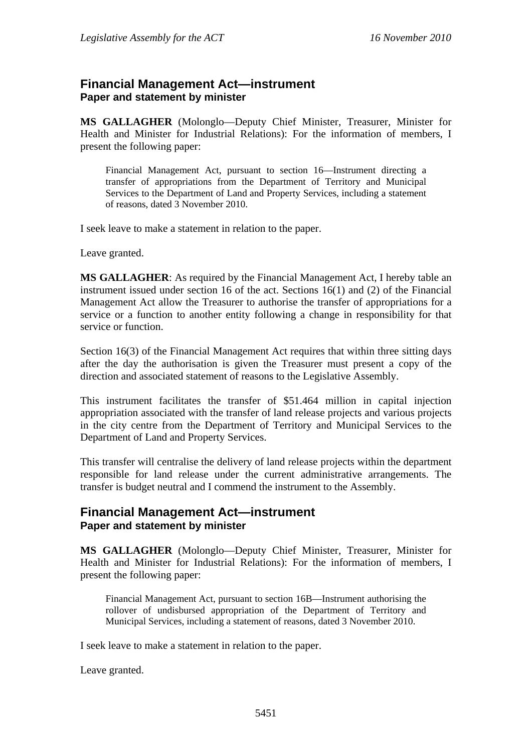## **Financial Management Act—instrument Paper and statement by minister**

**MS GALLAGHER** (Molonglo—Deputy Chief Minister, Treasurer, Minister for Health and Minister for Industrial Relations): For the information of members, I present the following paper:

Financial Management Act, pursuant to section 16—Instrument directing a transfer of appropriations from the Department of Territory and Municipal Services to the Department of Land and Property Services, including a statement of reasons, dated 3 November 2010.

I seek leave to make a statement in relation to the paper.

Leave granted.

**MS GALLAGHER**: As required by the Financial Management Act, I hereby table an instrument issued under section 16 of the act. Sections 16(1) and (2) of the Financial Management Act allow the Treasurer to authorise the transfer of appropriations for a service or a function to another entity following a change in responsibility for that service or function.

Section 16(3) of the Financial Management Act requires that within three sitting days after the day the authorisation is given the Treasurer must present a copy of the direction and associated statement of reasons to the Legislative Assembly.

This instrument facilitates the transfer of \$51.464 million in capital injection appropriation associated with the transfer of land release projects and various projects in the city centre from the Department of Territory and Municipal Services to the Department of Land and Property Services.

This transfer will centralise the delivery of land release projects within the department responsible for land release under the current administrative arrangements. The transfer is budget neutral and I commend the instrument to the Assembly.

## **Financial Management Act—instrument Paper and statement by minister**

**MS GALLAGHER** (Molonglo—Deputy Chief Minister, Treasurer, Minister for Health and Minister for Industrial Relations): For the information of members, I present the following paper:

Financial Management Act, pursuant to section 16B—Instrument authorising the rollover of undisbursed appropriation of the Department of Territory and Municipal Services, including a statement of reasons, dated 3 November 2010.

I seek leave to make a statement in relation to the paper.

Leave granted.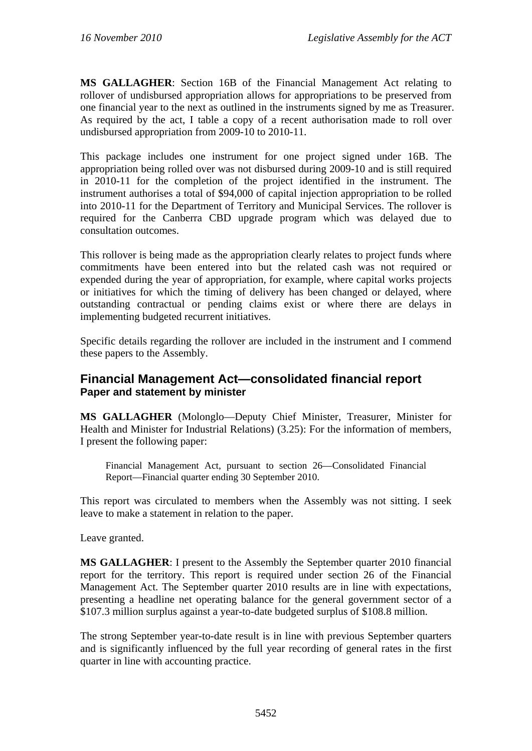**MS GALLAGHER**: Section 16B of the Financial Management Act relating to rollover of undisbursed appropriation allows for appropriations to be preserved from one financial year to the next as outlined in the instruments signed by me as Treasurer. As required by the act, I table a copy of a recent authorisation made to roll over undisbursed appropriation from 2009-10 to 2010-11.

This package includes one instrument for one project signed under 16B. The appropriation being rolled over was not disbursed during 2009-10 and is still required in 2010-11 for the completion of the project identified in the instrument. The instrument authorises a total of \$94,000 of capital injection appropriation to be rolled into 2010-11 for the Department of Territory and Municipal Services. The rollover is required for the Canberra CBD upgrade program which was delayed due to consultation outcomes.

This rollover is being made as the appropriation clearly relates to project funds where commitments have been entered into but the related cash was not required or expended during the year of appropriation, for example, where capital works projects or initiatives for which the timing of delivery has been changed or delayed, where outstanding contractual or pending claims exist or where there are delays in implementing budgeted recurrent initiatives.

Specific details regarding the rollover are included in the instrument and I commend these papers to the Assembly.

## **Financial Management Act—consolidated financial report Paper and statement by minister**

**MS GALLAGHER** (Molonglo—Deputy Chief Minister, Treasurer, Minister for Health and Minister for Industrial Relations) (3.25): For the information of members, I present the following paper:

Financial Management Act, pursuant to section 26—Consolidated Financial Report—Financial quarter ending 30 September 2010.

This report was circulated to members when the Assembly was not sitting. I seek leave to make a statement in relation to the paper.

Leave granted.

**MS GALLAGHER**: I present to the Assembly the September quarter 2010 financial report for the territory. This report is required under section 26 of the Financial Management Act. The September quarter 2010 results are in line with expectations, presenting a headline net operating balance for the general government sector of a \$107.3 million surplus against a year-to-date budgeted surplus of \$108.8 million.

The strong September year-to-date result is in line with previous September quarters and is significantly influenced by the full year recording of general rates in the first quarter in line with accounting practice.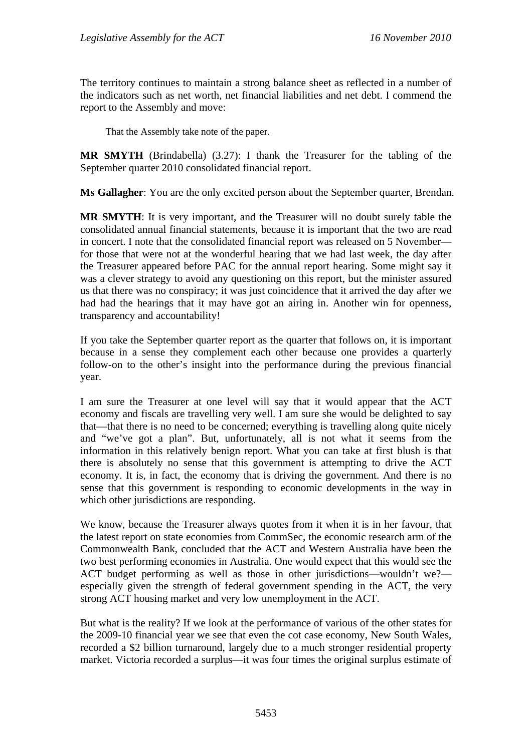The territory continues to maintain a strong balance sheet as reflected in a number of the indicators such as net worth, net financial liabilities and net debt. I commend the report to the Assembly and move:

That the Assembly take note of the paper.

**MR SMYTH** (Brindabella) (3.27): I thank the Treasurer for the tabling of the September quarter 2010 consolidated financial report.

**Ms Gallagher**: You are the only excited person about the September quarter, Brendan.

**MR SMYTH**: It is very important, and the Treasurer will no doubt surely table the consolidated annual financial statements, because it is important that the two are read in concert. I note that the consolidated financial report was released on 5 November for those that were not at the wonderful hearing that we had last week, the day after the Treasurer appeared before PAC for the annual report hearing. Some might say it was a clever strategy to avoid any questioning on this report, but the minister assured us that there was no conspiracy; it was just coincidence that it arrived the day after we had had the hearings that it may have got an airing in. Another win for openness, transparency and accountability!

If you take the September quarter report as the quarter that follows on, it is important because in a sense they complement each other because one provides a quarterly follow-on to the other's insight into the performance during the previous financial year.

I am sure the Treasurer at one level will say that it would appear that the ACT economy and fiscals are travelling very well. I am sure she would be delighted to say that—that there is no need to be concerned; everything is travelling along quite nicely and "we've got a plan". But, unfortunately, all is not what it seems from the information in this relatively benign report. What you can take at first blush is that there is absolutely no sense that this government is attempting to drive the ACT economy. It is, in fact, the economy that is driving the government. And there is no sense that this government is responding to economic developments in the way in which other jurisdictions are responding.

We know, because the Treasurer always quotes from it when it is in her favour, that the latest report on state economies from CommSec, the economic research arm of the Commonwealth Bank, concluded that the ACT and Western Australia have been the two best performing economies in Australia. One would expect that this would see the ACT budget performing as well as those in other jurisdictions—wouldn't we? especially given the strength of federal government spending in the ACT, the very strong ACT housing market and very low unemployment in the ACT.

But what is the reality? If we look at the performance of various of the other states for the 2009-10 financial year we see that even the cot case economy, New South Wales, recorded a \$2 billion turnaround, largely due to a much stronger residential property market. Victoria recorded a surplus—it was four times the original surplus estimate of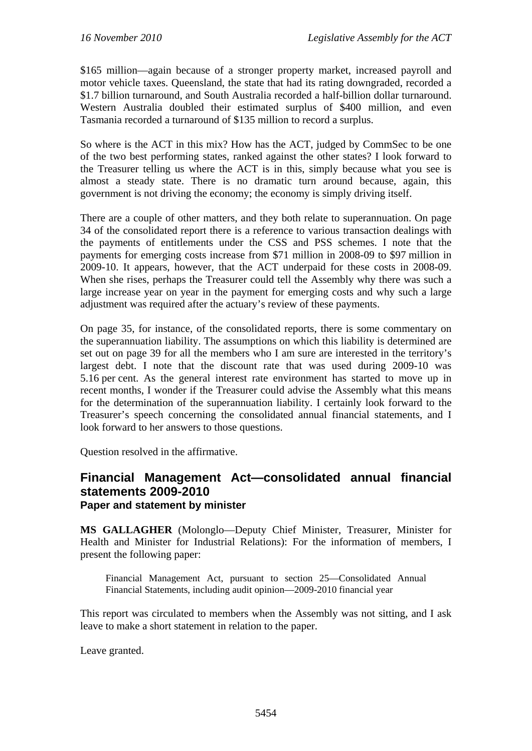\$165 million—again because of a stronger property market, increased payroll and motor vehicle taxes. Queensland, the state that had its rating downgraded, recorded a \$1.7 billion turnaround, and South Australia recorded a half-billion dollar turnaround. Western Australia doubled their estimated surplus of \$400 million, and even Tasmania recorded a turnaround of \$135 million to record a surplus.

So where is the ACT in this mix? How has the ACT, judged by CommSec to be one of the two best performing states, ranked against the other states? I look forward to the Treasurer telling us where the ACT is in this, simply because what you see is almost a steady state. There is no dramatic turn around because, again, this government is not driving the economy; the economy is simply driving itself.

There are a couple of other matters, and they both relate to superannuation. On page 34 of the consolidated report there is a reference to various transaction dealings with the payments of entitlements under the CSS and PSS schemes. I note that the payments for emerging costs increase from \$71 million in 2008-09 to \$97 million in 2009-10. It appears, however, that the ACT underpaid for these costs in 2008-09. When she rises, perhaps the Treasurer could tell the Assembly why there was such a large increase year on year in the payment for emerging costs and why such a large adjustment was required after the actuary's review of these payments.

On page 35, for instance, of the consolidated reports, there is some commentary on the superannuation liability. The assumptions on which this liability is determined are set out on page 39 for all the members who I am sure are interested in the territory's largest debt. I note that the discount rate that was used during 2009-10 was 5.16 per cent. As the general interest rate environment has started to move up in recent months, I wonder if the Treasurer could advise the Assembly what this means for the determination of the superannuation liability. I certainly look forward to the Treasurer's speech concerning the consolidated annual financial statements, and I look forward to her answers to those questions.

Question resolved in the affirmative.

# **Financial Management Act—consolidated annual financial statements 2009-2010 Paper and statement by minister**

**MS GALLAGHER** (Molonglo—Deputy Chief Minister, Treasurer, Minister for Health and Minister for Industrial Relations): For the information of members, I present the following paper:

Financial Management Act, pursuant to section 25—Consolidated Annual Financial Statements, including audit opinion—2009-2010 financial year

This report was circulated to members when the Assembly was not sitting, and I ask leave to make a short statement in relation to the paper.

Leave granted.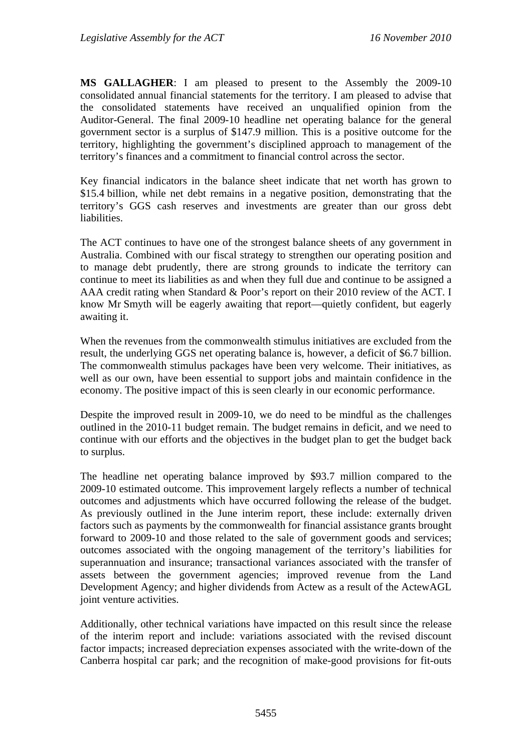**MS GALLAGHER**: I am pleased to present to the Assembly the 2009-10 consolidated annual financial statements for the territory. I am pleased to advise that the consolidated statements have received an unqualified opinion from the Auditor-General. The final 2009-10 headline net operating balance for the general government sector is a surplus of \$147.9 million. This is a positive outcome for the territory, highlighting the government's disciplined approach to management of the territory's finances and a commitment to financial control across the sector.

Key financial indicators in the balance sheet indicate that net worth has grown to \$15.4 billion, while net debt remains in a negative position, demonstrating that the territory's GGS cash reserves and investments are greater than our gross debt liabilities.

The ACT continues to have one of the strongest balance sheets of any government in Australia. Combined with our fiscal strategy to strengthen our operating position and to manage debt prudently, there are strong grounds to indicate the territory can continue to meet its liabilities as and when they full due and continue to be assigned a AAA credit rating when Standard & Poor's report on their 2010 review of the ACT. I know Mr Smyth will be eagerly awaiting that report—quietly confident, but eagerly awaiting it.

When the revenues from the commonwealth stimulus initiatives are excluded from the result, the underlying GGS net operating balance is, however, a deficit of \$6.7 billion. The commonwealth stimulus packages have been very welcome. Their initiatives, as well as our own, have been essential to support jobs and maintain confidence in the economy. The positive impact of this is seen clearly in our economic performance.

Despite the improved result in 2009-10, we do need to be mindful as the challenges outlined in the 2010-11 budget remain. The budget remains in deficit, and we need to continue with our efforts and the objectives in the budget plan to get the budget back to surplus.

The headline net operating balance improved by \$93.7 million compared to the 2009-10 estimated outcome. This improvement largely reflects a number of technical outcomes and adjustments which have occurred following the release of the budget. As previously outlined in the June interim report, these include: externally driven factors such as payments by the commonwealth for financial assistance grants brought forward to 2009-10 and those related to the sale of government goods and services; outcomes associated with the ongoing management of the territory's liabilities for superannuation and insurance; transactional variances associated with the transfer of assets between the government agencies; improved revenue from the Land Development Agency; and higher dividends from Actew as a result of the ActewAGL joint venture activities.

Additionally, other technical variations have impacted on this result since the release of the interim report and include: variations associated with the revised discount factor impacts; increased depreciation expenses associated with the write-down of the Canberra hospital car park; and the recognition of make-good provisions for fit-outs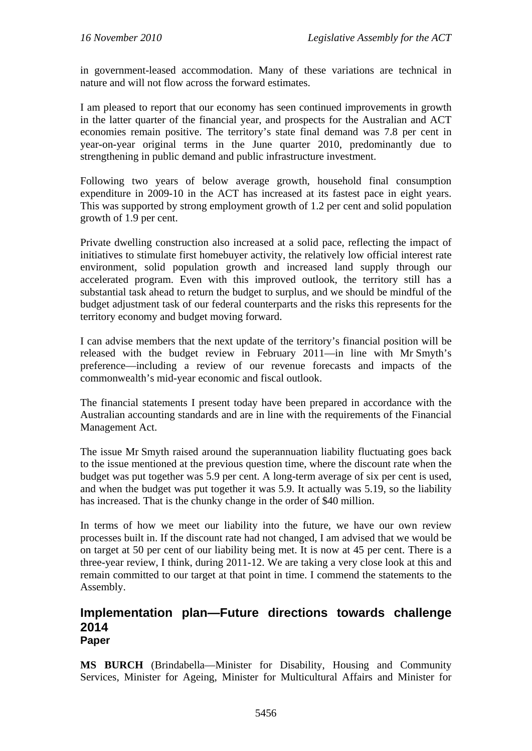in government-leased accommodation. Many of these variations are technical in nature and will not flow across the forward estimates.

I am pleased to report that our economy has seen continued improvements in growth in the latter quarter of the financial year, and prospects for the Australian and ACT economies remain positive. The territory's state final demand was 7.8 per cent in year-on-year original terms in the June quarter 2010, predominantly due to strengthening in public demand and public infrastructure investment.

Following two years of below average growth, household final consumption expenditure in 2009-10 in the ACT has increased at its fastest pace in eight years. This was supported by strong employment growth of 1.2 per cent and solid population growth of 1.9 per cent.

Private dwelling construction also increased at a solid pace, reflecting the impact of initiatives to stimulate first homebuyer activity, the relatively low official interest rate environment, solid population growth and increased land supply through our accelerated program. Even with this improved outlook, the territory still has a substantial task ahead to return the budget to surplus, and we should be mindful of the budget adjustment task of our federal counterparts and the risks this represents for the territory economy and budget moving forward.

I can advise members that the next update of the territory's financial position will be released with the budget review in February 2011—in line with Mr Smyth's preference—including a review of our revenue forecasts and impacts of the commonwealth's mid-year economic and fiscal outlook.

The financial statements I present today have been prepared in accordance with the Australian accounting standards and are in line with the requirements of the Financial Management Act.

The issue Mr Smyth raised around the superannuation liability fluctuating goes back to the issue mentioned at the previous question time, where the discount rate when the budget was put together was 5.9 per cent. A long-term average of six per cent is used, and when the budget was put together it was 5.9. It actually was 5.19, so the liability has increased. That is the chunky change in the order of \$40 million.

In terms of how we meet our liability into the future, we have our own review processes built in. If the discount rate had not changed, I am advised that we would be on target at 50 per cent of our liability being met. It is now at 45 per cent. There is a three-year review, I think, during 2011-12. We are taking a very close look at this and remain committed to our target at that point in time. I commend the statements to the Assembly.

## **Implementation plan—Future directions towards challenge 2014 Paper**

**MS BURCH** (Brindabella—Minister for Disability, Housing and Community Services, Minister for Ageing, Minister for Multicultural Affairs and Minister for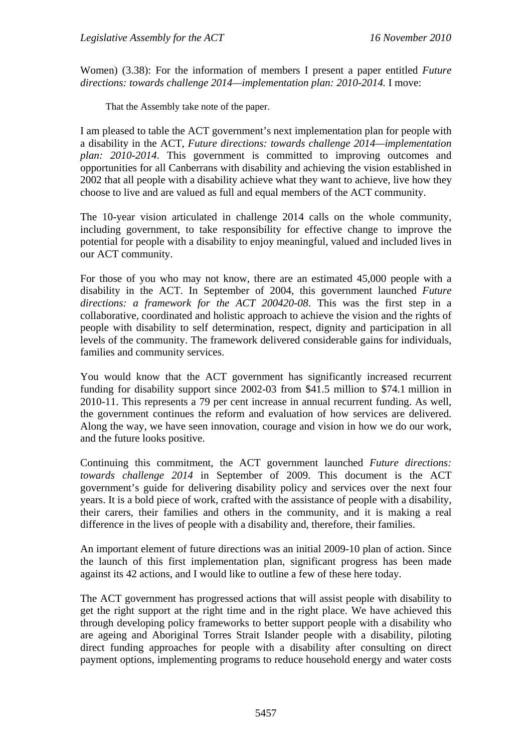Women) (3.38): For the information of members I present a paper entitled *Future directions: towards challenge 2014—implementation plan: 2010-2014.* I move:

That the Assembly take note of the paper.

I am pleased to table the ACT government's next implementation plan for people with a disability in the ACT, *Future directions: towards challenge 2014—implementation plan: 2010-2014*. This government is committed to improving outcomes and opportunities for all Canberrans with disability and achieving the vision established in 2002 that all people with a disability achieve what they want to achieve, live how they choose to live and are valued as full and equal members of the ACT community.

The 10-year vision articulated in challenge 2014 calls on the whole community, including government, to take responsibility for effective change to improve the potential for people with a disability to enjoy meaningful, valued and included lives in our ACT community.

For those of you who may not know, there are an estimated 45,000 people with a disability in the ACT. In September of 2004, this government launched *Future directions: a framework for the ACT 200420-08*. This was the first step in a collaborative, coordinated and holistic approach to achieve the vision and the rights of people with disability to self determination, respect, dignity and participation in all levels of the community. The framework delivered considerable gains for individuals, families and community services.

You would know that the ACT government has significantly increased recurrent funding for disability support since 2002-03 from \$41.5 million to \$74.1 million in 2010-11. This represents a 79 per cent increase in annual recurrent funding. As well, the government continues the reform and evaluation of how services are delivered. Along the way, we have seen innovation, courage and vision in how we do our work, and the future looks positive.

Continuing this commitment, the ACT government launched *Future directions: towards challenge 2014* in September of 2009. This document is the ACT government's guide for delivering disability policy and services over the next four years. It is a bold piece of work, crafted with the assistance of people with a disability, their carers, their families and others in the community, and it is making a real difference in the lives of people with a disability and, therefore, their families.

An important element of future directions was an initial 2009-10 plan of action. Since the launch of this first implementation plan, significant progress has been made against its 42 actions, and I would like to outline a few of these here today.

The ACT government has progressed actions that will assist people with disability to get the right support at the right time and in the right place. We have achieved this through developing policy frameworks to better support people with a disability who are ageing and Aboriginal Torres Strait Islander people with a disability, piloting direct funding approaches for people with a disability after consulting on direct payment options, implementing programs to reduce household energy and water costs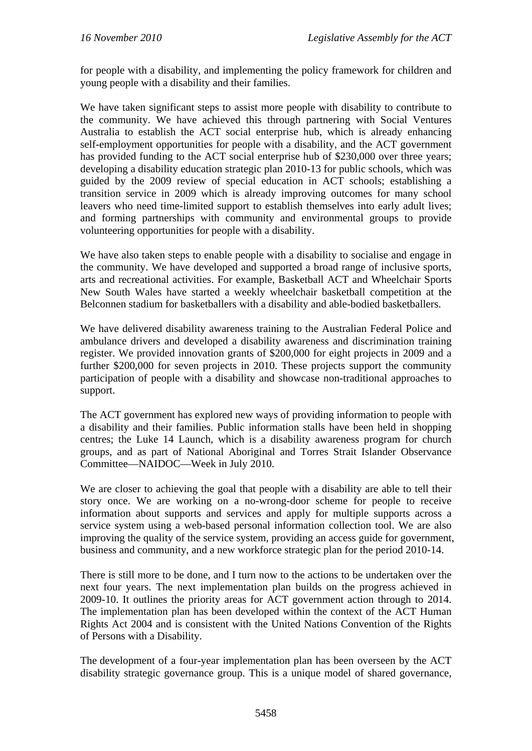for people with a disability, and implementing the policy framework for children and young people with a disability and their families.

We have taken significant steps to assist more people with disability to contribute to the community. We have achieved this through partnering with Social Ventures Australia to establish the ACT social enterprise hub, which is already enhancing self-employment opportunities for people with a disability, and the ACT government has provided funding to the ACT social enterprise hub of \$230,000 over three years; developing a disability education strategic plan 2010-13 for public schools, which was guided by the 2009 review of special education in ACT schools; establishing a transition service in 2009 which is already improving outcomes for many school leavers who need time-limited support to establish themselves into early adult lives; and forming partnerships with community and environmental groups to provide volunteering opportunities for people with a disability.

We have also taken steps to enable people with a disability to socialise and engage in the community. We have developed and supported a broad range of inclusive sports, arts and recreational activities. For example, Basketball ACT and Wheelchair Sports New South Wales have started a weekly wheelchair basketball competition at the Belconnen stadium for basketballers with a disability and able-bodied basketballers.

We have delivered disability awareness training to the Australian Federal Police and ambulance drivers and developed a disability awareness and discrimination training register. We provided innovation grants of \$200,000 for eight projects in 2009 and a further \$200,000 for seven projects in 2010. These projects support the community participation of people with a disability and showcase non-traditional approaches to support.

The ACT government has explored new ways of providing information to people with a disability and their families. Public information stalls have been held in shopping centres; the Luke 14 Launch, which is a disability awareness program for church groups, and as part of National Aboriginal and Torres Strait Islander Observance Committee—NAIDOC—Week in July 2010.

We are closer to achieving the goal that people with a disability are able to tell their story once. We are working on a no-wrong-door scheme for people to receive information about supports and services and apply for multiple supports across a service system using a web-based personal information collection tool. We are also improving the quality of the service system, providing an access guide for government, business and community, and a new workforce strategic plan for the period 2010-14.

There is still more to be done, and I turn now to the actions to be undertaken over the next four years. The next implementation plan builds on the progress achieved in 2009-10. It outlines the priority areas for ACT government action through to 2014. The implementation plan has been developed within the context of the ACT Human Rights Act 2004 and is consistent with the United Nations Convention of the Rights of Persons with a Disability.

The development of a four-year implementation plan has been overseen by the ACT disability strategic governance group. This is a unique model of shared governance,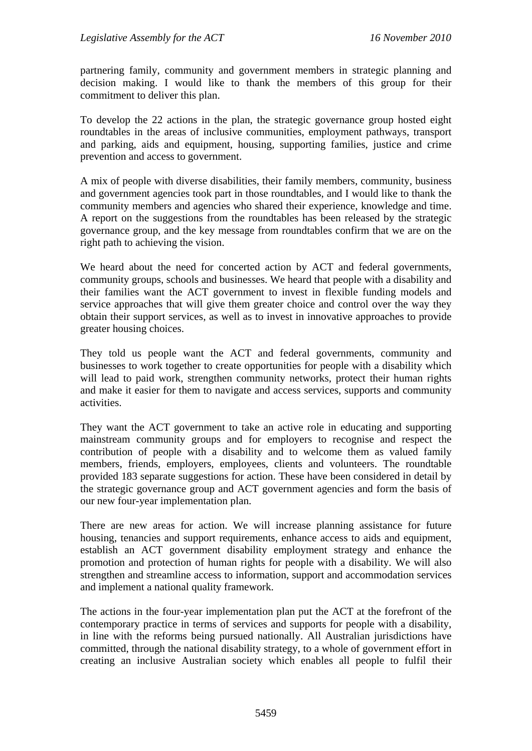partnering family, community and government members in strategic planning and decision making. I would like to thank the members of this group for their commitment to deliver this plan.

To develop the 22 actions in the plan, the strategic governance group hosted eight roundtables in the areas of inclusive communities, employment pathways, transport and parking, aids and equipment, housing, supporting families, justice and crime prevention and access to government.

A mix of people with diverse disabilities, their family members, community, business and government agencies took part in those roundtables, and I would like to thank the community members and agencies who shared their experience, knowledge and time. A report on the suggestions from the roundtables has been released by the strategic governance group, and the key message from roundtables confirm that we are on the right path to achieving the vision.

We heard about the need for concerted action by ACT and federal governments, community groups, schools and businesses. We heard that people with a disability and their families want the ACT government to invest in flexible funding models and service approaches that will give them greater choice and control over the way they obtain their support services, as well as to invest in innovative approaches to provide greater housing choices.

They told us people want the ACT and federal governments, community and businesses to work together to create opportunities for people with a disability which will lead to paid work, strengthen community networks, protect their human rights and make it easier for them to navigate and access services, supports and community activities.

They want the ACT government to take an active role in educating and supporting mainstream community groups and for employers to recognise and respect the contribution of people with a disability and to welcome them as valued family members, friends, employers, employees, clients and volunteers. The roundtable provided 183 separate suggestions for action. These have been considered in detail by the strategic governance group and ACT government agencies and form the basis of our new four-year implementation plan.

There are new areas for action. We will increase planning assistance for future housing, tenancies and support requirements, enhance access to aids and equipment, establish an ACT government disability employment strategy and enhance the promotion and protection of human rights for people with a disability. We will also strengthen and streamline access to information, support and accommodation services and implement a national quality framework.

The actions in the four-year implementation plan put the ACT at the forefront of the contemporary practice in terms of services and supports for people with a disability, in line with the reforms being pursued nationally. All Australian jurisdictions have committed, through the national disability strategy, to a whole of government effort in creating an inclusive Australian society which enables all people to fulfil their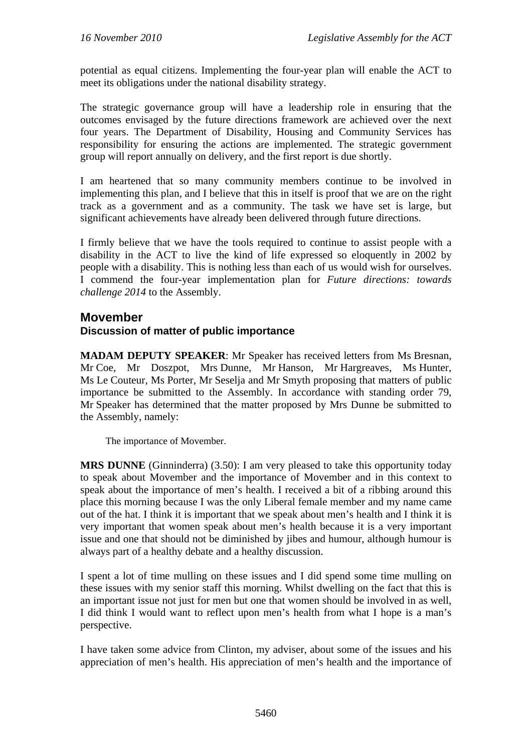potential as equal citizens. Implementing the four-year plan will enable the ACT to meet its obligations under the national disability strategy.

The strategic governance group will have a leadership role in ensuring that the outcomes envisaged by the future directions framework are achieved over the next four years. The Department of Disability, Housing and Community Services has responsibility for ensuring the actions are implemented. The strategic government group will report annually on delivery, and the first report is due shortly.

I am heartened that so many community members continue to be involved in implementing this plan, and I believe that this in itself is proof that we are on the right track as a government and as a community. The task we have set is large, but significant achievements have already been delivered through future directions.

I firmly believe that we have the tools required to continue to assist people with a disability in the ACT to live the kind of life expressed so eloquently in 2002 by people with a disability. This is nothing less than each of us would wish for ourselves. I commend the four-year implementation plan for *Future directions: towards challenge 2014* to the Assembly.

# **Movember**

# **Discussion of matter of public importance**

**MADAM DEPUTY SPEAKER**: Mr Speaker has received letters from Ms Bresnan, Mr Coe, Mr Doszpot, Mrs Dunne, Mr Hanson, Mr Hargreaves, Ms Hunter, Ms Le Couteur, Ms Porter, Mr Seselja and Mr Smyth proposing that matters of public importance be submitted to the Assembly. In accordance with standing order 79, Mr Speaker has determined that the matter proposed by Mrs Dunne be submitted to the Assembly, namely:

The importance of Movember.

**MRS DUNNE** (Ginninderra) (3.50): I am very pleased to take this opportunity today to speak about Movember and the importance of Movember and in this context to speak about the importance of men's health. I received a bit of a ribbing around this place this morning because I was the only Liberal female member and my name came out of the hat. I think it is important that we speak about men's health and I think it is very important that women speak about men's health because it is a very important issue and one that should not be diminished by jibes and humour, although humour is always part of a healthy debate and a healthy discussion.

I spent a lot of time mulling on these issues and I did spend some time mulling on these issues with my senior staff this morning. Whilst dwelling on the fact that this is an important issue not just for men but one that women should be involved in as well, I did think I would want to reflect upon men's health from what I hope is a man's perspective.

I have taken some advice from Clinton, my adviser, about some of the issues and his appreciation of men's health. His appreciation of men's health and the importance of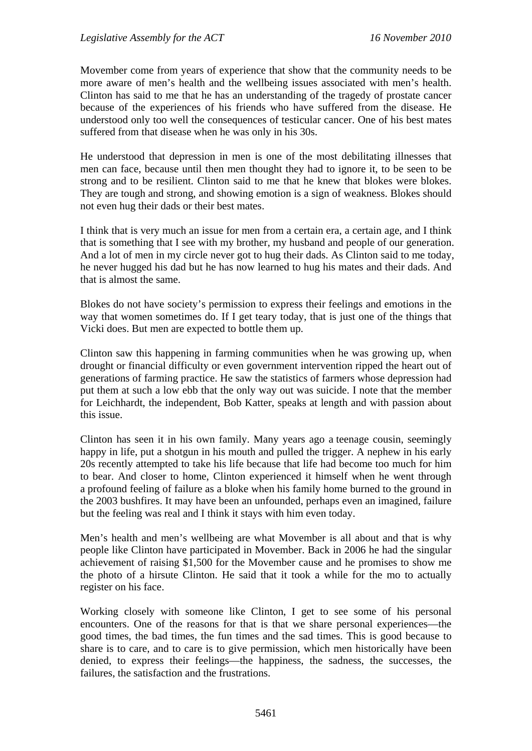Movember come from years of experience that show that the community needs to be more aware of men's health and the wellbeing issues associated with men's health. Clinton has said to me that he has an understanding of the tragedy of prostate cancer because of the experiences of his friends who have suffered from the disease. He understood only too well the consequences of testicular cancer. One of his best mates suffered from that disease when he was only in his 30s.

He understood that depression in men is one of the most debilitating illnesses that men can face, because until then men thought they had to ignore it, to be seen to be strong and to be resilient. Clinton said to me that he knew that blokes were blokes. They are tough and strong, and showing emotion is a sign of weakness. Blokes should not even hug their dads or their best mates.

I think that is very much an issue for men from a certain era, a certain age, and I think that is something that I see with my brother, my husband and people of our generation. And a lot of men in my circle never got to hug their dads. As Clinton said to me today, he never hugged his dad but he has now learned to hug his mates and their dads. And that is almost the same.

Blokes do not have society's permission to express their feelings and emotions in the way that women sometimes do. If I get teary today, that is just one of the things that Vicki does. But men are expected to bottle them up.

Clinton saw this happening in farming communities when he was growing up, when drought or financial difficulty or even government intervention ripped the heart out of generations of farming practice. He saw the statistics of farmers whose depression had put them at such a low ebb that the only way out was suicide. I note that the member for Leichhardt, the independent, Bob Katter, speaks at length and with passion about this issue.

Clinton has seen it in his own family. Many years ago a teenage cousin, seemingly happy in life, put a shotgun in his mouth and pulled the trigger. A nephew in his early 20s recently attempted to take his life because that life had become too much for him to bear. And closer to home, Clinton experienced it himself when he went through a profound feeling of failure as a bloke when his family home burned to the ground in the 2003 bushfires. It may have been an unfounded, perhaps even an imagined, failure but the feeling was real and I think it stays with him even today.

Men's health and men's wellbeing are what Movember is all about and that is why people like Clinton have participated in Movember. Back in 2006 he had the singular achievement of raising \$1,500 for the Movember cause and he promises to show me the photo of a hirsute Clinton. He said that it took a while for the mo to actually register on his face.

Working closely with someone like Clinton, I get to see some of his personal encounters. One of the reasons for that is that we share personal experiences—the good times, the bad times, the fun times and the sad times. This is good because to share is to care, and to care is to give permission, which men historically have been denied, to express their feelings—the happiness, the sadness, the successes, the failures, the satisfaction and the frustrations.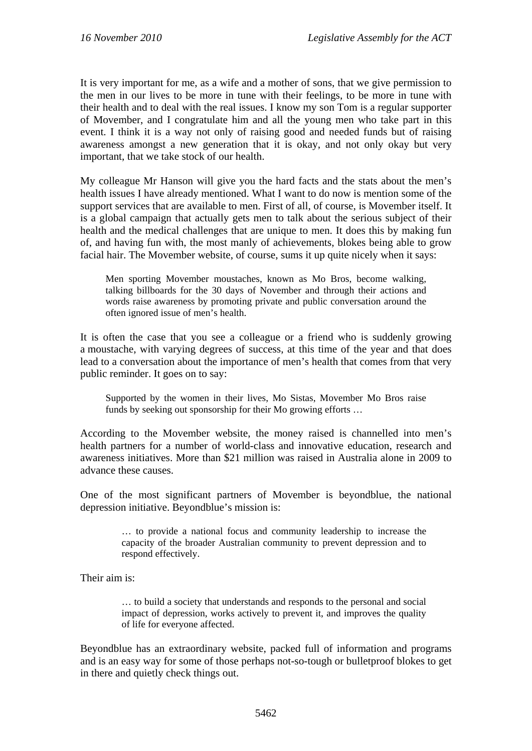It is very important for me, as a wife and a mother of sons, that we give permission to the men in our lives to be more in tune with their feelings, to be more in tune with their health and to deal with the real issues. I know my son Tom is a regular supporter of Movember, and I congratulate him and all the young men who take part in this event. I think it is a way not only of raising good and needed funds but of raising awareness amongst a new generation that it is okay, and not only okay but very important, that we take stock of our health.

My colleague Mr Hanson will give you the hard facts and the stats about the men's health issues I have already mentioned. What I want to do now is mention some of the support services that are available to men. First of all, of course, is Movember itself. It is a global campaign that actually gets men to talk about the serious subject of their health and the medical challenges that are unique to men. It does this by making fun of, and having fun with, the most manly of achievements, blokes being able to grow facial hair. The Movember website, of course, sums it up quite nicely when it says:

Men sporting Movember moustaches, known as Mo Bros, become walking, talking billboards for the 30 days of November and through their actions and words raise awareness by promoting private and public conversation around the often ignored issue of men's health.

It is often the case that you see a colleague or a friend who is suddenly growing a moustache, with varying degrees of success, at this time of the year and that does lead to a conversation about the importance of men's health that comes from that very public reminder. It goes on to say:

Supported by the women in their lives, Mo Sistas, Movember Mo Bros raise funds by seeking out sponsorship for their Mo growing efforts …

According to the Movember website, the money raised is channelled into men's health partners for a number of world-class and innovative education, research and awareness initiatives. More than \$21 million was raised in Australia alone in 2009 to advance these causes.

One of the most significant partners of Movember is beyondblue, the national depression initiative. Beyondblue's mission is:

> … to provide a national focus and community leadership to increase the capacity of the broader Australian community to prevent depression and to respond effectively.

Their aim is:

… to build a society that understands and responds to the personal and social impact of depression, works actively to prevent it, and improves the quality of life for everyone affected.

Beyondblue has an extraordinary website, packed full of information and programs and is an easy way for some of those perhaps not-so-tough or bulletproof blokes to get in there and quietly check things out.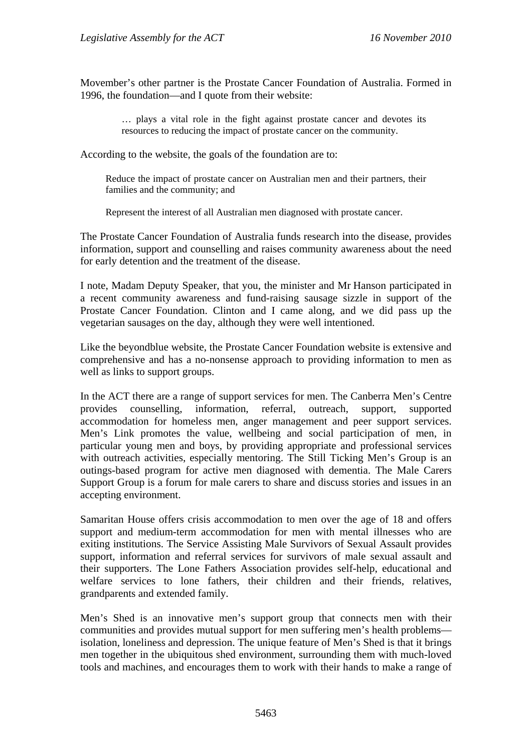Movember's other partner is the Prostate Cancer Foundation of Australia. Formed in 1996, the foundation—and I quote from their website:

> … plays a vital role in the fight against prostate cancer and devotes its resources to reducing the impact of prostate cancer on the community.

According to the website, the goals of the foundation are to:

Reduce the impact of prostate cancer on Australian men and their partners, their families and the community; and

Represent the interest of all Australian men diagnosed with prostate cancer.

The Prostate Cancer Foundation of Australia funds research into the disease, provides information, support and counselling and raises community awareness about the need for early detention and the treatment of the disease.

I note, Madam Deputy Speaker, that you, the minister and Mr Hanson participated in a recent community awareness and fund-raising sausage sizzle in support of the Prostate Cancer Foundation. Clinton and I came along, and we did pass up the vegetarian sausages on the day, although they were well intentioned.

Like the beyondblue website, the Prostate Cancer Foundation website is extensive and comprehensive and has a no-nonsense approach to providing information to men as well as links to support groups.

In the ACT there are a range of support services for men. The Canberra Men's Centre provides counselling, information, referral, outreach, support, supported accommodation for homeless men, anger management and peer support services. Men's Link promotes the value, wellbeing and social participation of men, in particular young men and boys, by providing appropriate and professional services with outreach activities, especially mentoring. The Still Ticking Men's Group is an outings-based program for active men diagnosed with dementia. The Male Carers Support Group is a forum for male carers to share and discuss stories and issues in an accepting environment.

Samaritan House offers crisis accommodation to men over the age of 18 and offers support and medium-term accommodation for men with mental illnesses who are exiting institutions. The Service Assisting Male Survivors of Sexual Assault provides support, information and referral services for survivors of male sexual assault and their supporters. The Lone Fathers Association provides self-help, educational and welfare services to lone fathers, their children and their friends, relatives, grandparents and extended family.

Men's Shed is an innovative men's support group that connects men with their communities and provides mutual support for men suffering men's health problems isolation, loneliness and depression. The unique feature of Men's Shed is that it brings men together in the ubiquitous shed environment, surrounding them with much-loved tools and machines, and encourages them to work with their hands to make a range of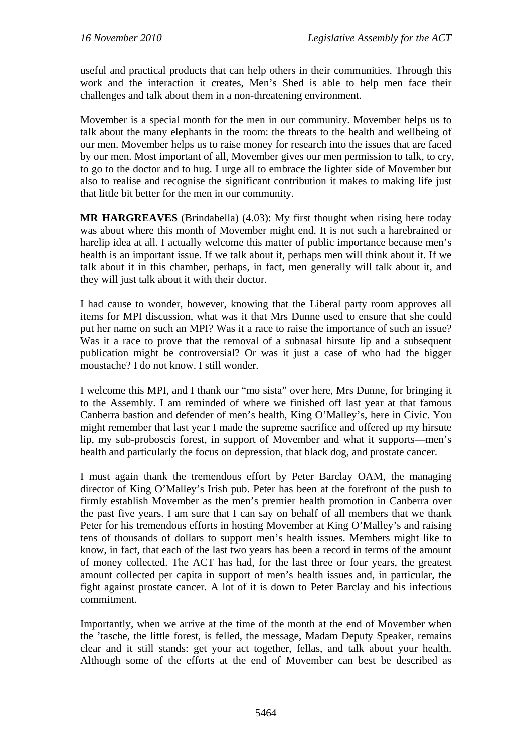useful and practical products that can help others in their communities. Through this work and the interaction it creates, Men's Shed is able to help men face their challenges and talk about them in a non-threatening environment.

Movember is a special month for the men in our community. Movember helps us to talk about the many elephants in the room: the threats to the health and wellbeing of our men. Movember helps us to raise money for research into the issues that are faced by our men. Most important of all, Movember gives our men permission to talk, to cry, to go to the doctor and to hug. I urge all to embrace the lighter side of Movember but also to realise and recognise the significant contribution it makes to making life just that little bit better for the men in our community.

**MR HARGREAVES** (Brindabella) (4.03): My first thought when rising here today was about where this month of Movember might end. It is not such a harebrained or harelip idea at all. I actually welcome this matter of public importance because men's health is an important issue. If we talk about it, perhaps men will think about it. If we talk about it in this chamber, perhaps, in fact, men generally will talk about it, and they will just talk about it with their doctor.

I had cause to wonder, however, knowing that the Liberal party room approves all items for MPI discussion, what was it that Mrs Dunne used to ensure that she could put her name on such an MPI? Was it a race to raise the importance of such an issue? Was it a race to prove that the removal of a subnasal hirsute lip and a subsequent publication might be controversial? Or was it just a case of who had the bigger moustache? I do not know. I still wonder.

I welcome this MPI, and I thank our "mo sista" over here, Mrs Dunne, for bringing it to the Assembly. I am reminded of where we finished off last year at that famous Canberra bastion and defender of men's health, King O'Malley's, here in Civic. You might remember that last year I made the supreme sacrifice and offered up my hirsute lip, my sub-proboscis forest, in support of Movember and what it supports—men's health and particularly the focus on depression, that black dog, and prostate cancer.

I must again thank the tremendous effort by Peter Barclay OAM, the managing director of King O'Malley's Irish pub. Peter has been at the forefront of the push to firmly establish Movember as the men's premier health promotion in Canberra over the past five years. I am sure that I can say on behalf of all members that we thank Peter for his tremendous efforts in hosting Movember at King O'Malley's and raising tens of thousands of dollars to support men's health issues. Members might like to know, in fact, that each of the last two years has been a record in terms of the amount of money collected. The ACT has had, for the last three or four years, the greatest amount collected per capita in support of men's health issues and, in particular, the fight against prostate cancer. A lot of it is down to Peter Barclay and his infectious commitment.

Importantly, when we arrive at the time of the month at the end of Movember when the 'tasche, the little forest, is felled, the message, Madam Deputy Speaker, remains clear and it still stands: get your act together, fellas, and talk about your health. Although some of the efforts at the end of Movember can best be described as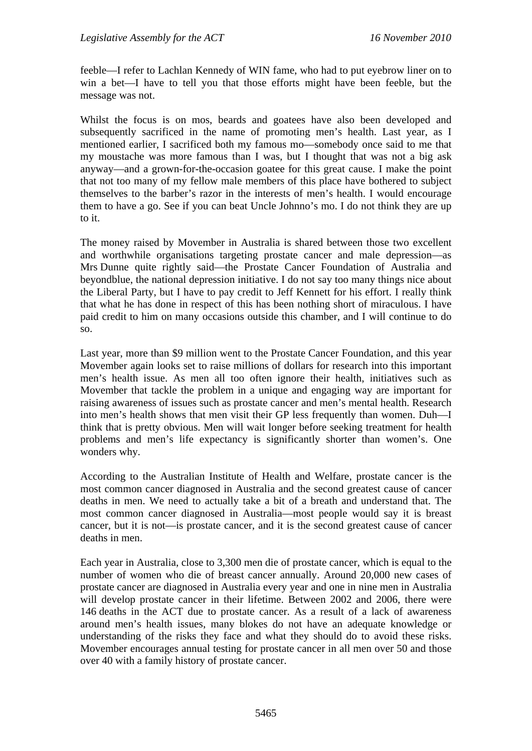feeble—I refer to Lachlan Kennedy of WIN fame, who had to put eyebrow liner on to win a bet—I have to tell you that those efforts might have been feeble, but the message was not.

Whilst the focus is on mos, beards and goatees have also been developed and subsequently sacrificed in the name of promoting men's health. Last year, as I mentioned earlier, I sacrificed both my famous mo—somebody once said to me that my moustache was more famous than I was, but I thought that was not a big ask anyway—and a grown-for-the-occasion goatee for this great cause. I make the point that not too many of my fellow male members of this place have bothered to subject themselves to the barber's razor in the interests of men's health. I would encourage them to have a go. See if you can beat Uncle Johnno's mo. I do not think they are up to it.

The money raised by Movember in Australia is shared between those two excellent and worthwhile organisations targeting prostate cancer and male depression—as Mrs Dunne quite rightly said—the Prostate Cancer Foundation of Australia and beyondblue, the national depression initiative. I do not say too many things nice about the Liberal Party, but I have to pay credit to Jeff Kennett for his effort. I really think that what he has done in respect of this has been nothing short of miraculous. I have paid credit to him on many occasions outside this chamber, and I will continue to do so.

Last year, more than \$9 million went to the Prostate Cancer Foundation, and this year Movember again looks set to raise millions of dollars for research into this important men's health issue. As men all too often ignore their health, initiatives such as Movember that tackle the problem in a unique and engaging way are important for raising awareness of issues such as prostate cancer and men's mental health. Research into men's health shows that men visit their GP less frequently than women. Duh—I think that is pretty obvious. Men will wait longer before seeking treatment for health problems and men's life expectancy is significantly shorter than women's. One wonders why.

According to the Australian Institute of Health and Welfare, prostate cancer is the most common cancer diagnosed in Australia and the second greatest cause of cancer deaths in men. We need to actually take a bit of a breath and understand that. The most common cancer diagnosed in Australia—most people would say it is breast cancer, but it is not—is prostate cancer, and it is the second greatest cause of cancer deaths in men.

Each year in Australia, close to 3,300 men die of prostate cancer, which is equal to the number of women who die of breast cancer annually. Around 20,000 new cases of prostate cancer are diagnosed in Australia every year and one in nine men in Australia will develop prostate cancer in their lifetime. Between 2002 and 2006, there were 146 deaths in the ACT due to prostate cancer. As a result of a lack of awareness around men's health issues, many blokes do not have an adequate knowledge or understanding of the risks they face and what they should do to avoid these risks. Movember encourages annual testing for prostate cancer in all men over 50 and those over 40 with a family history of prostate cancer.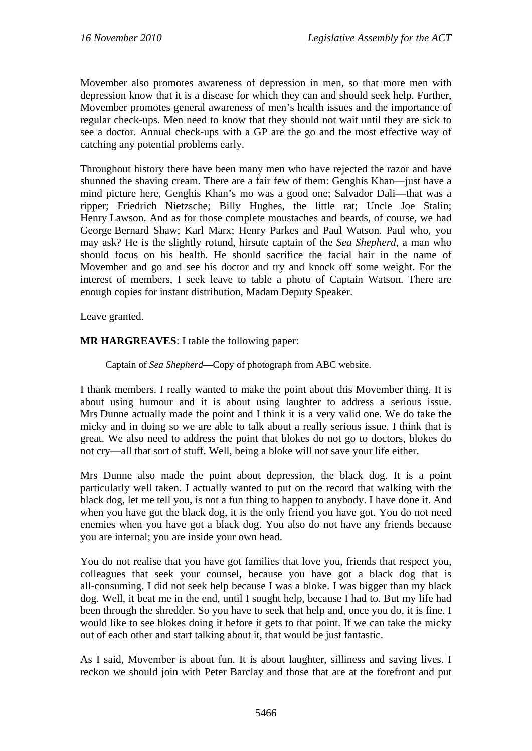Movember also promotes awareness of depression in men, so that more men with depression know that it is a disease for which they can and should seek help. Further, Movember promotes general awareness of men's health issues and the importance of regular check-ups. Men need to know that they should not wait until they are sick to see a doctor. Annual check-ups with a GP are the go and the most effective way of catching any potential problems early.

Throughout history there have been many men who have rejected the razor and have shunned the shaving cream. There are a fair few of them: Genghis Khan—just have a mind picture here, Genghis Khan's mo was a good one; Salvador Dali—that was a ripper; Friedrich Nietzsche; Billy Hughes, the little rat; Uncle Joe Stalin; Henry Lawson. And as for those complete moustaches and beards, of course, we had George Bernard Shaw; Karl Marx; Henry Parkes and Paul Watson. Paul who, you may ask? He is the slightly rotund, hirsute captain of the *Sea Shepherd*, a man who should focus on his health. He should sacrifice the facial hair in the name of Movember and go and see his doctor and try and knock off some weight. For the interest of members, I seek leave to table a photo of Captain Watson. There are enough copies for instant distribution, Madam Deputy Speaker.

Leave granted.

#### **MR HARGREAVES**: I table the following paper:

#### Captain of *Sea Shepherd*—Copy of photograph from ABC website.

I thank members. I really wanted to make the point about this Movember thing. It is about using humour and it is about using laughter to address a serious issue. Mrs Dunne actually made the point and I think it is a very valid one. We do take the micky and in doing so we are able to talk about a really serious issue. I think that is great. We also need to address the point that blokes do not go to doctors, blokes do not cry—all that sort of stuff. Well, being a bloke will not save your life either.

Mrs Dunne also made the point about depression, the black dog. It is a point particularly well taken. I actually wanted to put on the record that walking with the black dog, let me tell you, is not a fun thing to happen to anybody. I have done it. And when you have got the black dog, it is the only friend you have got. You do not need enemies when you have got a black dog. You also do not have any friends because you are internal; you are inside your own head.

You do not realise that you have got families that love you, friends that respect you, colleagues that seek your counsel, because you have got a black dog that is all-consuming. I did not seek help because I was a bloke. I was bigger than my black dog. Well, it beat me in the end, until I sought help, because I had to. But my life had been through the shredder. So you have to seek that help and, once you do, it is fine. I would like to see blokes doing it before it gets to that point. If we can take the micky out of each other and start talking about it, that would be just fantastic.

As I said, Movember is about fun. It is about laughter, silliness and saving lives. I reckon we should join with Peter Barclay and those that are at the forefront and put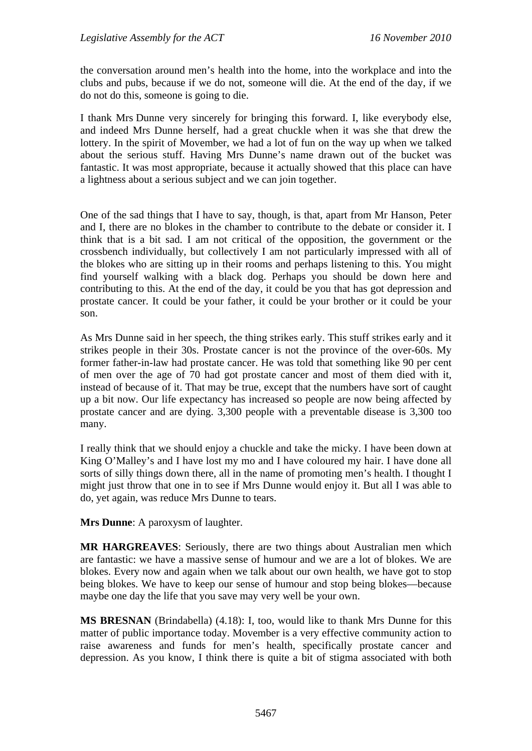the conversation around men's health into the home, into the workplace and into the clubs and pubs, because if we do not, someone will die. At the end of the day, if we do not do this, someone is going to die.

I thank Mrs Dunne very sincerely for bringing this forward. I, like everybody else, and indeed Mrs Dunne herself, had a great chuckle when it was she that drew the lottery. In the spirit of Movember, we had a lot of fun on the way up when we talked about the serious stuff. Having Mrs Dunne's name drawn out of the bucket was fantastic. It was most appropriate, because it actually showed that this place can have a lightness about a serious subject and we can join together.

One of the sad things that I have to say, though, is that, apart from Mr Hanson, Peter and I, there are no blokes in the chamber to contribute to the debate or consider it. I think that is a bit sad. I am not critical of the opposition, the government or the crossbench individually, but collectively I am not particularly impressed with all of the blokes who are sitting up in their rooms and perhaps listening to this. You might find yourself walking with a black dog. Perhaps you should be down here and contributing to this. At the end of the day, it could be you that has got depression and prostate cancer. It could be your father, it could be your brother or it could be your son.

As Mrs Dunne said in her speech, the thing strikes early. This stuff strikes early and it strikes people in their 30s. Prostate cancer is not the province of the over-60s. My former father-in-law had prostate cancer. He was told that something like 90 per cent of men over the age of 70 had got prostate cancer and most of them died with it, instead of because of it. That may be true, except that the numbers have sort of caught up a bit now. Our life expectancy has increased so people are now being affected by prostate cancer and are dying. 3,300 people with a preventable disease is 3,300 too many.

I really think that we should enjoy a chuckle and take the micky. I have been down at King O'Malley's and I have lost my mo and I have coloured my hair. I have done all sorts of silly things down there, all in the name of promoting men's health. I thought I might just throw that one in to see if Mrs Dunne would enjoy it. But all I was able to do, yet again, was reduce Mrs Dunne to tears.

**Mrs Dunne**: A paroxysm of laughter.

**MR HARGREAVES**: Seriously, there are two things about Australian men which are fantastic: we have a massive sense of humour and we are a lot of blokes. We are blokes. Every now and again when we talk about our own health, we have got to stop being blokes. We have to keep our sense of humour and stop being blokes—because maybe one day the life that you save may very well be your own.

**MS BRESNAN** (Brindabella) (4.18): I, too, would like to thank Mrs Dunne for this matter of public importance today. Movember is a very effective community action to raise awareness and funds for men's health, specifically prostate cancer and depression. As you know, I think there is quite a bit of stigma associated with both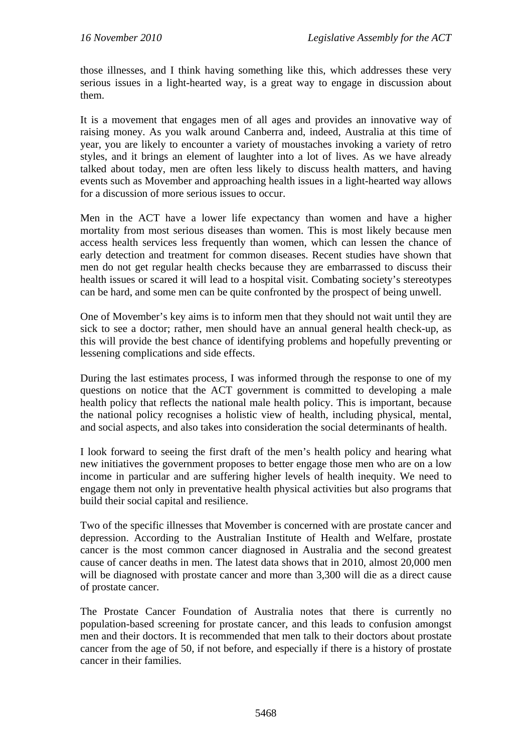those illnesses, and I think having something like this, which addresses these very serious issues in a light-hearted way, is a great way to engage in discussion about them.

It is a movement that engages men of all ages and provides an innovative way of raising money. As you walk around Canberra and, indeed, Australia at this time of year, you are likely to encounter a variety of moustaches invoking a variety of retro styles, and it brings an element of laughter into a lot of lives. As we have already talked about today, men are often less likely to discuss health matters, and having events such as Movember and approaching health issues in a light-hearted way allows for a discussion of more serious issues to occur.

Men in the ACT have a lower life expectancy than women and have a higher mortality from most serious diseases than women. This is most likely because men access health services less frequently than women, which can lessen the chance of early detection and treatment for common diseases. Recent studies have shown that men do not get regular health checks because they are embarrassed to discuss their health issues or scared it will lead to a hospital visit. Combating society's stereotypes can be hard, and some men can be quite confronted by the prospect of being unwell.

One of Movember's key aims is to inform men that they should not wait until they are sick to see a doctor; rather, men should have an annual general health check-up, as this will provide the best chance of identifying problems and hopefully preventing or lessening complications and side effects.

During the last estimates process, I was informed through the response to one of my questions on notice that the ACT government is committed to developing a male health policy that reflects the national male health policy. This is important, because the national policy recognises a holistic view of health, including physical, mental, and social aspects, and also takes into consideration the social determinants of health.

I look forward to seeing the first draft of the men's health policy and hearing what new initiatives the government proposes to better engage those men who are on a low income in particular and are suffering higher levels of health inequity. We need to engage them not only in preventative health physical activities but also programs that build their social capital and resilience.

Two of the specific illnesses that Movember is concerned with are prostate cancer and depression. According to the Australian Institute of Health and Welfare, prostate cancer is the most common cancer diagnosed in Australia and the second greatest cause of cancer deaths in men. The latest data shows that in 2010, almost 20,000 men will be diagnosed with prostate cancer and more than 3,300 will die as a direct cause of prostate cancer.

The Prostate Cancer Foundation of Australia notes that there is currently no population-based screening for prostate cancer, and this leads to confusion amongst men and their doctors. It is recommended that men talk to their doctors about prostate cancer from the age of 50, if not before, and especially if there is a history of prostate cancer in their families.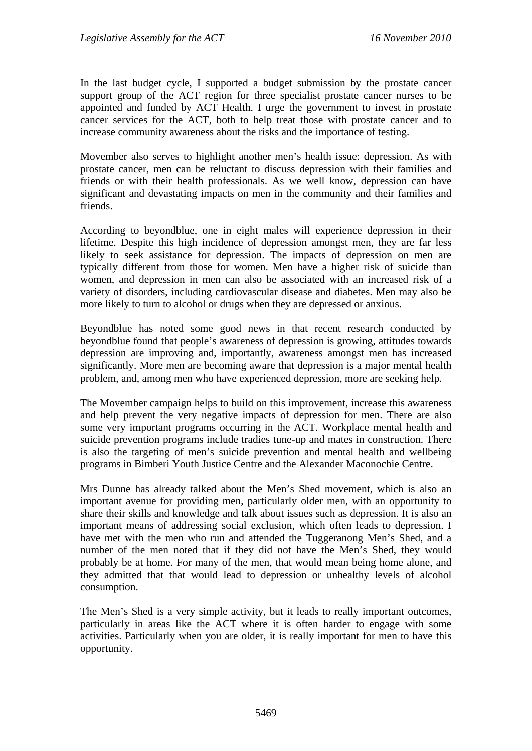In the last budget cycle, I supported a budget submission by the prostate cancer support group of the ACT region for three specialist prostate cancer nurses to be appointed and funded by ACT Health. I urge the government to invest in prostate cancer services for the ACT, both to help treat those with prostate cancer and to increase community awareness about the risks and the importance of testing.

Movember also serves to highlight another men's health issue: depression. As with prostate cancer, men can be reluctant to discuss depression with their families and friends or with their health professionals. As we well know, depression can have significant and devastating impacts on men in the community and their families and friends.

According to beyondblue, one in eight males will experience depression in their lifetime. Despite this high incidence of depression amongst men, they are far less likely to seek assistance for depression. The impacts of depression on men are typically different from those for women. Men have a higher risk of suicide than women, and depression in men can also be associated with an increased risk of a variety of disorders, including cardiovascular disease and diabetes. Men may also be more likely to turn to alcohol or drugs when they are depressed or anxious.

Beyondblue has noted some good news in that recent research conducted by beyondblue found that people's awareness of depression is growing, attitudes towards depression are improving and, importantly, awareness amongst men has increased significantly. More men are becoming aware that depression is a major mental health problem, and, among men who have experienced depression, more are seeking help.

The Movember campaign helps to build on this improvement, increase this awareness and help prevent the very negative impacts of depression for men. There are also some very important programs occurring in the ACT. Workplace mental health and suicide prevention programs include tradies tune-up and mates in construction. There is also the targeting of men's suicide prevention and mental health and wellbeing programs in Bimberi Youth Justice Centre and the Alexander Maconochie Centre.

Mrs Dunne has already talked about the Men's Shed movement, which is also an important avenue for providing men, particularly older men, with an opportunity to share their skills and knowledge and talk about issues such as depression. It is also an important means of addressing social exclusion, which often leads to depression. I have met with the men who run and attended the Tuggeranong Men's Shed, and a number of the men noted that if they did not have the Men's Shed, they would probably be at home. For many of the men, that would mean being home alone, and they admitted that that would lead to depression or unhealthy levels of alcohol consumption.

The Men's Shed is a very simple activity, but it leads to really important outcomes, particularly in areas like the ACT where it is often harder to engage with some activities. Particularly when you are older, it is really important for men to have this opportunity.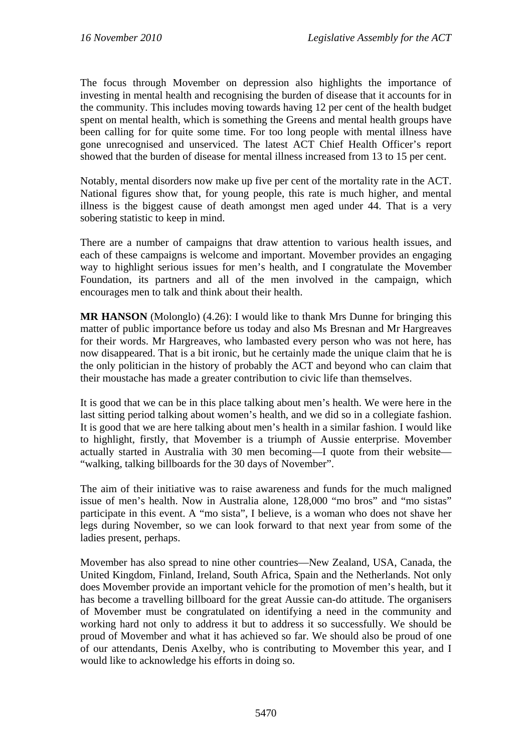The focus through Movember on depression also highlights the importance of investing in mental health and recognising the burden of disease that it accounts for in the community. This includes moving towards having 12 per cent of the health budget spent on mental health, which is something the Greens and mental health groups have been calling for for quite some time. For too long people with mental illness have gone unrecognised and unserviced. The latest ACT Chief Health Officer's report showed that the burden of disease for mental illness increased from 13 to 15 per cent.

Notably, mental disorders now make up five per cent of the mortality rate in the ACT. National figures show that, for young people, this rate is much higher, and mental illness is the biggest cause of death amongst men aged under 44. That is a very sobering statistic to keep in mind.

There are a number of campaigns that draw attention to various health issues, and each of these campaigns is welcome and important. Movember provides an engaging way to highlight serious issues for men's health, and I congratulate the Movember Foundation, its partners and all of the men involved in the campaign, which encourages men to talk and think about their health.

**MR HANSON** (Molonglo) (4.26): I would like to thank Mrs Dunne for bringing this matter of public importance before us today and also Ms Bresnan and Mr Hargreaves for their words. Mr Hargreaves, who lambasted every person who was not here, has now disappeared. That is a bit ironic, but he certainly made the unique claim that he is the only politician in the history of probably the ACT and beyond who can claim that their moustache has made a greater contribution to civic life than themselves.

It is good that we can be in this place talking about men's health. We were here in the last sitting period talking about women's health, and we did so in a collegiate fashion. It is good that we are here talking about men's health in a similar fashion. I would like to highlight, firstly, that Movember is a triumph of Aussie enterprise. Movember actually started in Australia with 30 men becoming—I quote from their website— "walking, talking billboards for the 30 days of November".

The aim of their initiative was to raise awareness and funds for the much maligned issue of men's health. Now in Australia alone, 128,000 "mo bros" and "mo sistas" participate in this event. A "mo sista", I believe, is a woman who does not shave her legs during November, so we can look forward to that next year from some of the ladies present, perhaps.

Movember has also spread to nine other countries—New Zealand, USA, Canada, the United Kingdom, Finland, Ireland, South Africa, Spain and the Netherlands. Not only does Movember provide an important vehicle for the promotion of men's health, but it has become a travelling billboard for the great Aussie can-do attitude. The organisers of Movember must be congratulated on identifying a need in the community and working hard not only to address it but to address it so successfully. We should be proud of Movember and what it has achieved so far. We should also be proud of one of our attendants, Denis Axelby, who is contributing to Movember this year, and I would like to acknowledge his efforts in doing so.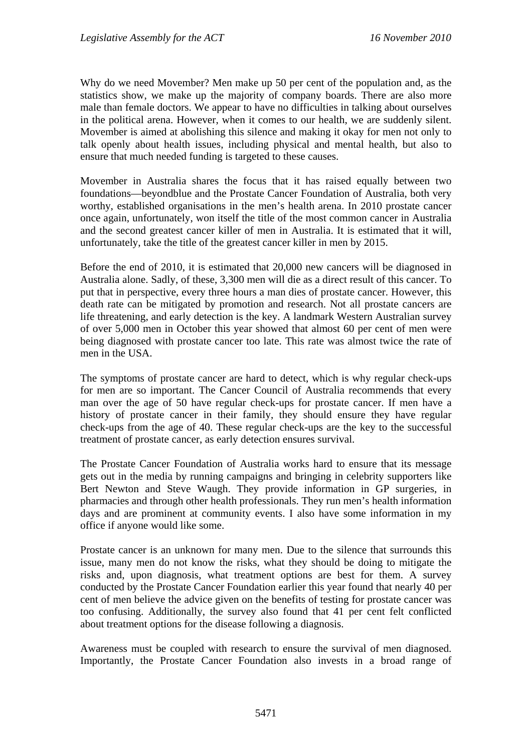Why do we need Movember? Men make up 50 per cent of the population and, as the statistics show, we make up the majority of company boards. There are also more male than female doctors. We appear to have no difficulties in talking about ourselves in the political arena. However, when it comes to our health, we are suddenly silent. Movember is aimed at abolishing this silence and making it okay for men not only to talk openly about health issues, including physical and mental health, but also to ensure that much needed funding is targeted to these causes.

Movember in Australia shares the focus that it has raised equally between two foundations—beyondblue and the Prostate Cancer Foundation of Australia, both very worthy, established organisations in the men's health arena. In 2010 prostate cancer once again, unfortunately, won itself the title of the most common cancer in Australia and the second greatest cancer killer of men in Australia. It is estimated that it will, unfortunately, take the title of the greatest cancer killer in men by 2015.

Before the end of 2010, it is estimated that 20,000 new cancers will be diagnosed in Australia alone. Sadly, of these, 3,300 men will die as a direct result of this cancer. To put that in perspective, every three hours a man dies of prostate cancer. However, this death rate can be mitigated by promotion and research. Not all prostate cancers are life threatening, and early detection is the key. A landmark Western Australian survey of over 5,000 men in October this year showed that almost 60 per cent of men were being diagnosed with prostate cancer too late. This rate was almost twice the rate of men in the USA.

The symptoms of prostate cancer are hard to detect, which is why regular check-ups for men are so important. The Cancer Council of Australia recommends that every man over the age of 50 have regular check-ups for prostate cancer. If men have a history of prostate cancer in their family, they should ensure they have regular check-ups from the age of 40. These regular check-ups are the key to the successful treatment of prostate cancer, as early detection ensures survival.

The Prostate Cancer Foundation of Australia works hard to ensure that its message gets out in the media by running campaigns and bringing in celebrity supporters like Bert Newton and Steve Waugh. They provide information in GP surgeries, in pharmacies and through other health professionals. They run men's health information days and are prominent at community events. I also have some information in my office if anyone would like some.

Prostate cancer is an unknown for many men. Due to the silence that surrounds this issue, many men do not know the risks, what they should be doing to mitigate the risks and, upon diagnosis, what treatment options are best for them. A survey conducted by the Prostate Cancer Foundation earlier this year found that nearly 40 per cent of men believe the advice given on the benefits of testing for prostate cancer was too confusing. Additionally, the survey also found that 41 per cent felt conflicted about treatment options for the disease following a diagnosis.

Awareness must be coupled with research to ensure the survival of men diagnosed. Importantly, the Prostate Cancer Foundation also invests in a broad range of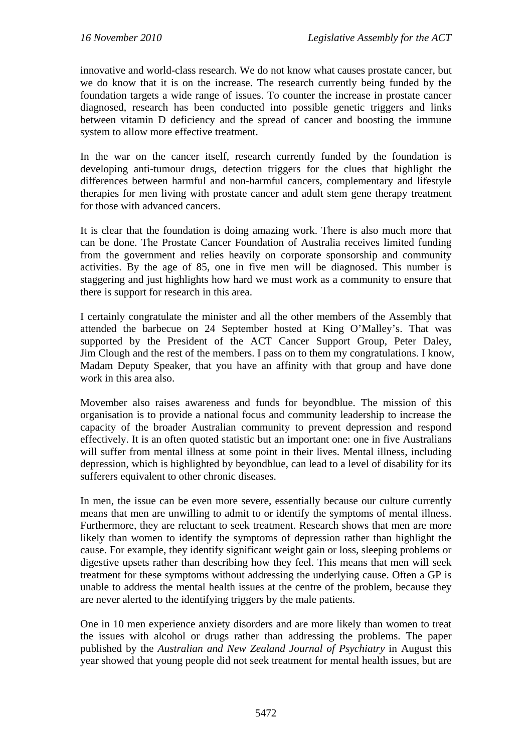innovative and world-class research. We do not know what causes prostate cancer, but we do know that it is on the increase. The research currently being funded by the foundation targets a wide range of issues. To counter the increase in prostate cancer diagnosed, research has been conducted into possible genetic triggers and links between vitamin D deficiency and the spread of cancer and boosting the immune system to allow more effective treatment.

In the war on the cancer itself, research currently funded by the foundation is developing anti-tumour drugs, detection triggers for the clues that highlight the differences between harmful and non-harmful cancers, complementary and lifestyle therapies for men living with prostate cancer and adult stem gene therapy treatment for those with advanced cancers.

It is clear that the foundation is doing amazing work. There is also much more that can be done. The Prostate Cancer Foundation of Australia receives limited funding from the government and relies heavily on corporate sponsorship and community activities. By the age of 85, one in five men will be diagnosed. This number is staggering and just highlights how hard we must work as a community to ensure that there is support for research in this area.

I certainly congratulate the minister and all the other members of the Assembly that attended the barbecue on 24 September hosted at King O'Malley's. That was supported by the President of the ACT Cancer Support Group, Peter Daley, Jim Clough and the rest of the members. I pass on to them my congratulations. I know, Madam Deputy Speaker, that you have an affinity with that group and have done work in this area also.

Movember also raises awareness and funds for beyondblue. The mission of this organisation is to provide a national focus and community leadership to increase the capacity of the broader Australian community to prevent depression and respond effectively. It is an often quoted statistic but an important one: one in five Australians will suffer from mental illness at some point in their lives. Mental illness, including depression, which is highlighted by beyondblue, can lead to a level of disability for its sufferers equivalent to other chronic diseases.

In men, the issue can be even more severe, essentially because our culture currently means that men are unwilling to admit to or identify the symptoms of mental illness. Furthermore, they are reluctant to seek treatment. Research shows that men are more likely than women to identify the symptoms of depression rather than highlight the cause. For example, they identify significant weight gain or loss, sleeping problems or digestive upsets rather than describing how they feel. This means that men will seek treatment for these symptoms without addressing the underlying cause. Often a GP is unable to address the mental health issues at the centre of the problem, because they are never alerted to the identifying triggers by the male patients.

One in 10 men experience anxiety disorders and are more likely than women to treat the issues with alcohol or drugs rather than addressing the problems. The paper published by the *Australian and New Zealand Journal of Psychiatry* in August this year showed that young people did not seek treatment for mental health issues, but are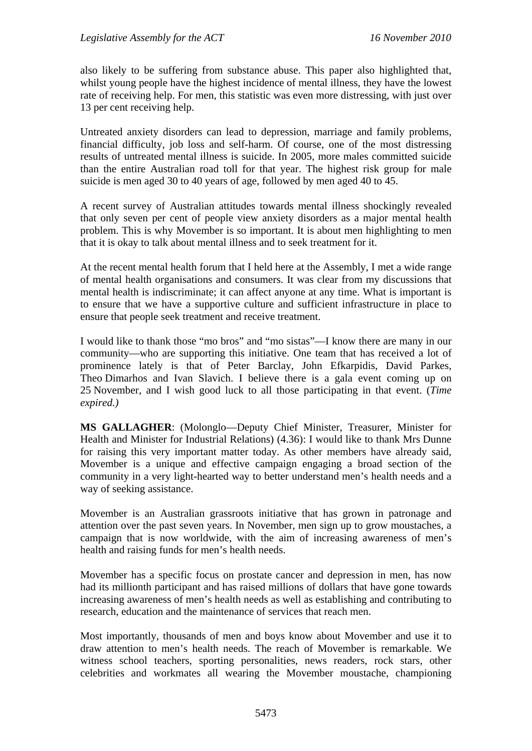also likely to be suffering from substance abuse. This paper also highlighted that, whilst young people have the highest incidence of mental illness, they have the lowest rate of receiving help. For men, this statistic was even more distressing, with just over 13 per cent receiving help.

Untreated anxiety disorders can lead to depression, marriage and family problems, financial difficulty, job loss and self-harm. Of course, one of the most distressing results of untreated mental illness is suicide. In 2005, more males committed suicide than the entire Australian road toll for that year. The highest risk group for male suicide is men aged 30 to 40 years of age, followed by men aged 40 to 45.

A recent survey of Australian attitudes towards mental illness shockingly revealed that only seven per cent of people view anxiety disorders as a major mental health problem. This is why Movember is so important. It is about men highlighting to men that it is okay to talk about mental illness and to seek treatment for it.

At the recent mental health forum that I held here at the Assembly, I met a wide range of mental health organisations and consumers. It was clear from my discussions that mental health is indiscriminate; it can affect anyone at any time. What is important is to ensure that we have a supportive culture and sufficient infrastructure in place to ensure that people seek treatment and receive treatment.

I would like to thank those "mo bros" and "mo sistas"—I know there are many in our community—who are supporting this initiative. One team that has received a lot of prominence lately is that of Peter Barclay, John Efkarpidis, David Parkes, Theo Dimarhos and Ivan Slavich. I believe there is a gala event coming up on 25 November, and I wish good luck to all those participating in that event. (*Time expired.)* 

**MS GALLAGHER**: (Molonglo—Deputy Chief Minister, Treasurer, Minister for Health and Minister for Industrial Relations) (4.36): I would like to thank Mrs Dunne for raising this very important matter today. As other members have already said, Movember is a unique and effective campaign engaging a broad section of the community in a very light-hearted way to better understand men's health needs and a way of seeking assistance.

Movember is an Australian grassroots initiative that has grown in patronage and attention over the past seven years. In November, men sign up to grow moustaches, a campaign that is now worldwide, with the aim of increasing awareness of men's health and raising funds for men's health needs.

Movember has a specific focus on prostate cancer and depression in men, has now had its millionth participant and has raised millions of dollars that have gone towards increasing awareness of men's health needs as well as establishing and contributing to research, education and the maintenance of services that reach men.

Most importantly, thousands of men and boys know about Movember and use it to draw attention to men's health needs. The reach of Movember is remarkable. We witness school teachers, sporting personalities, news readers, rock stars, other celebrities and workmates all wearing the Movember moustache, championing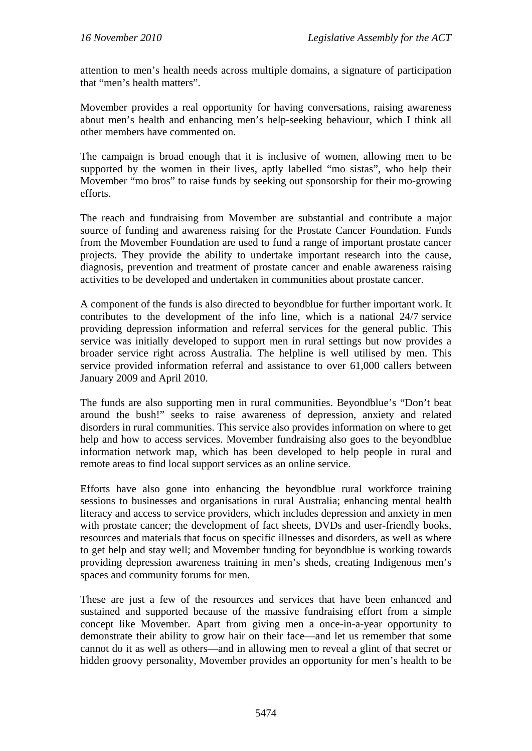attention to men's health needs across multiple domains, a signature of participation that "men's health matters".

Movember provides a real opportunity for having conversations, raising awareness about men's health and enhancing men's help-seeking behaviour, which I think all other members have commented on.

The campaign is broad enough that it is inclusive of women, allowing men to be supported by the women in their lives, aptly labelled "mo sistas", who help their Movember "mo bros" to raise funds by seeking out sponsorship for their mo-growing efforts.

The reach and fundraising from Movember are substantial and contribute a major source of funding and awareness raising for the Prostate Cancer Foundation. Funds from the Movember Foundation are used to fund a range of important prostate cancer projects. They provide the ability to undertake important research into the cause, diagnosis, prevention and treatment of prostate cancer and enable awareness raising activities to be developed and undertaken in communities about prostate cancer.

A component of the funds is also directed to beyondblue for further important work. It contributes to the development of the info line, which is a national 24/7 service providing depression information and referral services for the general public. This service was initially developed to support men in rural settings but now provides a broader service right across Australia. The helpline is well utilised by men. This service provided information referral and assistance to over 61,000 callers between January 2009 and April 2010.

The funds are also supporting men in rural communities. Beyondblue's "Don't beat around the bush!" seeks to raise awareness of depression, anxiety and related disorders in rural communities. This service also provides information on where to get help and how to access services. Movember fundraising also goes to the beyondblue information network map, which has been developed to help people in rural and remote areas to find local support services as an online service.

Efforts have also gone into enhancing the beyondblue rural workforce training sessions to businesses and organisations in rural Australia; enhancing mental health literacy and access to service providers, which includes depression and anxiety in men with prostate cancer; the development of fact sheets, DVDs and user-friendly books, resources and materials that focus on specific illnesses and disorders, as well as where to get help and stay well; and Movember funding for beyondblue is working towards providing depression awareness training in men's sheds, creating Indigenous men's spaces and community forums for men.

These are just a few of the resources and services that have been enhanced and sustained and supported because of the massive fundraising effort from a simple concept like Movember. Apart from giving men a once-in-a-year opportunity to demonstrate their ability to grow hair on their face—and let us remember that some cannot do it as well as others—and in allowing men to reveal a glint of that secret or hidden groovy personality, Movember provides an opportunity for men's health to be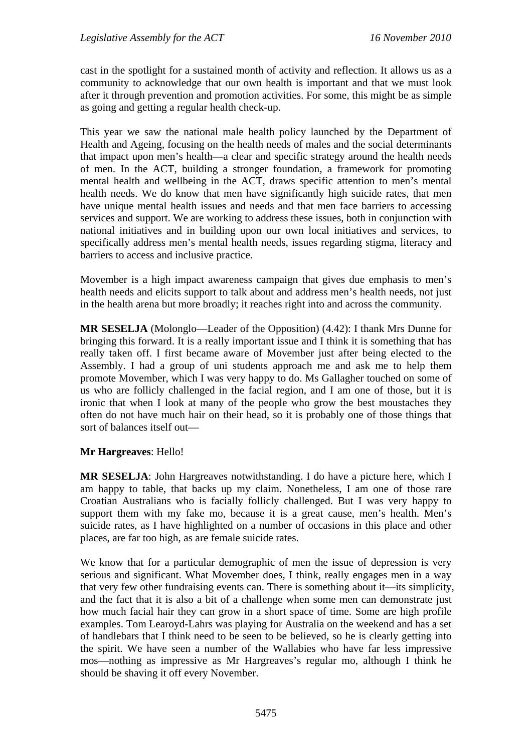cast in the spotlight for a sustained month of activity and reflection. It allows us as a community to acknowledge that our own health is important and that we must look after it through prevention and promotion activities. For some, this might be as simple as going and getting a regular health check-up.

This year we saw the national male health policy launched by the Department of Health and Ageing, focusing on the health needs of males and the social determinants that impact upon men's health—a clear and specific strategy around the health needs of men. In the ACT, building a stronger foundation, a framework for promoting mental health and wellbeing in the ACT, draws specific attention to men's mental health needs. We do know that men have significantly high suicide rates, that men have unique mental health issues and needs and that men face barriers to accessing services and support. We are working to address these issues, both in conjunction with national initiatives and in building upon our own local initiatives and services, to specifically address men's mental health needs, issues regarding stigma, literacy and barriers to access and inclusive practice.

Movember is a high impact awareness campaign that gives due emphasis to men's health needs and elicits support to talk about and address men's health needs, not just in the health arena but more broadly; it reaches right into and across the community.

**MR SESELJA** (Molonglo—Leader of the Opposition) (4.42): I thank Mrs Dunne for bringing this forward. It is a really important issue and I think it is something that has really taken off. I first became aware of Movember just after being elected to the Assembly. I had a group of uni students approach me and ask me to help them promote Movember, which I was very happy to do. Ms Gallagher touched on some of us who are follicly challenged in the facial region, and I am one of those, but it is ironic that when I look at many of the people who grow the best moustaches they often do not have much hair on their head, so it is probably one of those things that sort of balances itself out—

# **Mr Hargreaves**: Hello!

**MR SESELJA**: John Hargreaves notwithstanding. I do have a picture here, which I am happy to table, that backs up my claim. Nonetheless, I am one of those rare Croatian Australians who is facially follicly challenged. But I was very happy to support them with my fake mo, because it is a great cause, men's health. Men's suicide rates, as I have highlighted on a number of occasions in this place and other places, are far too high, as are female suicide rates.

We know that for a particular demographic of men the issue of depression is very serious and significant. What Movember does, I think, really engages men in a way that very few other fundraising events can. There is something about it—its simplicity, and the fact that it is also a bit of a challenge when some men can demonstrate just how much facial hair they can grow in a short space of time. Some are high profile examples. Tom Learoyd-Lahrs was playing for Australia on the weekend and has a set of handlebars that I think need to be seen to be believed, so he is clearly getting into the spirit. We have seen a number of the Wallabies who have far less impressive mos—nothing as impressive as Mr Hargreaves's regular mo, although I think he should be shaving it off every November.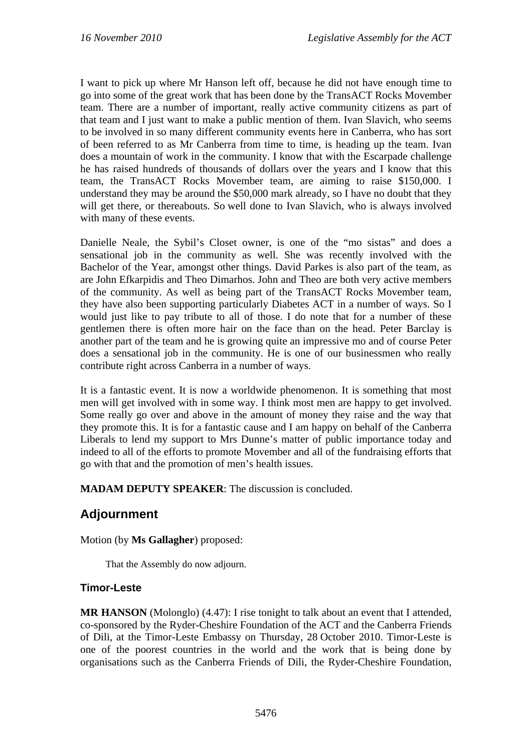I want to pick up where Mr Hanson left off, because he did not have enough time to go into some of the great work that has been done by the TransACT Rocks Movember team. There are a number of important, really active community citizens as part of that team and I just want to make a public mention of them. Ivan Slavich, who seems to be involved in so many different community events here in Canberra, who has sort of been referred to as Mr Canberra from time to time, is heading up the team. Ivan does a mountain of work in the community. I know that with the Escarpade challenge he has raised hundreds of thousands of dollars over the years and I know that this team, the TransACT Rocks Movember team, are aiming to raise \$150,000. I understand they may be around the \$50,000 mark already, so I have no doubt that they will get there, or thereabouts. So well done to Ivan Slavich, who is always involved with many of these events.

Danielle Neale, the Sybil's Closet owner, is one of the "mo sistas" and does a sensational job in the community as well. She was recently involved with the Bachelor of the Year, amongst other things. David Parkes is also part of the team, as are John Efkarpidis and Theo Dimarhos. John and Theo are both very active members of the community. As well as being part of the TransACT Rocks Movember team, they have also been supporting particularly Diabetes ACT in a number of ways. So I would just like to pay tribute to all of those. I do note that for a number of these gentlemen there is often more hair on the face than on the head. Peter Barclay is another part of the team and he is growing quite an impressive mo and of course Peter does a sensational job in the community. He is one of our businessmen who really contribute right across Canberra in a number of ways.

It is a fantastic event. It is now a worldwide phenomenon. It is something that most men will get involved with in some way. I think most men are happy to get involved. Some really go over and above in the amount of money they raise and the way that they promote this. It is for a fantastic cause and I am happy on behalf of the Canberra Liberals to lend my support to Mrs Dunne's matter of public importance today and indeed to all of the efforts to promote Movember and all of the fundraising efforts that go with that and the promotion of men's health issues.

**MADAM DEPUTY SPEAKER**: The discussion is concluded.

# **Adjournment**

Motion (by **Ms Gallagher**) proposed:

That the Assembly do now adjourn.

# **Timor-Leste**

**MR HANSON** (Molonglo) (4.47): I rise tonight to talk about an event that I attended, co-sponsored by the Ryder-Cheshire Foundation of the ACT and the Canberra Friends of Dili, at the Timor-Leste Embassy on Thursday, 28 October 2010. Timor-Leste is one of the poorest countries in the world and the work that is being done by organisations such as the Canberra Friends of Dili, the Ryder-Cheshire Foundation,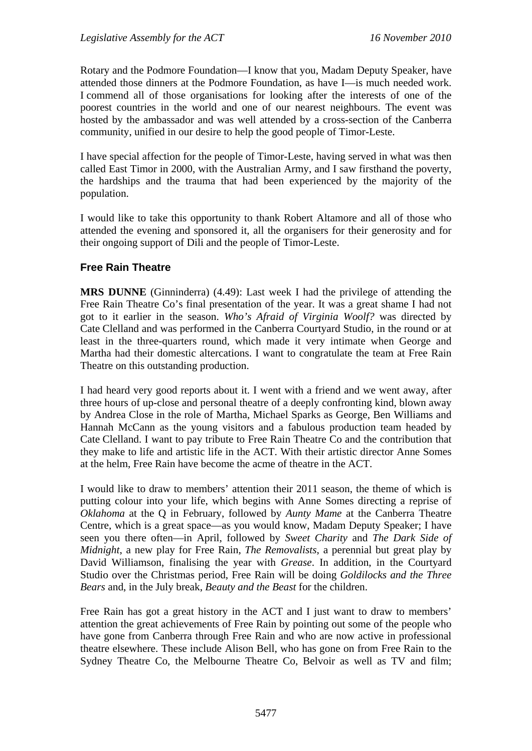Rotary and the Podmore Foundation—I know that you, Madam Deputy Speaker, have attended those dinners at the Podmore Foundation, as have I—is much needed work. I commend all of those organisations for looking after the interests of one of the poorest countries in the world and one of our nearest neighbours. The event was hosted by the ambassador and was well attended by a cross-section of the Canberra community, unified in our desire to help the good people of Timor-Leste.

I have special affection for the people of Timor-Leste, having served in what was then called East Timor in 2000, with the Australian Army, and I saw firsthand the poverty, the hardships and the trauma that had been experienced by the majority of the population.

I would like to take this opportunity to thank Robert Altamore and all of those who attended the evening and sponsored it, all the organisers for their generosity and for their ongoing support of Dili and the people of Timor-Leste.

#### **Free Rain Theatre**

**MRS DUNNE** (Ginninderra) (4.49): Last week I had the privilege of attending the Free Rain Theatre Co's final presentation of the year. It was a great shame I had not got to it earlier in the season. *Who's Afraid of Virginia Woolf?* was directed by Cate Clelland and was performed in the Canberra Courtyard Studio, in the round or at least in the three-quarters round, which made it very intimate when George and Martha had their domestic altercations. I want to congratulate the team at Free Rain Theatre on this outstanding production.

I had heard very good reports about it. I went with a friend and we went away, after three hours of up-close and personal theatre of a deeply confronting kind, blown away by Andrea Close in the role of Martha, Michael Sparks as George, Ben Williams and Hannah McCann as the young visitors and a fabulous production team headed by Cate Clelland. I want to pay tribute to Free Rain Theatre Co and the contribution that they make to life and artistic life in the ACT. With their artistic director Anne Somes at the helm, Free Rain have become the acme of theatre in the ACT.

I would like to draw to members' attention their 2011 season, the theme of which is putting colour into your life, which begins with Anne Somes directing a reprise of *Oklahoma* at the Q in February, followed by *Aunty Mame* at the Canberra Theatre Centre, which is a great space—as you would know, Madam Deputy Speaker; I have seen you there often—in April, followed by *Sweet Charity* and *The Dark Side of Midnight*, a new play for Free Rain, *The Removalists*, a perennial but great play by David Williamson, finalising the year with *Grease*. In addition, in the Courtyard Studio over the Christmas period, Free Rain will be doing *Goldilocks and the Three Bears* and, in the July break, *Beauty and the Beast* for the children.

Free Rain has got a great history in the ACT and I just want to draw to members' attention the great achievements of Free Rain by pointing out some of the people who have gone from Canberra through Free Rain and who are now active in professional theatre elsewhere. These include Alison Bell, who has gone on from Free Rain to the Sydney Theatre Co, the Melbourne Theatre Co, Belvoir as well as TV and film;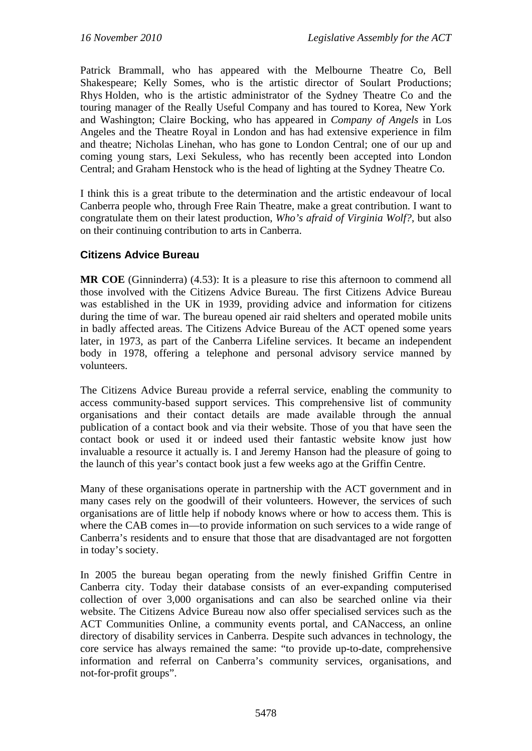Patrick Brammall, who has appeared with the Melbourne Theatre Co, Bell Shakespeare; Kelly Somes, who is the artistic director of Soulart Productions; Rhys Holden, who is the artistic administrator of the Sydney Theatre Co and the touring manager of the Really Useful Company and has toured to Korea, New York and Washington; Claire Bocking, who has appeared in *Company of Angels* in Los Angeles and the Theatre Royal in London and has had extensive experience in film and theatre; Nicholas Linehan, who has gone to London Central; one of our up and coming young stars, Lexi Sekuless, who has recently been accepted into London Central; and Graham Henstock who is the head of lighting at the Sydney Theatre Co.

I think this is a great tribute to the determination and the artistic endeavour of local Canberra people who, through Free Rain Theatre, make a great contribution. I want to congratulate them on their latest production, *Who's afraid of Virginia Wolf?*, but also on their continuing contribution to arts in Canberra.

## **Citizens Advice Bureau**

**MR COE** (Ginninderra) (4.53): It is a pleasure to rise this afternoon to commend all those involved with the Citizens Advice Bureau. The first Citizens Advice Bureau was established in the UK in 1939, providing advice and information for citizens during the time of war. The bureau opened air raid shelters and operated mobile units in badly affected areas. The Citizens Advice Bureau of the ACT opened some years later, in 1973, as part of the Canberra Lifeline services. It became an independent body in 1978, offering a telephone and personal advisory service manned by volunteers.

The Citizens Advice Bureau provide a referral service, enabling the community to access community-based support services. This comprehensive list of community organisations and their contact details are made available through the annual publication of a contact book and via their website. Those of you that have seen the contact book or used it or indeed used their fantastic website know just how invaluable a resource it actually is. I and Jeremy Hanson had the pleasure of going to the launch of this year's contact book just a few weeks ago at the Griffin Centre.

Many of these organisations operate in partnership with the ACT government and in many cases rely on the goodwill of their volunteers. However, the services of such organisations are of little help if nobody knows where or how to access them. This is where the CAB comes in—to provide information on such services to a wide range of Canberra's residents and to ensure that those that are disadvantaged are not forgotten in today's society.

In 2005 the bureau began operating from the newly finished Griffin Centre in Canberra city. Today their database consists of an ever-expanding computerised collection of over 3,000 organisations and can also be searched online via their website. The Citizens Advice Bureau now also offer specialised services such as the ACT Communities Online, a community events portal, and CANaccess, an online directory of disability services in Canberra. Despite such advances in technology, the core service has always remained the same: "to provide up-to-date, comprehensive information and referral on Canberra's community services, organisations, and not-for-profit groups".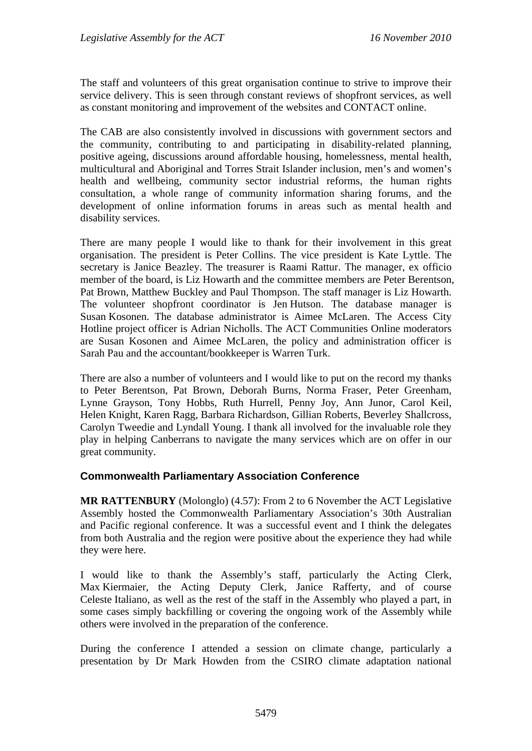The staff and volunteers of this great organisation continue to strive to improve their service delivery. This is seen through constant reviews of shopfront services, as well as constant monitoring and improvement of the websites and CONTACT online.

The CAB are also consistently involved in discussions with government sectors and the community, contributing to and participating in disability-related planning, positive ageing, discussions around affordable housing, homelessness, mental health, multicultural and Aboriginal and Torres Strait Islander inclusion, men's and women's health and wellbeing, community sector industrial reforms, the human rights consultation, a whole range of community information sharing forums, and the development of online information forums in areas such as mental health and disability services.

There are many people I would like to thank for their involvement in this great organisation. The president is Peter Collins. The vice president is Kate Lyttle. The secretary is Janice Beazley. The treasurer is Raami Rattur. The manager, ex officio member of the board, is Liz Howarth and the committee members are Peter Berentson, Pat Brown, Matthew Buckley and Paul Thompson. The staff manager is Liz Howarth. The volunteer shopfront coordinator is Jen Hutson. The database manager is Susan Kosonen. The database administrator is Aimee McLaren. The Access City Hotline project officer is Adrian Nicholls. The ACT Communities Online moderators are Susan Kosonen and Aimee McLaren, the policy and administration officer is Sarah Pau and the accountant/bookkeeper is Warren Turk.

There are also a number of volunteers and I would like to put on the record my thanks to Peter Berentson, Pat Brown, Deborah Burns, Norma Fraser, Peter Greenham, Lynne Grayson, Tony Hobbs, Ruth Hurrell, Penny Joy, Ann Junor, Carol Keil, Helen Knight, Karen Ragg, Barbara Richardson, Gillian Roberts, Beverley Shallcross, Carolyn Tweedie and Lyndall Young. I thank all involved for the invaluable role they play in helping Canberrans to navigate the many services which are on offer in our great community.

#### **Commonwealth Parliamentary Association Conference**

**MR RATTENBURY** (Molonglo) (4.57): From 2 to 6 November the ACT Legislative Assembly hosted the Commonwealth Parliamentary Association's 30th Australian and Pacific regional conference. It was a successful event and I think the delegates from both Australia and the region were positive about the experience they had while they were here.

I would like to thank the Assembly's staff, particularly the Acting Clerk, Max Kiermaier, the Acting Deputy Clerk, Janice Rafferty, and of course Celeste Italiano, as well as the rest of the staff in the Assembly who played a part, in some cases simply backfilling or covering the ongoing work of the Assembly while others were involved in the preparation of the conference.

During the conference I attended a session on climate change, particularly a presentation by Dr Mark Howden from the CSIRO climate adaptation national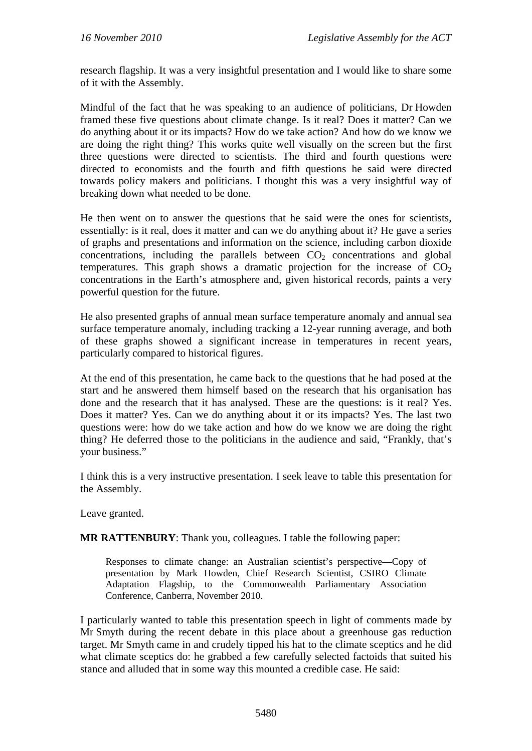research flagship. It was a very insightful presentation and I would like to share some of it with the Assembly.

Mindful of the fact that he was speaking to an audience of politicians, Dr Howden framed these five questions about climate change. Is it real? Does it matter? Can we do anything about it or its impacts? How do we take action? And how do we know we are doing the right thing? This works quite well visually on the screen but the first three questions were directed to scientists. The third and fourth questions were directed to economists and the fourth and fifth questions he said were directed towards policy makers and politicians. I thought this was a very insightful way of breaking down what needed to be done.

He then went on to answer the questions that he said were the ones for scientists, essentially: is it real, does it matter and can we do anything about it? He gave a series of graphs and presentations and information on the science, including carbon dioxide concentrations, including the parallels between  $CO<sub>2</sub>$  concentrations and global temperatures. This graph shows a dramatic projection for the increase of  $CO<sub>2</sub>$ concentrations in the Earth's atmosphere and, given historical records, paints a very powerful question for the future.

He also presented graphs of annual mean surface temperature anomaly and annual sea surface temperature anomaly, including tracking a 12-year running average, and both of these graphs showed a significant increase in temperatures in recent years, particularly compared to historical figures.

At the end of this presentation, he came back to the questions that he had posed at the start and he answered them himself based on the research that his organisation has done and the research that it has analysed. These are the questions: is it real? Yes. Does it matter? Yes. Can we do anything about it or its impacts? Yes. The last two questions were: how do we take action and how do we know we are doing the right thing? He deferred those to the politicians in the audience and said, "Frankly, that's your business."

I think this is a very instructive presentation. I seek leave to table this presentation for the Assembly.

Leave granted.

**MR RATTENBURY**: Thank you, colleagues. I table the following paper:

Responses to climate change: an Australian scientist's perspective—Copy of presentation by Mark Howden, Chief Research Scientist, CSIRO Climate Adaptation Flagship, to the Commonwealth Parliamentary Association Conference, Canberra, November 2010.

I particularly wanted to table this presentation speech in light of comments made by Mr Smyth during the recent debate in this place about a greenhouse gas reduction target. Mr Smyth came in and crudely tipped his hat to the climate sceptics and he did what climate sceptics do: he grabbed a few carefully selected factoids that suited his stance and alluded that in some way this mounted a credible case. He said: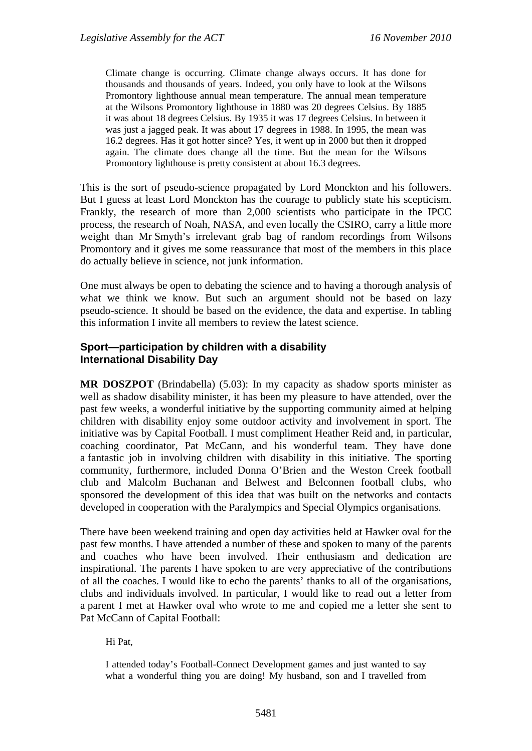Climate change is occurring. Climate change always occurs. It has done for thousands and thousands of years. Indeed, you only have to look at the Wilsons Promontory lighthouse annual mean temperature. The annual mean temperature at the Wilsons Promontory lighthouse in 1880 was 20 degrees Celsius. By 1885 it was about 18 degrees Celsius. By 1935 it was 17 degrees Celsius. In between it was just a jagged peak. It was about 17 degrees in 1988. In 1995, the mean was 16.2 degrees. Has it got hotter since? Yes, it went up in 2000 but then it dropped again. The climate does change all the time. But the mean for the Wilsons Promontory lighthouse is pretty consistent at about 16.3 degrees.

This is the sort of pseudo-science propagated by Lord Monckton and his followers. But I guess at least Lord Monckton has the courage to publicly state his scepticism. Frankly, the research of more than 2,000 scientists who participate in the IPCC process, the research of Noah, NASA, and even locally the CSIRO, carry a little more weight than Mr Smyth's irrelevant grab bag of random recordings from Wilsons Promontory and it gives me some reassurance that most of the members in this place do actually believe in science, not junk information.

One must always be open to debating the science and to having a thorough analysis of what we think we know. But such an argument should not be based on lazy pseudo-science. It should be based on the evidence, the data and expertise. In tabling this information I invite all members to review the latest science.

#### **Sport—participation by children with a disability International Disability Day**

**MR DOSZPOT** (Brindabella) (5.03): In my capacity as shadow sports minister as well as shadow disability minister, it has been my pleasure to have attended, over the past few weeks, a wonderful initiative by the supporting community aimed at helping children with disability enjoy some outdoor activity and involvement in sport. The initiative was by Capital Football. I must compliment Heather Reid and, in particular, coaching coordinator, Pat McCann, and his wonderful team. They have done a fantastic job in involving children with disability in this initiative. The sporting community, furthermore, included Donna O'Brien and the Weston Creek football club and Malcolm Buchanan and Belwest and Belconnen football clubs, who sponsored the development of this idea that was built on the networks and contacts developed in cooperation with the Paralympics and Special Olympics organisations.

There have been weekend training and open day activities held at Hawker oval for the past few months. I have attended a number of these and spoken to many of the parents and coaches who have been involved. Their enthusiasm and dedication are inspirational. The parents I have spoken to are very appreciative of the contributions of all the coaches. I would like to echo the parents' thanks to all of the organisations, clubs and individuals involved. In particular, I would like to read out a letter from a parent I met at Hawker oval who wrote to me and copied me a letter she sent to Pat McCann of Capital Football:

Hi Pat,

I attended today's Football-Connect Development games and just wanted to say what a wonderful thing you are doing! My husband, son and I travelled from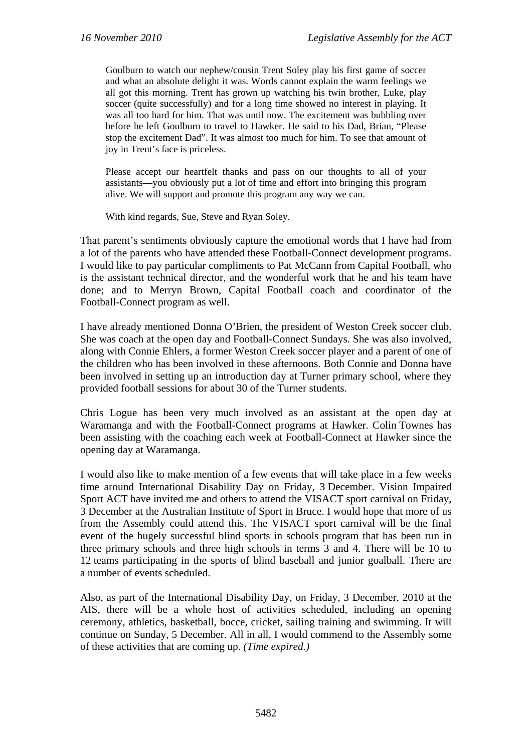Goulburn to watch our nephew/cousin Trent Soley play his first game of soccer and what an absolute delight it was. Words cannot explain the warm feelings we all got this morning. Trent has grown up watching his twin brother, Luke, play soccer (quite successfully) and for a long time showed no interest in playing. It was all too hard for him. That was until now. The excitement was bubbling over before he left Goulburn to travel to Hawker. He said to his Dad, Brian, "Please stop the excitement Dad". It was almost too much for him. To see that amount of joy in Trent's face is priceless.

Please accept our heartfelt thanks and pass on our thoughts to all of your assistants—you obviously put a lot of time and effort into bringing this program alive. We will support and promote this program any way we can.

With kind regards, Sue, Steve and Ryan Soley.

That parent's sentiments obviously capture the emotional words that I have had from a lot of the parents who have attended these Football-Connect development programs. I would like to pay particular compliments to Pat McCann from Capital Football, who is the assistant technical director, and the wonderful work that he and his team have done; and to Merryn Brown, Capital Football coach and coordinator of the Football-Connect program as well.

I have already mentioned Donna O'Brien, the president of Weston Creek soccer club. She was coach at the open day and Football-Connect Sundays. She was also involved, along with Connie Ehlers, a former Weston Creek soccer player and a parent of one of the children who has been involved in these afternoons. Both Connie and Donna have been involved in setting up an introduction day at Turner primary school, where they provided football sessions for about 30 of the Turner students.

Chris Logue has been very much involved as an assistant at the open day at Waramanga and with the Football-Connect programs at Hawker. Colin Townes has been assisting with the coaching each week at Football-Connect at Hawker since the opening day at Waramanga.

I would also like to make mention of a few events that will take place in a few weeks time around International Disability Day on Friday, 3 December. Vision Impaired Sport ACT have invited me and others to attend the VISACT sport carnival on Friday, 3 December at the Australian Institute of Sport in Bruce. I would hope that more of us from the Assembly could attend this. The VISACT sport carnival will be the final event of the hugely successful blind sports in schools program that has been run in three primary schools and three high schools in terms 3 and 4. There will be 10 to 12 teams participating in the sports of blind baseball and junior goalball. There are a number of events scheduled.

Also, as part of the International Disability Day, on Friday, 3 December, 2010 at the AIS, there will be a whole host of activities scheduled, including an opening ceremony, athletics, basketball, bocce, cricket, sailing training and swimming. It will continue on Sunday, 5 December. All in all, I would commend to the Assembly some of these activities that are coming up. *(Time expired.)*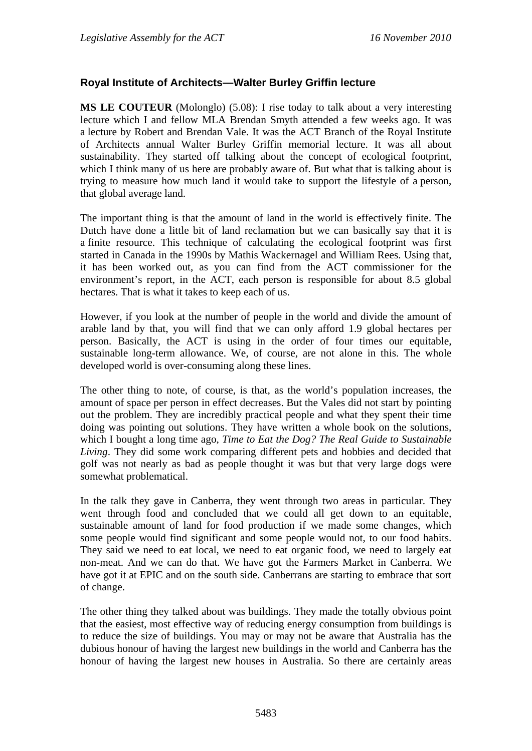## **Royal Institute of Architects—Walter Burley Griffin lecture**

**MS LE COUTEUR** (Molonglo) (5.08): I rise today to talk about a very interesting lecture which I and fellow MLA Brendan Smyth attended a few weeks ago. It was a lecture by Robert and Brendan Vale. It was the ACT Branch of the Royal Institute of Architects annual Walter Burley Griffin memorial lecture. It was all about sustainability. They started off talking about the concept of ecological footprint, which I think many of us here are probably aware of. But what that is talking about is trying to measure how much land it would take to support the lifestyle of a person, that global average land.

The important thing is that the amount of land in the world is effectively finite. The Dutch have done a little bit of land reclamation but we can basically say that it is a finite resource. This technique of calculating the ecological footprint was first started in Canada in the 1990s by Mathis Wackernagel and William Rees. Using that, it has been worked out, as you can find from the ACT commissioner for the environment's report, in the ACT, each person is responsible for about 8.5 global hectares. That is what it takes to keep each of us.

However, if you look at the number of people in the world and divide the amount of arable land by that, you will find that we can only afford 1.9 global hectares per person. Basically, the ACT is using in the order of four times our equitable, sustainable long-term allowance. We, of course, are not alone in this. The whole developed world is over-consuming along these lines.

The other thing to note, of course, is that, as the world's population increases, the amount of space per person in effect decreases. But the Vales did not start by pointing out the problem. They are incredibly practical people and what they spent their time doing was pointing out solutions. They have written a whole book on the solutions, which I bought a long time ago, *Time to Eat the Dog? The Real Guide to Sustainable Living*. They did some work comparing different pets and hobbies and decided that golf was not nearly as bad as people thought it was but that very large dogs were somewhat problematical.

In the talk they gave in Canberra, they went through two areas in particular. They went through food and concluded that we could all get down to an equitable, sustainable amount of land for food production if we made some changes, which some people would find significant and some people would not, to our food habits. They said we need to eat local, we need to eat organic food, we need to largely eat non-meat. And we can do that. We have got the Farmers Market in Canberra. We have got it at EPIC and on the south side. Canberrans are starting to embrace that sort of change.

The other thing they talked about was buildings. They made the totally obvious point that the easiest, most effective way of reducing energy consumption from buildings is to reduce the size of buildings. You may or may not be aware that Australia has the dubious honour of having the largest new buildings in the world and Canberra has the honour of having the largest new houses in Australia. So there are certainly areas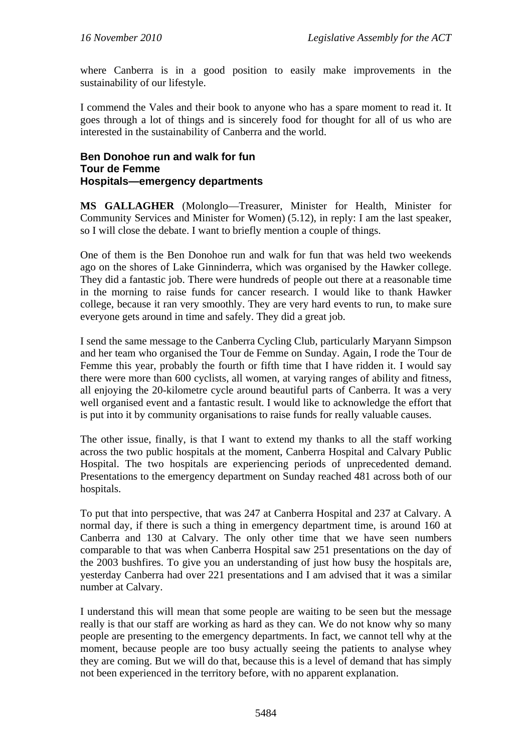where Canberra is in a good position to easily make improvements in the sustainability of our lifestyle.

I commend the Vales and their book to anyone who has a spare moment to read it. It goes through a lot of things and is sincerely food for thought for all of us who are interested in the sustainability of Canberra and the world.

#### **Ben Donohoe run and walk for fun Tour de Femme Hospitals—emergency departments**

**MS GALLAGHER** (Molonglo—Treasurer, Minister for Health, Minister for Community Services and Minister for Women) (5.12), in reply: I am the last speaker, so I will close the debate. I want to briefly mention a couple of things.

One of them is the Ben Donohoe run and walk for fun that was held two weekends ago on the shores of Lake Ginninderra, which was organised by the Hawker college. They did a fantastic job. There were hundreds of people out there at a reasonable time in the morning to raise funds for cancer research. I would like to thank Hawker college, because it ran very smoothly. They are very hard events to run, to make sure everyone gets around in time and safely. They did a great job.

I send the same message to the Canberra Cycling Club, particularly Maryann Simpson and her team who organised the Tour de Femme on Sunday. Again, I rode the Tour de Femme this year, probably the fourth or fifth time that I have ridden it. I would say there were more than 600 cyclists, all women, at varying ranges of ability and fitness, all enjoying the 20-kilometre cycle around beautiful parts of Canberra. It was a very well organised event and a fantastic result. I would like to acknowledge the effort that is put into it by community organisations to raise funds for really valuable causes.

The other issue, finally, is that I want to extend my thanks to all the staff working across the two public hospitals at the moment, Canberra Hospital and Calvary Public Hospital. The two hospitals are experiencing periods of unprecedented demand. Presentations to the emergency department on Sunday reached 481 across both of our hospitals.

To put that into perspective, that was 247 at Canberra Hospital and 237 at Calvary. A normal day, if there is such a thing in emergency department time, is around 160 at Canberra and 130 at Calvary. The only other time that we have seen numbers comparable to that was when Canberra Hospital saw 251 presentations on the day of the 2003 bushfires. To give you an understanding of just how busy the hospitals are, yesterday Canberra had over 221 presentations and I am advised that it was a similar number at Calvary.

I understand this will mean that some people are waiting to be seen but the message really is that our staff are working as hard as they can. We do not know why so many people are presenting to the emergency departments. In fact, we cannot tell why at the moment, because people are too busy actually seeing the patients to analyse whey they are coming. But we will do that, because this is a level of demand that has simply not been experienced in the territory before, with no apparent explanation.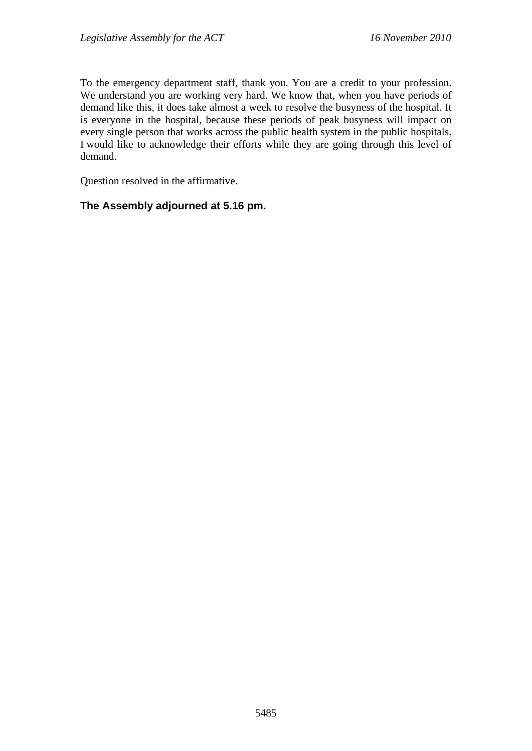To the emergency department staff, thank you. You are a credit to your profession. We understand you are working very hard. We know that, when you have periods of demand like this, it does take almost a week to resolve the busyness of the hospital. It is everyone in the hospital, because these periods of peak busyness will impact on every single person that works across the public health system in the public hospitals. I would like to acknowledge their efforts while they are going through this level of demand.

Question resolved in the affirmative.

## **The Assembly adjourned at 5.16 pm.**